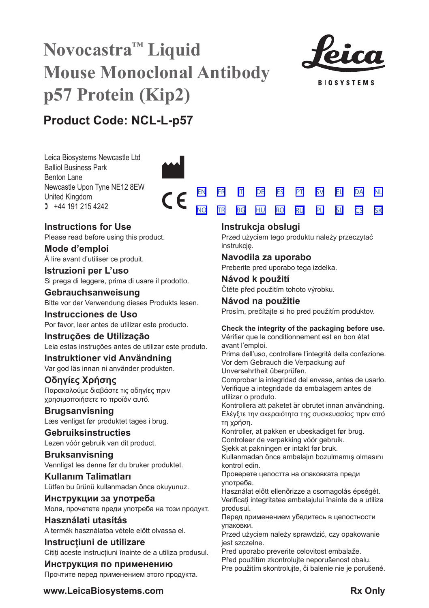# **Novocastra™ Liquid Mouse Monoclonal Antibody p57 Protein (Kip2)**



**BIOSYSTEMS** 

[SV](#page-20-0) [EL](#page-23-0) [DA](#page-26-0)

[NL](#page-29-0) [SK](#page-59-0)

# **Product Code: NCL-L-p57**

Leica Biosystems Newcastle Ltd Balliol Business Park Benton Lane Newcastle Upon Tyne NE12 8EW United Kingdom  $1 +44 191 215 4242$ 



# **Instructions for Use**

Please read before using this product.

**Mode d'emploi** Á lire avant d'utiliser ce produit.

**Istruzioni per L'uso** Si prega di leggere, prima di usare il prodotto.

**Gebrauchsanweisung** Bitte vor der Verwendung dieses Produkts lesen.

**Instrucciones de Uso** Por favor, leer antes de utilizar este producto.

**Instruções de Utilização** Leia estas instruções antes de utilizar este produto.

**Instruktioner vid Användning** Var god läs innan ni använder produkten.

# **Οδηγίες Χρήσης** Παρακαλούμε διαβάστε τις οδηγίες πριν χρησιμοποιήσετε το προϊόν αυτό.

**Brugsanvisning** Læs venligst før produktet tages i brug.

**Gebruiksinstructies** Lezen vóór gebruik van dit product.

# **Bruksanvisning** Vennligst les denne før du bruker produktet.

**Kullanım Talimatları** Lütfen bu ürünü kullanmadan önce okuyunuz.

**Инструкции за употреба** Моля, прочетете преди употреба на този продукт.

# **Használati utasítás** A termék használatba vétele előtt olvassa el.

**Instrucțiuni de utilizare** Citiți aceste instrucțiuni înainte de a utiliza produsul.

**Инструкция по применению** Прочтите перед применением этого продукта.

# <u>[NO](#page-32-0) [TR](#page-35-0) [BG](#page-38-0) [HU](#page-41-0) [RO](#page-44-0) [RU](#page-47-0)</u> [PL](#page-50-0) [SL](#page-53-0) [CS](#page-56-0)

# **Instrukcja obsługi**

[EN](#page-2-0) [FR](#page-5-0) [IT](#page-8-0) [DE](#page-11-0) [ES](#page-14-0) [PT](#page-17-0)

Przed użyciem tego produktu należy przeczytać instrukcję.

# **Navodila za uporabo**

Preberite pred uporabo tega izdelka.

**Návod k použití** Čtěte před použitím tohoto výrobku.

# **Návod na použitie** Prosím, prečítajte si ho pred použitím produktov.

# **Check the integrity of the packaging before use.**

Vérifier que le conditionnement est en bon état avant l'emploi.

Prima dell'uso, controllare l'integrità della confezione. Vor dem Gebrauch die Verpackung auf Unversehrtheit überprüfen.

Comprobar la integridad del envase, antes de usarlo. Verifique a integridade da embalagem antes de utilizar o produto.

Kontrollera att paketet är obrutet innan användning. Ελέγξτε την ακεραιότητα της συσκευασίας πριν από τη χρήση.

Kontroller, at pakken er ubeskadiget før brug. Controleer de verpakking vóór gebruik.

Sjekk at pakningen er intakt før bruk.

Kullanmadan önce ambalajın bozulmamış olmasını kontrol edin.

Проверете целостта на опаковката преди употреба.

Használat előtt ellenőrizze a csomagolás épségét. Verificați integritatea ambalajului înainte de a utiliza produsul.

Перед применением убедитесь в целостности упаковки.

Przed użyciem należy sprawdzić, czy opakowanie jest szczelne.

Pred uporabo preverite celovitost embalaže.

Před použitím zkontrolujte neporušenost obalu.

Pre použitím skontrolujte, či balenie nie je porušené.

**www.LeicaBiosystems.com Rx Only**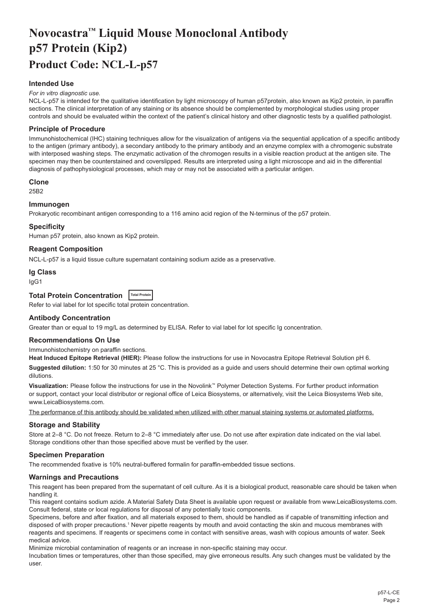# <span id="page-2-0"></span>**Novocastra™ Liquid Mouse Monoclonal Antibody p57 Protein (Kip2) Product Code: NCL-L-p57**

# **Intended Use**

#### *For in vitro diagnostic use.*

NCL-L-p57 is intended for the qualitative identification by light microscopy of human p57protein, also known as Kip2 protein, in paraffin sections. The clinical interpretation of any staining or its absence should be complemented by morphological studies using proper controls and should be evaluated within the context of the patient's clinical history and other diagnostic tests by a qualified pathologist.

## **Principle of Procedure**

Immunohistochemical (IHC) staining techniques allow for the visualization of antigens via the sequential application of a specific antibody to the antigen (primary antibody), a secondary antibody to the primary antibody and an enzyme complex with a chromogenic substrate with interposed washing steps. The enzymatic activation of the chromogen results in a visible reaction product at the antigen site. The specimen may then be counterstained and coverslipped. Results are interpreted using a light microscope and aid in the differential diagnosis of pathophysiological processes, which may or may not be associated with a particular antigen.

#### **Clone**

25B2

## **Immunogen**

Prokaryotic recombinant antigen corresponding to a 116 amino acid region of the N-terminus of the p57 protein.

#### **Specificity**

Human p57 protein, also known as Kip2 protein.

### **Reagent Composition**

NCL-L-p57 is a liquid tissue culture supernatant containing sodium azide as a preservative.

#### **Ig Class**

IgG1

# **Total Protein Concentration Total Protein**

Refer to vial label for lot specific total protein concentration.

### **Antibody Concentration**

Greater than or equal to 19 mg/L as determined by ELISA. Refer to vial label for lot specific Ig concentration.

# **Recommendations On Use**

Immunohistochemistry on paraffin sections.

**Heat Induced Epitope Retrieval (HIER):** Please follow the instructions for use in Novocastra Epitope Retrieval Solution pH 6.

**Suggested dilution:** 1:50 for 30 minutes at 25 °C. This is provided as a guide and users should determine their own optimal working dilutions.

**Visualization:** Please follow the instructions for use in the Novolink™ Polymer Detection Systems. For further product information or support, contact your local distributor or regional office of Leica Biosystems, or alternatively, visit the Leica Biosystems Web site, www.LeicaBiosystems.com.

The performance of this antibody should be validated when utilized with other manual staining systems or automated platforms.

# **Storage and Stability**

Store at 2–8 °C. Do not freeze. Return to 2–8 °C immediately after use. Do not use after expiration date indicated on the vial label. Storage conditions other than those specified above must be verified by the user.

#### **Specimen Preparation**

The recommended fixative is 10% neutral-buffered formalin for paraffin-embedded tissue sections.

#### **Warnings and Precautions**

This reagent has been prepared from the supernatant of cell culture. As it is a biological product, reasonable care should be taken when handling it.

This reagent contains sodium azide. A Material Safety Data Sheet is available upon request or available from www.LeicaBiosystems.com. Consult federal, state or local regulations for disposal of any potentially toxic components.

Specimens, before and after fixation, and all materials exposed to them, should be handled as if capable of transmitting infection and disposed of with proper precautions.<sup>1</sup> Never pipette reagents by mouth and avoid contacting the skin and mucous membranes with reagents and specimens. If reagents or specimens come in contact with sensitive areas, wash with copious amounts of water. Seek medical advice.

Minimize microbial contamination of reagents or an increase in non-specific staining may occur.

Incubation times or temperatures, other than those specified, may give erroneous results. Any such changes must be validated by the user.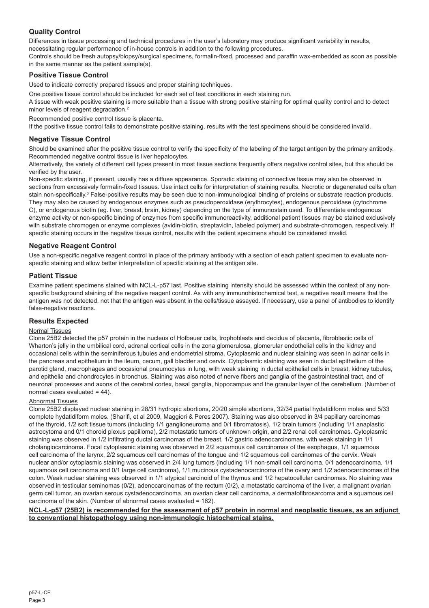# **Quality Control**

Differences in tissue processing and technical procedures in the user's laboratory may produce significant variability in results, necessitating regular performance of in-house controls in addition to the following procedures.

Controls should be fresh autopsy/biopsy/surgical specimens, formalin-fixed, processed and paraffin wax-embedded as soon as possible in the same manner as the patient sample(s).

# **Positive Tissue Control**

Used to indicate correctly prepared tissues and proper staining techniques.

One positive tissue control should be included for each set of test conditions in each staining run.

A tissue with weak positive staining is more suitable than a tissue with strong positive staining for optimal quality control and to detect minor levels of reagent degradation.<sup>2</sup>

Recommended positive control tissue is placenta.

If the positive tissue control fails to demonstrate positive staining, results with the test specimens should be considered invalid.

#### **Negative Tissue Control**

Should be examined after the positive tissue control to verify the specificity of the labeling of the target antigen by the primary antibody. Recommended negative control tissue is liver hepatocytes.

Alternatively, the variety of different cell types present in most tissue sections frequently offers negative control sites, but this should be verified by the user.

Non-specific staining, if present, usually has a diffuse appearance. Sporadic staining of connective tissue may also be observed in sections from excessively formalin-fixed tissues. Use intact cells for interpretation of staining results. Necrotic or degenerated cells often stain non-specifically.<sup>3</sup> False-positive results may be seen due to non-immunological binding of proteins or substrate reaction products. They may also be caused by endogenous enzymes such as pseudoperoxidase (erythrocytes), endogenous peroxidase (cytochrome C), or endogenous biotin (eg. liver, breast, brain, kidney) depending on the type of immunostain used. To differentiate endogenous enzyme activity or non-specific binding of enzymes from specific immunoreactivity, additional patient tissues may be stained exclusively with substrate chromogen or enzyme complexes (avidin-biotin, streptavidin, labeled polymer) and substrate-chromogen, respectively. If specific staining occurs in the negative tissue control, results with the patient specimens should be considered invalid.

# **Negative Reagent Control**

Use a non-specific negative reagent control in place of the primary antibody with a section of each patient specimen to evaluate nonspecific staining and allow better interpretation of specific staining at the antigen site.

#### **Patient Tissue**

Examine patient specimens stained with NCL-L-p57 last. Positive staining intensity should be assessed within the context of any nonspecific background staining of the negative reagent control. As with any immunohistochemical test, a negative result means that the antigen was not detected, not that the antigen was absent in the cells/tissue assayed. If necessary, use a panel of antibodies to identify false-negative reactions.

# **Results Expected**

# Normal Tissues

Clone 25B2 detected the p57 protein in the nucleus of Hofbauer cells, trophoblasts and decidua of placenta, fibroblastic cells of Wharton's jelly in the umbilical cord, adrenal cortical cells in the zona glomerulosa, glomerular endothelial cells in the kidney and occasional cells within the seminiferous tubules and endometrial stroma. Cytoplasmic and nuclear staining was seen in acinar cells in the pancreas and epithelium in the ileum, cecum, gall bladder and cervix. Cytoplasmic staining was seen in ductal epithelium of the parotid gland, macrophages and occasional pneumocytes in lung, with weak staining in ductal epithelial cells in breast, kidney tubules, and epithelia and chondrocytes in bronchus. Staining was also noted of nerve fibers and ganglia of the gastrointestinal tract, and of neuronal processes and axons of the cerebral cortex, basal ganglia, hippocampus and the granular layer of the cerebellum. (Number of normal cases evaluated = 44).

#### Abnormal Tissues

Clone 25B2 displayed nuclear staining in 28/31 hydropic abortions, 20/20 simple abortions, 32/34 partial hydatidiform moles and 5/33 complete hydatidiform moles. (Sharifi, et al 2009, Maggiori & Peres 2007). Staining was also observed in 3/4 papillary carcinomas of the thyroid, 1/2 soft tissue tumors (including 1/1 ganglioneuroma and 0/1 fibromatosis), 1/2 brain tumors (including 1/1 anaplastic astrocytoma and 0/1 choroid plexus papilloma), 2/2 metastatic tumors of unknown origin, and 2/2 renal cell carcinomas. Cytoplasmic staining was observed in 1/2 infiltrating ductal carcinomas of the breast, 1/2 gastric adenocarcinomas, with weak staining in 1/1 cholangiocarcinoma. Focal cytoplasmic staining was observed in 2/2 squamous cell carcinomas of the esophagus, 1/1 squamous cell carcinoma of the larynx, 2/2 squamous cell carcinomas of the tongue and 1/2 squamous cell carcinomas of the cervix. Weak nuclear and/or cytoplasmic staining was observed in 2/4 lung tumors (including 1/1 non-small cell carcinoma, 0/1 adenocarcinoma, 1/1 squamous cell carcinoma and 0/1 large cell carcinoma), 1/1 mucinous cystadenocarcinoma of the ovary and 1/2 adenocarcinomas of the colon. Weak nuclear staining was observed in 1/1 atypical carcinoid of the thymus and 1/2 hepatocellular carcinomas. No staining was observed in testicular seminomas (0/2), adenocarcinomas of the rectum (0/2), a metastatic carcinoma of the liver, a malignant ovarian germ cell tumor, an ovarian serous cystadenocarcinoma, an ovarian clear cell carcinoma, a dermatofibrosarcoma and a squamous cell carcinoma of the skin. (Number of abnormal cases evaluated = 162).

#### **NCL-L-p57 (25B2) is recommended for the assessment of p57 protein in normal and neoplastic tissues, as an adjunct to conventional histopathology using non-immunologic histochemical stains.**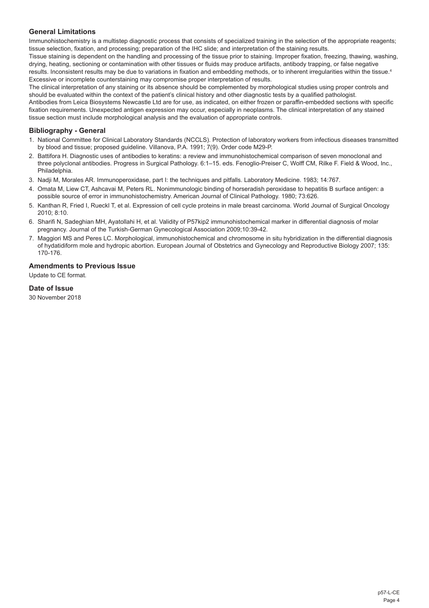# **General Limitations**

Immunohistochemistry is a multistep diagnostic process that consists of specialized training in the selection of the appropriate reagents; tissue selection, fixation, and processing; preparation of the IHC slide; and interpretation of the staining results.

Tissue staining is dependent on the handling and processing of the tissue prior to staining. Improper fixation, freezing, thawing, washing, drying, heating, sectioning or contamination with other tissues or fluids may produce artifacts, antibody trapping, or false negative results. Inconsistent results may be due to variations in fixation and embedding methods, or to inherent irregularities within the tissue.<sup>4</sup> Excessive or incomplete counterstaining may compromise proper interpretation of results.

The clinical interpretation of any staining or its absence should be complemented by morphological studies using proper controls and should be evaluated within the context of the patient's clinical history and other diagnostic tests by a qualified pathologist.

Antibodies from Leica Biosystems Newcastle Ltd are for use, as indicated, on either frozen or paraffin-embedded sections with specific fixation requirements. Unexpected antigen expression may occur, especially in neoplasms. The clinical interpretation of any stained tissue section must include morphological analysis and the evaluation of appropriate controls.

# **Bibliography - General**

- 1. National Committee for Clinical Laboratory Standards (NCCLS). Protection of laboratory workers from infectious diseases transmitted by blood and tissue; proposed guideline. Villanova, P.A. 1991; 7(9). Order code M29-P.
- 2. Battifora H. Diagnostic uses of antibodies to keratins: a review and immunohistochemical comparison of seven monoclonal and three polyclonal antibodies. Progress in Surgical Pathology. 6:1–15. eds. Fenoglio-Preiser C, Wolff CM, Rilke F. Field & Wood, Inc., Philadelphia.
- 3. Nadji M, Morales AR. Immunoperoxidase, part I: the techniques and pitfalls. Laboratory Medicine. 1983; 14:767.
- 4. Omata M, Liew CT, Ashcavai M, Peters RL. Nonimmunologic binding of horseradish peroxidase to hepatitis B surface antigen: a possible source of error in immunohistochemistry. American Journal of Clinical Pathology. 1980; 73:626.
- 5. Kanthan R, Fried I, Rueckl T, et al. Expression of cell cycle proteins in male breast carcinoma. World Journal of Surgical Oncology 2010; 8:10.
- 6. Sharifi N, Sadeghian MH, Ayatollahi H, et al. Validity of P57kip2 immunohistochemical marker in differential diagnosis of molar pregnancy. Journal of the Turkish-German Gynecological Association 2009;10:39-42.
- 7. Maggiori MS and Peres LC. Morphological, immunohistochemical and chromosome in situ hybridization in the differential diagnosis of hydatidiform mole and hydropic abortion. European Journal of Obstetrics and Gynecology and Reproductive Biology 2007; 135: 170-176.

# **Amendments to Previous Issue**

Update to CE format.

# **Date of Issue**

30 November 2018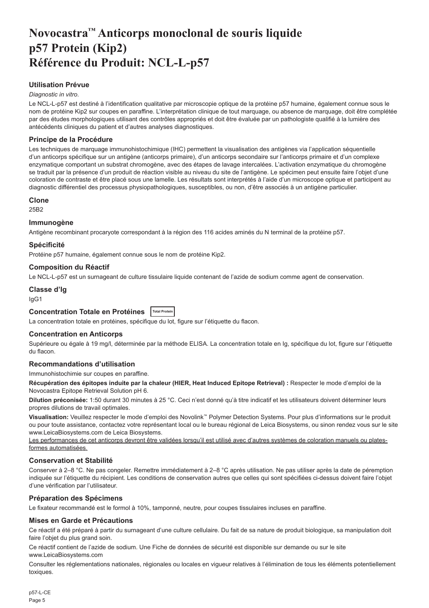# <span id="page-5-0"></span>**Novocastra™ Anticorps monoclonal de souris liquide p57 Protein (Kip2) Référence du Produit: NCL-L-p57**

# **Utilisation Prévue**

#### *Diagnostic in vitro*.

Le NCL-L-p57 est destiné à l'identification qualitative par microscopie optique de la protéine p57 humaine, également connue sous le nom de protéine Kip2 sur coupes en paraffine. L'interprétation clinique de tout marquage, ou absence de marquage, doit être complétée par des études morphologiques utilisant des contrôles appropriés et doit être évaluée par un pathologiste qualifié à la lumière des antécédents cliniques du patient et d'autres analyses diagnostiques.

# **Principe de la Procédure**

Les techniques de marquage immunohistochimique (IHC) permettent la visualisation des antigènes via l'application séquentielle d'un anticorps spécifique sur un antigène (anticorps primaire), d'un anticorps secondaire sur l'anticorps primaire et d'un complexe enzymatique comportant un substrat chromogène, avec des étapes de lavage intercalées. L'activation enzymatique du chromogène se traduit par la présence d'un produit de réaction visible au niveau du site de l'antigène. Le spécimen peut ensuite faire l'objet d'une coloration de contraste et être placé sous une lamelle. Les résultats sont interprétés à l'aide d'un microscope optique et participent au diagnostic différentiel des processus physiopathologiques, susceptibles, ou non, d'être associés à un antigène particulier.

#### **Clone**

25B2

#### **Immunogène**

Antigène recombinant procaryote correspondant à la région des 116 acides aminés du N terminal de la protéine p57.

#### **Spécificité**

Protéine p57 humaine, également connue sous le nom de protéine Kip2.

#### **Composition du Réactif**

Le NCL-L-p57 est un surnageant de culture tissulaire liquide contenant de l'azide de sodium comme agent de conservation.

# **Classe d'Ig**

IgG1

# **Concentration Totale en Protéines Total Protein**

La concentration totale en protéines, spécifique du lot, figure sur l'étiquette du flacon.

# **Concentration en Anticorps**

Supérieure ou égale à 19 mg/l, déterminée par la méthode ELISA. La concentration totale en Ig, spécifique du lot, figure sur l'étiquette du flacon.

# **Recommandations d'utilisation**

Immunohistochimie sur coupes en paraffine.

**Récupération des épitopes induite par la chaleur (HIER, Heat Induced Epitope Retrieval) :** Respecter le mode d'emploi de la Novocastra Epitope Retrieval Solution pH 6.

**Dilution préconisée:** 1:50 durant 30 minutes à 25 °C. Ceci n'est donné qu'à titre indicatif et les utilisateurs doivent déterminer leurs propres dilutions de travail optimales.

**Visualisation:** Veuillez respecter le mode d'emploi des Novolink™ Polymer Detection Systems. Pour plus d'informations sur le produit ou pour toute assistance, contactez votre représentant local ou le bureau régional de Leica Biosystems, ou sinon rendez vous sur le site www.LeicaBiosystems.com de Leica Biosystems.

Les performances de cet anticorps devront être validées lorsqu'il est utilisé avec d'autres systèmes de coloration manuels ou platesformes automatisées.

# **Conservation et Stabilité**

Conserver à 2–8 °C. Ne pas congeler. Remettre immédiatement à 2–8 °C après utilisation. Ne pas utiliser après la date de péremption indiquée sur l'étiquette du récipient. Les conditions de conservation autres que celles qui sont spécifiées ci-dessus doivent faire l'objet d'une vérification par l'utilisateur.

# **Préparation des Spécimens**

Le fixateur recommandé est le formol à 10%, tamponné, neutre, pour coupes tissulaires incluses en paraffine.

#### **Mises en Garde et Précautions**

Ce réactif a été préparé à partir du surnageant d'une culture cellulaire. Du fait de sa nature de produit biologique, sa manipulation doit faire l'objet du plus grand soin.

Ce réactif contient de l'azide de sodium. Une Fiche de données de sécurité est disponible sur demande ou sur le site www.LeicaBiosystems.com

Consulter les réglementations nationales, régionales ou locales en vigueur relatives à l'élimination de tous les éléments potentiellement toxiques.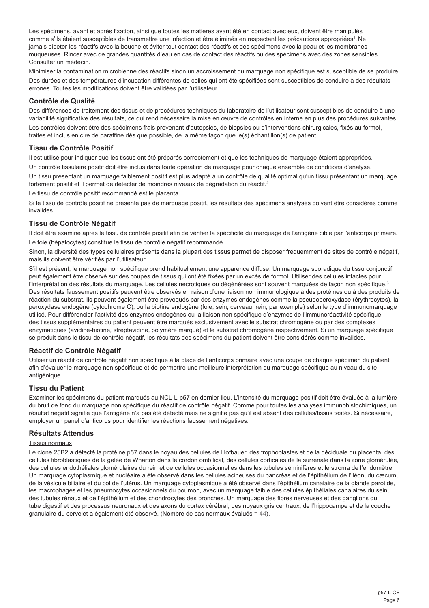Les spécimens, avant et après fixation, ainsi que toutes les matières ayant été en contact avec eux, doivent être manipulés comme s'ils étaient susceptibles de transmettre une infection et être éliminés en respectant les précautions appropriées<sup>1</sup>. Ne jamais pipeter les réactifs avec la bouche et éviter tout contact des réactifs et des spécimens avec la peau et les membranes muqueuses. Rincer avec de grandes quantités d'eau en cas de contact des réactifs ou des spécimens avec des zones sensibles. Consulter un médecin.

Minimiser la contamination microbienne des réactifs sinon un accroissement du marquage non spécifique est susceptible de se produire. Des durées et des températures d'incubation différentes de celles qui ont été spécifiées sont susceptibles de conduire à des résultats erronés. Toutes les modifications doivent être validées par l'utilisateur.

#### **Contrôle de Qualité**

Des différences de traitement des tissus et de procédures techniques du laboratoire de l'utilisateur sont susceptibles de conduire à une variabilité significative des résultats, ce qui rend nécessaire la mise en œuvre de contrôles en interne en plus des procédures suivantes.

Les contrôles doivent être des spécimens frais provenant d'autopsies, de biopsies ou d'interventions chirurgicales, fixés au formol, traités et inclus en cire de paraffine dès que possible, de la même façon que le(s) échantillon(s) de patient.

# **Tissu de Contrôle Positif**

Il est utilisé pour indiquer que les tissus ont été préparés correctement et que les techniques de marquage étaient appropriées.

Un contrôle tissulaire positif doit être inclus dans toute opération de marquage pour chaque ensemble de conditions d'analyse.

Un tissu présentant un marquage faiblement positif est plus adapté à un contrôle de qualité optimal qu'un tissu présentant un marquage fortement positif et il permet de détecter de moindres niveaux de dégradation du réactif.<sup>2</sup>

Le tissu de contrôle positif recommandé est le placenta.

Si le tissu de contrôle positif ne présente pas de marquage positif, les résultats des spécimens analysés doivent être considérés comme invalides.

# **Tissu de Contrôle Négatif**

Il doit être examiné après le tissu de contrôle positif afin de vérifier la spécificité du marquage de l'antigène cible par l'anticorps primaire. Le foie (hépatocytes) constitue le tissu de contrôle négatif recommandé.

Sinon, la diversité des types cellulaires présents dans la plupart des tissus permet de disposer fréquemment de sites de contrôle négatif, mais ils doivent être vérifiés par l'utilisateur.

S'il est présent, le marquage non spécifique prend habituellement une apparence diffuse. Un marquage sporadique du tissu conjonctif peut également être observé sur des coupes de tissus qui ont été fixées par un excès de formol. Utiliser des cellules intactes pour l'interprétation des résultats du marquage. Les cellules nécrotiques ou dégénérées sont souvent marquées de façon non spécifique.<sup>3</sup> Des résultats faussement positifs peuvent être observés en raison d'une liaison non immunologique à des protéines ou à des produits de réaction du substrat. Ils peuvent également être provoqués par des enzymes endogènes comme la pseudoperoxydase (érythrocytes), la peroxydase endogène (cytochrome C), ou la biotine endogène (foie, sein, cerveau, rein, par exemple) selon le type d'immunomarquage utilisé. Pour différencier l'activité des enzymes endogènes ou la liaison non spécifique d'enzymes de l'immunoréactivité spécifique, des tissus supplémentaires du patient peuvent être marqués exclusivement avec le substrat chromogène ou par des complexes enzymatiques (avidine-biotine, streptavidine, polymère marqué) et le substrat chromogène respectivement. Si un marquage spécifique se produit dans le tissu de contrôle négatif, les résultats des spécimens du patient doivent être considérés comme invalides.

# **Réactif de Contrôle Négatif**

Utiliser un réactif de contrôle négatif non spécifique à la place de l'anticorps primaire avec une coupe de chaque spécimen du patient afin d'évaluer le marquage non spécifique et de permettre une meilleure interprétation du marquage spécifique au niveau du site antigénique.

# **Tissu du Patient**

Examiner les spécimens du patient marqués au NCL-L-p57 en dernier lieu. L'intensité du marquage positif doit être évaluée à la lumière du bruit de fond du marquage non spécifique du réactif de contrôle négatif. Comme pour toutes les analyses immunohistochimiques, un résultat négatif signifie que l'antigène n'a pas été détecté mais ne signifie pas qu'il est absent des cellules/tissus testés. Si nécessaire, employer un panel d'anticorps pour identifier les réactions faussement négatives.

#### **Résultats Attendus**

### Tissus normaux

Le clone 25B2 a détecté la protéine p57 dans le noyau des cellules de Hofbauer, des trophoblastes et de la déciduale du placenta, des cellules fibroblastiques de la gelée de Wharton dans le cordon ombilical, des cellules corticales de la surrénale dans la zone glomérulée, des cellules endothéliales glomérulaires du rein et de cellules occasionnelles dans les tubules séminifères et le stroma de l'endomètre. Un marquage cytoplasmique et nucléaire a été observé dans les cellules acineuses du pancréas et de l'épithélium de l'iléon, du cæcum, de la vésicule biliaire et du col de l'utérus. Un marquage cytoplasmique a été observé dans l'épithélium canalaire de la glande parotide, les macrophages et les pneumocytes occasionnels du poumon, avec un marquage faible des cellules épithéliales canalaires du sein, des tubules rénaux et de l'épithélium et des chondrocytes des bronches. Un marquage des fibres nerveuses et des ganglions du tube digestif et des processus neuronaux et des axons du cortex cérébral, des noyaux gris centraux, de l'hippocampe et de la couche granulaire du cervelet a également été observé. (Nombre de cas normaux évalués = 44).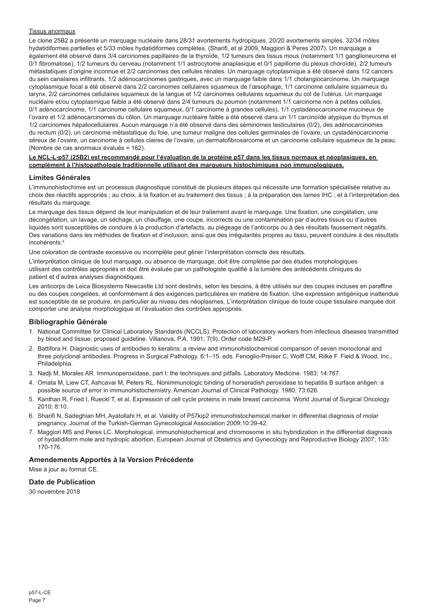#### Tissus anormaux

Le clone 25B2 a présenté un marquage nucléaire dans 28/31 avortements hydropiques, 20/20 avortements simples, 32/34 môles hydatidiformes partielles et 5/33 môles hydatidiformes complètes. (Sharifi, et al 2009, Maggiori & Peres 2007). Un marquage a également été observé dans 3/4 carcinomes papillaires de la thyroïde, 1/2 tumeurs des tissus mous (notamment 1/1 ganglioneurome et 0/1 fibromatose), 1/2 tumeurs du cerveau (notamment 1/1 astrocytome anaplasique et 0/1 papillome du plexus choroïde), 2/2 tumeurs métastatiques d'origine inconnue et 2/2 carcinomes des cellules rénales. Un marquage cytoplasmique a été observé dans 1/2 cancers du sein canalaires infiltrants, 1/2 adénocarcinomes gastriques, avec un marquage faible dans 1/1 cholangiocarcinome. Un marquage cytoplasmique focal a été observé dans 2/2 carcinomes cellulaires squameux de l'œsophage, 1/1 carcinome cellulaire squameux du larynx, 2/2 carcinomes cellulaires squameux de la langue et 1/2 carcinomes cellulaires squameux du col de l'utérus. Un marquage nucléaire et/ou cytoplasmique faible a été observé dans 2/4 tumeurs du poumon (notamment 1/1 carcinome non à petites cellules, 0/1 adénocarcinome, 1/1 carcinome cellulaire squameux, 0/1 carcinome à grandes cellules), 1/1 cystadénocarcinome mucineux de l'ovaire et 1/2 adénocarcinomes du côlon. Un marquage nucléaire faible a été observé dans un 1/1 carcinoïde atypique du thymus et 1/2 carcinomes hépatocellulaires. Aucun marquage n'a été observé dans des séminomes testiculaires (0/2), des adénocarcinomes du rectum (0/2), un carcinome métastatique du foie, une tumeur maligne des cellules germinales de l'ovaire, un cystadénocarcinome séreux de l'ovaire, un carcinome à cellules claires de l'ovaire, un dermatofibrosarcome et un carcinome cellulaire squameux de la peau. (Nombre de cas anormaux évalués = 162).

#### **Le NCL-L-p57 (25B2) est recommandé pour l'évaluation de la protéine p57 dans les tissus normaux et néoplasiques, en complément à l'histopathologie traditionnelle utilisant des marqueurs histochimiques non immunologiques.**

#### **Limites Générales**

L'immunohistochimie est un processus diagnostique constitué de plusieurs étapes qui nécessite une formation spécialisée relative au choix des réactifs appropriés ; au choix, à la fixation et au traitement des tissus ; à la préparation des lames IHC ; et à l'interprétation des résultats du marquage.

Le marquage des tissus dépend de leur manipulation et de leur traitement avant le marquage. Une fixation, une congélation, une décongélation, un lavage, un séchage, un chauffage, une coupe, incorrects ou une contamination par d'autres tissus ou d'autres liquides sont susceptibles de conduire à la production d'artefacts, au piégeage de l'anticorps ou à des résultats faussement négatifs. Des variations dans les méthodes de fixation et d'inclusion, ainsi que des irrégularités propres au tissu, peuvent conduire à des résultats incohérents.4

Une coloration de contraste excessive ou incomplète peut gêner l'interprétation correcte des résultats.

L'interprétation clinique de tout marquage, ou absence de marquage, doit être complétée par des études morphologiques utilisant des contrôles appropriés et doit être évaluée par un pathologiste qualifié à la lumière des antécédents cliniques du patient et d'autres analyses diagnostiques.

Les anticorps de Leica Biosystems Newcastle Ltd sont destinés, selon les besoins, à être utilisés sur des coupes incluses en paraffine ou des coupes congelées, et conformément à des exigences particulières en matière de fixation. Une expression antigénique inattendue est susceptible de se produire, en particulier au niveau des néoplasmes. L'interprétation clinique de toute coupe tissulaire marquée doit comporter une analyse morphologique et l'évaluation des contrôles appropriés.

# **Bibliographie Générale**

- 1. National Committee for Clinical Laboratory Standards (NCCLS). Protection of laboratory workers from infectious diseases transmitted by blood and tissue; proposed guideline. Villanova, P.A. 1991; 7(9). Order code M29-P.
- 2. Battifora H. Diagnostic uses of antibodies to keratins: a review and immunohistochemical comparison of seven monoclonal and three polyclonal antibodies. Progress in Surgical Pathology. 6:1–15. eds. Fenoglio-Preiser C, Wolff CM, Rilke F. Field & Wood, Inc., Philadelphia.
- 3. Nadji M, Morales AR. Immunoperoxidase, part I: the techniques and pitfalls. Laboratory Medicine. 1983; 14:767.
- 4. Omata M, Liew CT, Ashcavai M, Peters RL. Nonimmunologic binding of horseradish peroxidase to hepatitis B surface antigen: a possible source of error in immunohistochemistry. American Journal of Clinical Pathology. 1980; 73:626.
- 5. Kanthan R, Fried I, Rueckl T, et al. Expression of cell cycle proteins in male breast carcinoma. World Journal of Surgical Oncology 2010; 8:10.
- 6. Sharifi N, Sadeghian MH, Ayatollahi H, et al. Validity of P57kip2 immunohistochemical marker in differential diagnosis of molar pregnancy. Journal of the Turkish-German Gynecological Association 2009;10:39-42.
- 7. Maggiori MS and Peres LC. Morphological, immunohistochemical and chromosome in situ hybridization in the differential diagnosis of hydatidiform mole and hydropic abortion. European Journal of Obstetrics and Gynecology and Reproductive Biology 2007; 135: 170-176.

# **Amendements Apportés à la Version Précédente**

Mise à jour au format CE.

#### **Date de Publication**

30 novembre 2018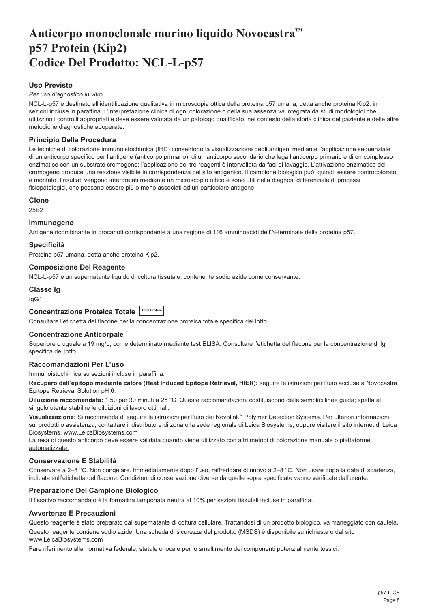# <span id="page-8-0"></span>**Anticorpo monoclonale murino liquido Novocastra™ p57 Protein (Kip2) Codice Del Prodotto: NCL-L-p57**

# **Uso Previsto**

*Per uso diagnostico in vitro*.

NCL-L-p57 è destinato all'identificazione qualitativa in microscopia ottica della proteina p57 umana, detta anche proteina Kip2, in sezioni incluse in paraffina. L'interpretazione clinica di ogni colorazione o della sua assenza va integrata da studi morfologici che utilizzino i controlli appropriati e deve essere valutata da un patologo qualificato, nel contesto della storia clinica del paziente e delle altre metodiche diagnostiche adoperate.

# **Principio Della Procedura**

Le tecniche di colorazione immunoistochimica (IHC) consentono la visualizzazione degli antigeni mediante l'applicazione sequenziale di un anticorpo specifico per l'antigene (anticorpo primario), di un anticorpo secondario che lega l'anticorpo primario e di un complesso enzimatico con un substrato cromogeno; l'applicazione dei tre reagenti è intervallata da fasi di lavaggio. L'attivazione enzimatica del cromogeno produce una reazione visibile in corrispondenza del sito antigenico. Il campione biologico può, quindi, essere controcolorato e montato. I risultati vengono interpretati mediante un microscopio ottico e sono utili nella diagnosi differenziale di processi fisiopatologici, che possono essere più o meno associati ad un particolare antigene.

#### **Clone**

25B2

### **Immunogeno**

Antigene ricombinante in procarioti corrispondente a una regione di 116 amminoacidi dell'N-terminale della proteina p57.

# **Specificità**

Proteina p57 umana, detta anche proteina Kip2.

# **Composizione Del Reagente**

NCL-L-p57 è un supernatante liquido di coltura tissutale, contenente sodio azide come conservante.

# **Classe Ig**

IgG1

# **Concentrazione Proteica Totale Total Protein**

Consultare l'etichetta del flacone per la concentrazione proteica totale specifica del lotto.

# **Concentrazione Anticorpale**

Superiore o uguale a 19 mg/L, come determinato mediante test ELISA. Consultare l'etichetta del flacone per la concentrazione di Ig specifica del lotto.

# **Raccomandazioni Per L'uso**

Immunoistochimica su sezioni incluse in paraffina.

**Recupero dell'epitopo mediante calore (Heat Induced Epitope Retrieval, HIER):** seguire le istruzioni per l'uso accluse a Novocastra Epitope Retrieval Solution pH 6.

**Diluizione raccomandata:** 1:50 per 30 minuti a 25 °C. Queste raccomandazioni costituiscono delle semplici linee guida; spetta al singolo utente stabilire le diluizioni di lavoro ottimali.

**Visualizzazione:** Si raccomanda di seguire le istruzioni per l'uso dei Novolink™ Polymer Detection Systems. Per ulteriori informazioni sui prodotti o assistenza, contattare il distributore di zona o la sede regionale di Leica Biosystems, oppure visitare il sito internet di Leica Biosystems, www.LeicaBiosystems.com

La resa di questo anticorpo deve essere validata quando viene utilizzato con altri metodi di colorazione manuale o piattaforme automatizzate.

# **Conservazione E Stabilità**

Conservare a 2–8 °C. Non congelare. Immediatamente dopo l'uso, raffreddare di nuovo a 2–8 °C. Non usare dopo la data di scadenza, indicata sull'etichetta del flacone. Condizioni di conservazione diverse da quelle sopra specificate vanno verificate dall'utente.

# **Preparazione Del Campione Biologico**

Il fissativo raccomandato è la formalina tamponata neutra al 10% per sezioni tissutali incluse in paraffina.

#### **Avvertenze E Precauzioni**

Questo reagente è stato preparato dal supernatante di coltura cellulare. Trattandosi di un prodotto biologico, va maneggiato con cautela.

Questo reagente contiene sodio azide. Una scheda di sicurezza del prodotto (MSDS) è disponibile su richiesta o dal sito www.LeicaBiosystems.com

Fare riferimento alla normativa federale, statale o locale per lo smaltimento dei componenti potenzialmente tossici.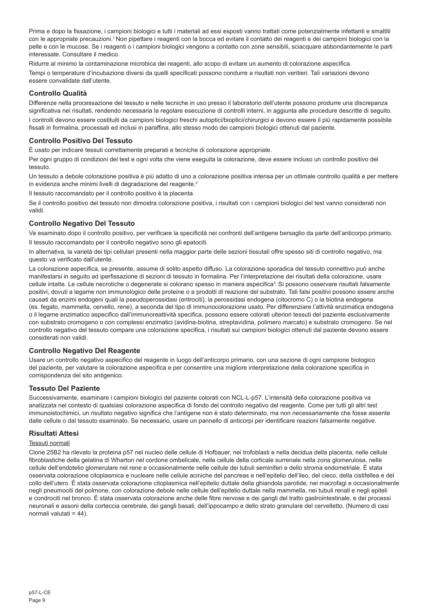Prima e dopo la fissazione, i campioni biologici e tutti i materiali ad essi esposti vanno trattati come potenzialmente infettanti e smaltiti con le appropriate precauzioni.<sup>1</sup> Non pipettare i reagenti con la bocca ed evitare il contatto dei reagenti e dei campioni biologici con la pelle e con le mucose. Se i reagenti o i campioni biologici vengono a contatto con zone sensibili, sciacquare abbondantemente le parti interessate. Consultare il medico.

Ridurre al minimo la contaminazione microbica dei reagenti, allo scopo di evitare un aumento di colorazione aspecifica. Tempi o temperature d'incubazione diversi da quelli specificati possono condurre a risultati non veritieri. Tali variazioni devono essere convalidate dall'utente.

# **Controllo Qualità**

Differenze nella processazione del tessuto e nelle tecniche in uso presso il laboratorio dell'utente possono produrre una discrepanza significativa nei risultati, rendendo necessaria la regolare esecuzione di controlli interni, in aggiunta alle procedure descritte di seguito.

I controlli devono essere costituiti da campioni biologici freschi autoptici/bioptici/chirurgici e devono essere il più rapidamente possibile fissati in formalina, processati ed inclusi in paraffina, allo stesso modo dei campioni biologici ottenuti dal paziente.

# **Controllo Positivo Del Tessuto**

È usato per indicare tessuti correttamente preparati e tecniche di colorazione appropriate.

Per ogni gruppo di condizioni del test e ogni volta che viene eseguita la colorazione, deve essere incluso un controllo positivo del tessuto.

Un tessuto a debole colorazione positiva è più adatto di uno a colorazione positiva intensa per un ottimale controllo qualità e per mettere in evidenza anche minimi livelli di degradazione del reagente.<sup>2</sup>

Il tessuto raccomandato per il controllo positivo è la placenta.

Se il controllo positivo del tessuto non dimostra colorazione positiva, i risultati con i campioni biologici del test vanno considerati non validi.

# **Controllo Negativo Del Tessuto**

Va esaminato dopo il controllo positivo, per verificare la specificità nei confronti dell'antigene bersaglio da parte dell'anticorpo primario. Il tessuto raccomandato per il controllo negativo sono gli epatociti.

In alternativa, la varietà dei tipi cellulari presenti nella maggior parte delle sezioni tissutali offre spesso siti di controllo negativo, ma questo va verificato dall'utente.

La colorazione aspecifica, se presente, assume di solito aspetto diffuso. La colorazione sporadica del tessuto connettivo può anche manifestarsi in seguito ad iperfissazione di sezioni di tessuto in formalina. Per l'interpretazione dei risultati della colorazione, usare cellule intatte. Le cellule necrotiche o degenerate si colorano spesso in maniera aspecifica<sup>3</sup>. Si possono osservare risultati falsamente positivi, dovuti a legame non immunologico delle proteine o a prodotti di reazione del substrato. Tali falsi positivi possono essere anche causati da enzimi endogeni quali la pseudoperossidasi (eritrociti), la perossidasi endogena (citocromo C) o la biotina endogena (es. fegato, mammella, cervello, rene), a seconda del tipo di immunocolorazione usato. Per differenziare l'attività enzimatica endogena o il legame enzimatico aspecifico dall'immunoreattività specifica, possono essere colorati ulteriori tessuti del paziente esclusivamente con substrato cromogeno o con complessi enzimatici (avidina-biotina, streptavidina, polimero marcato) e substrato cromogeno. Se nel controllo negativo del tessuto compare una colorazione specifica, i risultati sui campioni biologici ottenuti dal paziente devono essere considerati non validi.

# **Controllo Negativo Del Reagente**

Usare un controllo negativo aspecifico del reagente in luogo dell'anticorpo primario, con una sezione di ogni campione biologico del paziente, per valutare la colorazione aspecifica e per consentire una migliore interpretazione della colorazione specifica in corrispondenza del sito antigenico.

# **Tessuto Del Paziente**

Successivamente, esaminare i campioni biologici del paziente colorati con NCL-L-p57. L'intensità della colorazione positiva va analizzata nel contesto di qualsiasi colorazione aspecifica di fondo del controllo negativo del reagente. Come per tutti gli altri test immunoistochimici, un risultato negativo significa che l'antigene non è stato determinato, ma non necessariamente che fosse assente dalle cellule o dal tessuto esaminato. Se necessario, usare un pannello di anticorpi per identificare reazioni falsamente negative.

# **Risultati Attesi**

#### Tessuti normali

Clone 25B2 ha rilevato la proteina p57 nel nucleo delle cellule di Hofbauer, nei trofoblasti e nella decidua della placenta, nelle cellule fibroblastiche della gelatina di Wharton nel cordone ombelicale, nelle cellule della corticale surrenale nella zona glomerulosa, nelle cellule dell'endotelio glomerulare nel rene e occasionalmente nelle cellule dei tubuli seminiferi e dello stroma endometriale. È stata osservata colorazione citoplasmica e nucleare nelle cellule aciniche del pancreas e nell'epitelio dell'ileo, del cieco, della cistifellea e del collo dell'utero. È stata osservata colorazione citoplasmica nell'epitelio duttale della ghiandola parotide, nei macrofagi e occasionalmente negli pneumociti del polmone, con colorazione debole nelle cellule dell'epitelio duttale nella mammella, nei tubuli renali e negli epiteli e condrociti nel bronco. È stata osservata colorazione anche delle fibre nervose e dei gangli del tratto gastrointestinale, e dei processi neuronali e assoni della corteccia cerebrale, dei gangli basali, dell'ippocampo e dello strato granulare del cervelletto. (Numero di casi normali valutati = 44).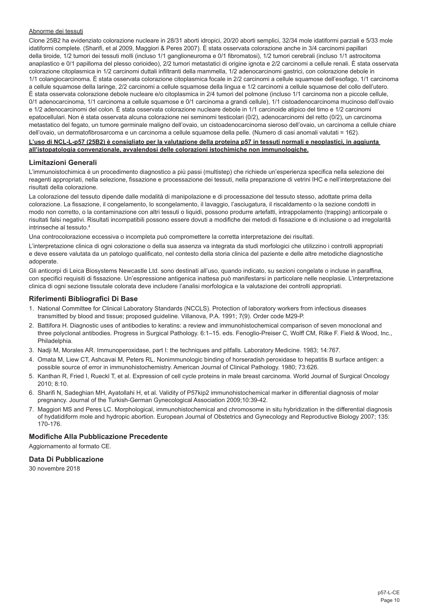#### Abnorme dei tessuti

Clone 25B2 ha evidenziato colorazione nucleare in 28/31 aborti idropici, 20/20 aborti semplici, 32/34 mole idatiformi parziali e 5/33 mole idatiformi complete. (Sharifi, et al 2009, Maggiori & Peres 2007). È stata osservata colorazione anche in 3/4 carcinomi papillari della tiroide, 1/2 tumori dei tessuti molli (incluso 1/1 ganglioneuroma e 0/1 fibromatosi), 1/2 tumori cerebrali (incluso 1/1 astrocitoma anaplastico e 0/1 papilloma del plesso corioideo), 2/2 tumori metastatici di origine ignota e 2/2 carcinomi a cellule renali. È stata osservata colorazione citoplasmica in 1/2 carcinomi duttali infiltranti della mammella, 1/2 adenocarcinomi gastrici, con colorazione debole in 1/1 colangiocarcinoma. È stata osservata colorazione citoplasmica focale in 2/2 carcinomi a cellule squamose dell'esofago, 1/1 carcinoma a cellule squamose della laringe, 2/2 carcinomi a cellule squamose della lingua e 1/2 carcinomi a cellule squamose del collo dell'utero. È stata osservata colorazione debole nucleare e/o citoplasmica in 2/4 tumori del polmone (incluso 1/1 carcinoma non a piccole cellule, 0/1 adenocarcinoma, 1/1 carcinoma a cellule squamose e 0/1 carcinoma a grandi cellule), 1/1 cistoadenocarcinoma mucinoso dell'ovaio e 1/2 adenocarcinomi del colon. È stata osservata colorazione nucleare debole in 1/1 carcinoide atipico del timo e 1/2 carcinomi epatocellulari. Non è stata osservata alcuna colorazione nei seminomi testicolari (0/2), adenocarcinomi del retto (0/2), un carcinoma metastatico del fegato, un tumore germinale maligno dell'ovaio, un cistoadenocarcinoma sieroso dell'ovaio, un carcinoma a cellule chiare dell'ovaio, un dermatofibrosarcoma e un carcinoma a cellule squamose della pelle. (Numero di casi anomali valutati = 162).

#### **L'uso di NCL-L-p57 (25B2) è consigliato per la valutazione della proteina p57 in tessuti normali e neoplastici, in aggiunta all'istopatologia convenzionale, avvalendosi delle colorazioni istochimiche non immunologiche.**

#### **Limitazioni Generali**

L'immunoistochimica è un procedimento diagnostico a più passi (multistep) che richiede un'esperienza specifica nella selezione dei reagenti appropriati, nella selezione, fissazione e processazione dei tessuti, nella preparazione di vetrini IHC e nell'interpretazione dei risultati della colorazione.

La colorazione del tessuto dipende dalle modalità di manipolazione e di processazione del tessuto stesso, adottate prima della colorazione. La fissazione, il congelamento, lo scongelamento, il lavaggio, l'asciugatura, il riscaldamento o la sezione condotti in modo non corretto, o la contaminazione con altri tessuti o liquidi, possono produrre artefatti, intrappolamento (trapping) anticorpale o risultati falsi negativi. Risultati incompatibili possono essere dovuti a modifiche dei metodi di fissazione e di inclusione o ad irregolarità intrinseche al tessuto.4

Una controcolorazione eccessiva o incompleta può compromettere la corretta interpretazione dei risultati.

L'interpretazione clinica di ogni colorazione o della sua assenza va integrata da studi morfologici che utilizzino i controlli appropriati e deve essere valutata da un patologo qualificato, nel contesto della storia clinica del paziente e delle altre metodiche diagnostiche adoperate.

Gli anticorpi di Leica Biosystems Newcastle Ltd. sono destinati all'uso, quando indicato, su sezioni congelate o incluse in paraffina, con specifici requisiti di fissazione. Un'espressione antigenica inattesa può manifestarsi in particolare nelle neoplasie. L'interpretazione clinica di ogni sezione tissutale colorata deve includere l'analisi morfologica e la valutazione dei controlli appropriati.

# **Riferimenti Bibliografici Di Base**

- 1. National Committee for Clinical Laboratory Standards (NCCLS). Protection of laboratory workers from infectious diseases transmitted by blood and tissue; proposed guideline. Villanova, P.A. 1991; 7(9). Order code M29-P.
- 2. Battifora H. Diagnostic uses of antibodies to keratins: a review and immunohistochemical comparison of seven monoclonal and three polyclonal antibodies. Progress in Surgical Pathology. 6:1–15. eds. Fenoglio-Preiser C, Wolff CM, Rilke F. Field & Wood, Inc., Philadelphia.
- 3. Nadji M, Morales AR. Immunoperoxidase, part I: the techniques and pitfalls. Laboratory Medicine. 1983; 14:767.
- 4. Omata M, Liew CT, Ashcavai M, Peters RL. Nonimmunologic binding of horseradish peroxidase to hepatitis B surface antigen: a possible source of error in immunohistochemistry. American Journal of Clinical Pathology. 1980; 73:626.
- 5. Kanthan R, Fried I, Rueckl T, et al. Expression of cell cycle proteins in male breast carcinoma. World Journal of Surgical Oncology 2010; 8:10.
- 6. Sharifi N, Sadeghian MH, Ayatollahi H, et al. Validity of P57kip2 immunohistochemical marker in differential diagnosis of molar pregnancy. Journal of the Turkish-German Gynecological Association 2009;10:39-42.
- 7. Maggiori MS and Peres LC. Morphological, immunohistochemical and chromosome in situ hybridization in the differential diagnosis of hydatidiform mole and hydropic abortion. European Journal of Obstetrics and Gynecology and Reproductive Biology 2007; 135: 170-176.

# **Modifiche Alla Pubblicazione Precedente**

Aggiornamento al formato CE.

#### **Data Di Pubblicazione**

30 novembre 2018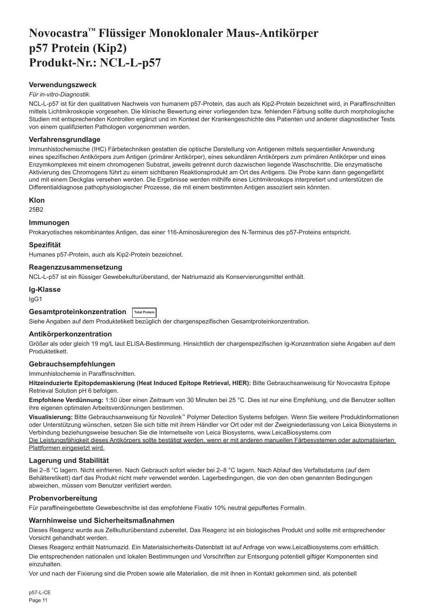# <span id="page-11-0"></span>**Novocastra™ Flüssiger Monoklonaler Maus-Antikörper p57 Protein (Kip2) Produkt-Nr.: NCL-L-p57**

## **Verwendungszweck**

#### *Für in-vitro-Diagnostik*.

NCL-L-p57 ist für den qualitativen Nachweis von humanem p57-Protein, das auch als Kip2-Protein bezeichnet wird, in Paraffinschnitten mittels Lichtmikroskopie vorgesehen. Die klinische Bewertung einer vorliegenden bzw. fehlenden Färbung sollte durch morphologische Studien mit entsprechenden Kontrollen ergänzt und im Kontext der Krankengeschichte des Patienten und anderer diagnostischer Tests von einem qualifizierten Pathologen vorgenommen werden.

#### **Verfahrensgrundlage**

Immunhistochemische (IHC) Färbetechniken gestatten die optische Darstellung von Antigenen mittels sequentieller Anwendung eines spezifischen Antikörpers zum Antigen (primärer Antikörper), eines sekundären Antikörpers zum primären Antikörper und eines Enzymkomplexes mit einem chromogenen Substrat, jeweils getrennt durch dazwischen liegende Waschschritte. Die enzymatische Aktivierung des Chromogens führt zu einem sichtbaren Reaktionsprodukt am Ort des Antigens. Die Probe kann dann gegengefärbt und mit einem Deckglas versehen werden. Die Ergebnisse werden mithilfe eines Lichtmikroskops interpretiert und unterstützen die Differentialdiagnose pathophysiologischer Prozesse, die mit einem bestimmten Antigen assoziiert sein könnten.

#### **Klon**

25B2

# **Immunogen**

Prokaryotisches rekombinantes Antigen, das einer 116-Aminosäureregion des N-Terminus des p57-Proteins entspricht.

#### **Spezifität**

Humanes p57-Protein, auch als Kip2-Protein bezeichnet.

#### **Reagenzzusammensetzung**

NCL-L-p57 ist ein flüssiger Gewebekulturüberstand, der Natriumazid als Konservierungsmittel enthält.

**Ig-Klasse** IgG1

# **Gesamtproteinkonzentration Total Protein**

Siehe Angaben auf dem Produktetikett bezüglich der chargenspezifischen Gesamtproteinkonzentration.

# **Antikörperkonzentration**

Größer als oder gleich 19 mg/L laut ELISA-Bestimmung. Hinsichtlich der chargenspezifischen Ig-Konzentration siehe Angaben auf dem Produktetikett.

# **Gebrauchsempfehlungen**

Immunhistochemie in Paraffinschnitten.

**Hitzeinduzierte Epitopdemaskierung (Heat Induced Epitope Retrieval, HIER):** Bitte Gebrauchsanweisung für Novocastra Epitope Retrieval Solution pH 6 befolgen.

**Empfohlene Verdünnung:** 1:50 über einen Zeitraum von 30 Minuten bei 25 °C. Dies ist nur eine Empfehlung, und die Benutzer sollten ihre eigenen optimalen Arbeitsverdünnungen bestimmen.

**Visualisierung:** Bitte Gebrauchsanweisung für Novolink™ Polymer Detection Systems befolgen. Wenn Sie weitere Produktinformationen oder Unterstützung wünschen, setzen Sie sich bitte mit ihrem Händler vor Ort oder mit der Zweigniederlassung von Leica Biosystems in Verbindung beziehungsweise besuchen Sie die Internetseite von Leica Biosystems, www.LeicaBiosystems.com

Die Leistungsfähigkeit dieses Antikörpers sollte bestätigt werden, wenn er mit anderen manuellen Färbesystemen oder automatisierten Plattformen eingesetzt wird.

# **Lagerung und Stabilität**

Bei 2–8 °C lagern. Nicht einfrieren. Nach Gebrauch sofort wieder bei 2–8 °C lagern. Nach Ablauf des Verfallsdatums (auf dem Behälteretikett) darf das Produkt nicht mehr verwendet werden. Lagerbedingungen, die von den oben genannten Bedingungen abweichen, müssen vom Benutzer verifiziert werden.

# **Probenvorbereitung**

Für paraffineingebettete Gewebeschnitte ist das empfohlene Fixativ 10% neutral gepuffertes Formalin.

#### **Warnhinweise und Sicherheitsmaßnahmen**

Dieses Reagenz wurde aus Zellkulturüberstand zubereitet. Das Reagenz ist ein biologisches Produkt und sollte mit entsprechender Vorsicht gehandhabt werden.

Dieses Reagenz enthält Natriumazid. Ein Materialsicherheits-Datenblatt ist auf Anfrage von www.LeicaBiosystems.com erhältlich.

Die entsprechenden nationalen und lokalen Bestimmungen und Vorschriften zur Entsorgung potentiell giftiger Komponenten sind einzuhalten.

Vor und nach der Fixierung sind die Proben sowie alle Materialien, die mit ihnen in Kontakt gekommen sind, als potentiell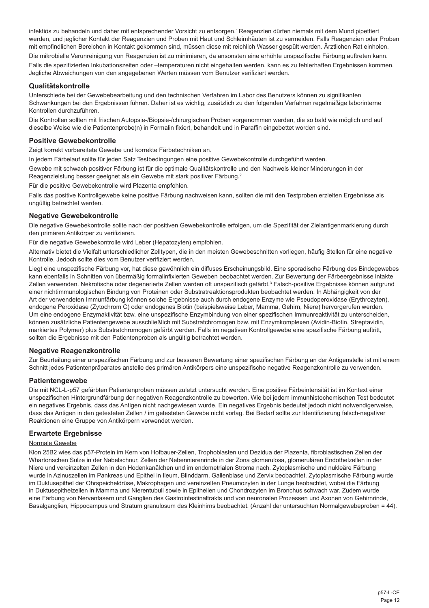infektiös zu behandeln und daher mit entsprechender Vorsicht zu entsorgen.<sup>1</sup> Reagenzien dürfen niemals mit dem Mund pipettiert werden, und jeglicher Kontakt der Reagenzien und Proben mit Haut und Schleimhäuten ist zu vermeiden. Falls Reagenzien oder Proben mit empfindlichen Bereichen in Kontakt gekommen sind, müssen diese mit reichlich Wasser gespült werden. Ärztlichen Rat einholen. Die mikrobielle Verunreinigung von Reagenzien ist zu minimieren, da ansonsten eine erhöhte unspezifische Färbung auftreten kann. Falls die spezifizierten Inkubationszeiten oder –temperaturen nicht eingehalten werden, kann es zu fehlerhaften Ergebnissen kommen.

#### **Qualitätskontrolle**

Unterschiede bei der Gewebebearbeitung und den technischen Verfahren im Labor des Benutzers können zu signifikanten Schwankungen bei den Ergebnissen führen. Daher ist es wichtig, zusätzlich zu den folgenden Verfahren regelmäßige laborinterne Kontrollen durchzuführen.

Die Kontrollen sollten mit frischen Autopsie-/Biopsie-/chirurgischen Proben vorgenommen werden, die so bald wie möglich und auf dieselbe Weise wie die Patientenprobe(n) in Formalin fixiert, behandelt und in Paraffin eingebettet worden sind.

# **Positive Gewebekontrolle**

Zeigt korrekt vorbereitete Gewebe und korrekte Färbetechniken an.

In jedem Färbelauf sollte für jeden Satz Testbedingungen eine positive Gewebekontrolle durchgeführt werden.

Jegliche Abweichungen von den angegebenen Werten müssen vom Benutzer verifiziert werden.

Gewebe mit schwach positiver Färbung ist für die optimale Qualitätskontrolle und den Nachweis kleiner Minderungen in der Reagenzleistung besser geeignet als ein Gewebe mit stark positiver Färbung.<sup>2</sup>

Für die positive Gewebekontrolle wird Plazenta empfohlen.

Falls das positive Kontrollgewebe keine positive Färbung nachweisen kann, sollten die mit den Testproben erzielten Ergebnisse als ungültig betrachtet werden.

#### **Negative Gewebekontrolle**

Die negative Gewebekontrolle sollte nach der positiven Gewebekontrolle erfolgen, um die Spezifität der Zielantigenmarkierung durch den primären Antikörper zu verifizieren.

Für die negative Gewebekontrolle wird Leber (Hepatozyten) empfohlen.

Alternativ bietet die Vielfalt unterschiedlicher Zelltypen, die in den meisten Gewebeschnitten vorliegen, häufig Stellen für eine negative Kontrolle. Jedoch sollte dies vom Benutzer verifiziert werden.

Liegt eine unspezifische Färbung vor, hat diese gewöhnlich ein diffuses Erscheinungsbild. Eine sporadische Färbung des Bindegewebes kann ebenfalls in Schnitten von übermäßig formalinfixierten Geweben beobachtet werden. Zur Bewertung der Färbeergebnisse intakte Zellen verwenden. Nekrotische oder degenerierte Zellen werden oft unspezifisch gefärbt.<sup>3</sup> Falsch-positive Ergebnisse können aufgrund einer nichtimmunologischen Bindung von Proteinen oder Substratreaktionsprodukten beobachtet werden. In Abhängigkeit von der Art der verwendeten Immunfärbung können solche Ergebnisse auch durch endogene Enzyme wie Pseudoperoxidase (Erythrozyten), endogene Peroxidase (Zytochrom C) oder endogenes Biotin (beispielsweise Leber, Mamma, Gehirn, Niere) hervorgerufen werden. Um eine endogene Enzymaktivität bzw. eine unspezifische Enzymbindung von einer spezifischen Immunreaktivität zu unterscheiden, können zusätzliche Patientengewebe ausschließlich mit Substratchromogen bzw. mit Enzymkomplexen (Avidin-Biotin, Streptavidin, markiertes Polymer) plus Substratchromogen gefärbt werden. Falls im negativen Kontrollgewebe eine spezifische Färbung auftritt, sollten die Ergebnisse mit den Patientenproben als ungültig betrachtet werden.

# **Negative Reagenzkontrolle**

Zur Beurteilung einer unspezifischen Färbung und zur besseren Bewertung einer spezifischen Färbung an der Antigenstelle ist mit einem Schnitt jedes Patientenpräparates anstelle des primären Antikörpers eine unspezifische negative Reagenzkontrolle zu verwenden.

#### **Patientengewebe**

Die mit NCL-L-p57 gefärbten Patientenproben müssen zuletzt untersucht werden. Eine positive Färbeintensität ist im Kontext einer unspezifischen Hintergrundfärbung der negativen Reagenzkontrolle zu bewerten. Wie bei jedem immunhistochemischen Test bedeutet ein negatives Ergebnis, dass das Antigen nicht nachgewiesen wurde. Ein negatives Ergebnis bedeutet jedoch nicht notwendigerweise, dass das Antigen in den getesteten Zellen / im getesteten Gewebe nicht vorlag. Bei Bedarf sollte zur Identifizierung falsch-negativer Reaktionen eine Gruppe von Antikörpern verwendet werden.

#### **Erwartete Ergebnisse**

#### Normale Gewebe

Klon 25B2 wies das p57-Protein im Kern von Hofbauer-Zellen, Trophoblasten und Dezidua der Plazenta, fibroblastischen Zellen der Whartonschen Sulze in der Nabelschnur, Zellen der Nebennierenrinde in der Zona glomerulosa, glomerulären Endothelzellen in der Niere und vereinzelten Zellen in den Hodenkanälchen und im endometrialen Stroma nach. Zytoplasmische und nukleäre Färbung wurde in Azinuszellen im Pankreas und Epithel in Ileum, Blinddarm, Gallenblase und Zervix beobachtet. Zytoplasmische Färbung wurde im Duktusepithel der Ohrspeicheldrüse, Makrophagen und vereinzelten Pneumozyten in der Lunge beobachtet, wobei die Färbung in Duktusepithelzellen in Mamma und Nierentubuli sowie in Epithelien und Chondrozyten im Bronchus schwach war. Zudem wurde eine Färbung von Nervenfasern und Ganglien des Gastrointestinaltrakts und von neuronalen Prozessen und Axonen von Gehirnrinde, Basalganglien, Hippocampus und Stratum granulosum des Kleinhirns beobachtet. (Anzahl der untersuchten Normalgewebeproben = 44).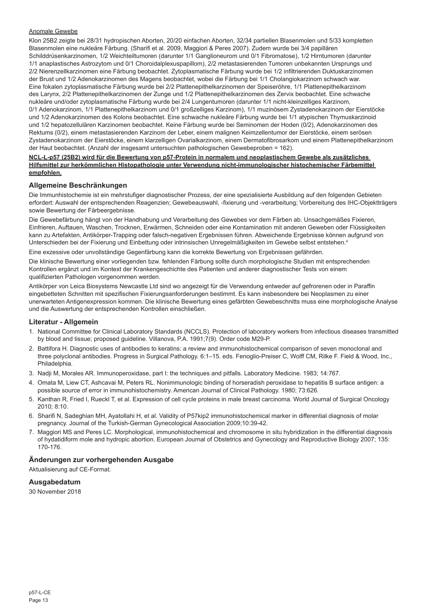# Anomale Gewebe

Klon 25B2 zeigte bei 28/31 hydropischen Aborten, 20/20 einfachen Aborten, 32/34 partiellen Blasenmolen und 5/33 kompletten Blasenmolen eine nukleäre Färbung. (Sharifi et al. 2009, Maggiori & Peres 2007). Zudem wurde bei 3/4 papillären Schilddrüsenkarzinomen, 1/2 Weichteiltumoren (darunter 1/1 Ganglioneurom und 0/1 Fibromatose), 1/2 Hirntumoren (darunter 1/1 anaplastisches Astrozytom und 0/1 Choroidalplexuspapillom), 2/2 metastasierenden Tumoren unbekannten Ursprungs und 2/2 Nierenzellkarzinomen eine Färbung beobachtet. Zytoplasmatische Färbung wurde bei 1/2 infiltrierenden Duktuskarzinomen der Brust und 1/2 Adenokarzinomen des Magens beobachtet, wobei die Färbung bei 1/1 Cholangiokarzinom schwach war. Eine fokalen zytoplasmatische Färbung wurde bei 2/2 Plattenepithelkarzinomen der Speiseröhre, 1/1 Plattenepithelkarzinom des Larynx, 2/2 Plattenepithelkarzinomen der Zunge und 1/2 Plattenepithelkarzinomen des Zervix beobachtet. Eine schwache nukleäre und/oder zytoplasmatische Färbung wurde bei 2/4 Lungentumoren (darunter 1/1 nicht-kleinzelliges Karzinom, 0/1 Adenokarzinom, 1/1 Plattenepithelkarzinom und 0/1 großzelliges Karzinom), 1/1 muzinösem Zystadenokarzinom der Eierstöcke und 1/2 Adenokarzinomen des Kolons beobachtet. Eine schwache nukleäre Färbung wurde bei 1/1 atypischen Thymuskarzinoid und 1/2 hepatozellulären Karzinomen beobachtet. Keine Färbung wurde bei Seminomen der Hoden (0/2), Adenokarzinomen des Rektums (0/2), einem metastasierenden Karzinom der Leber, einem malignen Keimzellentumor der Eierstöcke, einem serösen Zystadenokarzinom der Eierstöcke, einem klarzelligen Ovarialkarzinom, einem Dermatofibrosarkom und einem Plattenepithelkarzinom der Haut beobachtet. (Anzahl der insgesamt untersuchten pathologischen Gewebeproben = 162).

#### **NCL-L-p57 (25B2) wird für die Bewertung von p57-Protein in normalem und neoplastischem Gewebe als zusätzliches Hilfsmittel zur herkömmlichen Histopathologie unter Verwendung nicht-immunologischer histochemischer Färbemittel empfohlen.**

# **Allgemeine Beschränkungen**

Die Immunhistochemie ist ein mehrstufiger diagnostischer Prozess, der eine spezialisierte Ausbildung auf den folgenden Gebieten erfordert: Auswahl der entsprechenden Reagenzien; Gewebeauswahl, -fixierung und -verarbeitung; Vorbereitung des IHC-Objektträgers sowie Bewertung der Färbeergebnisse.

Die Gewebefärbung hängt von der Handhabung und Verarbeitung des Gewebes vor dem Färben ab. Unsachgemäßes Fixieren, Einfrieren, Auftauen, Waschen, Trocknen, Erwärmen, Schneiden oder eine Kontamination mit anderen Geweben oder Flüssigkeiten kann zu Artefakten, Antikörper-Trapping oder falsch-negativen Ergebnissen führen. Abweichende Ergebnisse können aufgrund von Unterschieden bei der Fixierung und Einbettung oder intrinsischen Unregelmäßigkeiten im Gewebe selbst entstehen.4

Eine exzessive oder unvollständige Gegenfärbung kann die korrekte Bewertung von Ergebnissen gefährden.

Die klinische Bewertung einer vorliegenden bzw. fehlenden Färbung sollte durch morphologische Studien mit entsprechenden Kontrollen ergänzt und im Kontext der Krankengeschichte des Patienten und anderer diagnostischer Tests von einem qualifizierten Pathologen vorgenommen werden.

Antikörper von Leica Biosystems Newcastle Ltd sind wo angezeigt für die Verwendung entweder auf gefrorenen oder in Paraffin eingebetteten Schnitten mit spezifischen Fixierungsanforderungen bestimmt. Es kann insbesondere bei Neoplasmen zu einer unerwarteten Antigenexpression kommen. Die klinische Bewertung eines gefärbten Gewebeschnitts muss eine morphologische Analyse und die Auswertung der entsprechenden Kontrollen einschließen.

#### **Literatur - Allgemein**

- 1. National Committee for Clinical Laboratory Standards (NCCLS). Protection of laboratory workers from infectious diseases transmitted by blood and tissue; proposed guideline. Villanova, P.A. 1991;7(9). Order code M29-P.
- 2. Battifora H. Diagnostic uses of antibodies to keratins: a review and immunohistochemical comparison of seven monoclonal and three polyclonal antibodies. Progress in Surgical Pathology. 6:1–15. eds. Fenoglio-Preiser C, Wolff CM, Rilke F. Field & Wood, Inc., Philadelphia.
- 3. Nadji M, Morales AR. Immunoperoxidase, part I: the techniques and pitfalls. Laboratory Medicine. 1983; 14:767.
- 4. Omata M, Liew CT, Ashcavai M, Peters RL. Nonimmunologic binding of horseradish peroxidase to hepatitis B surface antigen: a possible source of error in immunohistochemistry. American Journal of Clinical Pathology. 1980; 73:626.
- 5. Kanthan R, Fried I, Rueckl T, et al. Expression of cell cycle proteins in male breast carcinoma. World Journal of Surgical Oncology 2010; 8:10.
- 6. Sharifi N, Sadeghian MH, Ayatollahi H, et al. Validity of P57kip2 immunohistochemical marker in differential diagnosis of molar pregnancy. Journal of the Turkish-German Gynecological Association 2009;10:39-42.
- 7. Maggiori MS and Peres LC. Morphological, immunohistochemical and chromosome in situ hybridization in the differential diagnosis of hydatidiform mole and hydropic abortion. European Journal of Obstetrics and Gynecology and Reproductive Biology 2007; 135: 170-176.

# **Änderungen zur vorhergehenden Ausgabe**

Aktualisierung auf CE-Format.

## **Ausgabedatum**

30 November 2018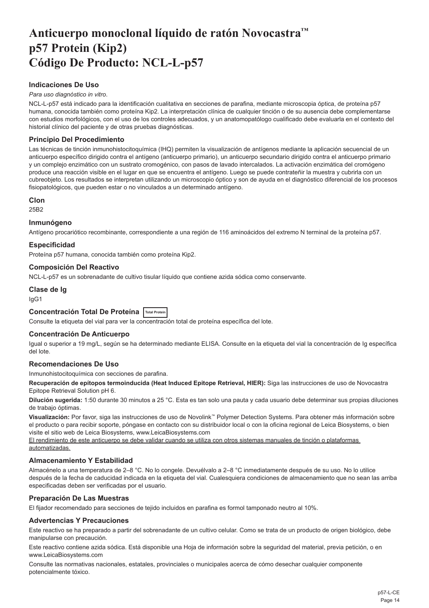# <span id="page-14-0"></span>**Anticuerpo monoclonal líquido de ratón Novocastra™ p57 Protein (Kip2) Código De Producto: NCL-L-p57**

# **Indicaciones De Uso**

#### *Para uso diagnóstico in vitro*.

NCL-L-p57 está indicado para la identificación cualitativa en secciones de parafina, mediante microscopia óptica, de proteína p57 humana, conocida también como proteína Kip2. La interpretación clínica de cualquier tinción o de su ausencia debe complementarse con estudios morfológicos, con el uso de los controles adecuados, y un anatomopatólogo cualificado debe evaluarla en el contexto del historial clínico del paciente y de otras pruebas diagnósticas.

# **Principio Del Procedimiento**

Las técnicas de tinción inmunohistocitoquímica (IHQ) permiten la visualización de antígenos mediante la aplicación secuencial de un anticuerpo específico dirigido contra el antígeno (anticuerpo primario), un anticuerpo secundario dirigido contra el anticuerpo primario y un complejo enzimático con un sustrato cromogénico, con pasos de lavado intercalados. La activación enzimática del cromógeno produce una reacción visible en el lugar en que se encuentra el antígeno. Luego se puede contrateñir la muestra y cubrirla con un cubreobjeto. Los resultados se interpretan utilizando un microscopio óptico y son de ayuda en el diagnóstico diferencial de los procesos fisiopatológicos, que pueden estar o no vinculados a un determinado antígeno.

#### **Clon**

25B2

#### **Inmunógeno**

Antígeno procariótico recombinante, correspondiente a una región de 116 aminoácidos del extremo N terminal de la proteína p57.

# **Especificidad**

Proteína p57 humana, conocida también como proteína Kip2.

#### **Composición Del Reactivo**

NCL-L-p57 es un sobrenadante de cultivo tisular líquido que contiene azida sódica como conservante.

# **Clase de Ig**

IgG1

# **Concentración Total De Proteína Total Protein**

Consulte la etiqueta del vial para ver la concentración total de proteína específica del lote.

# **Concentración De Anticuerpo**

Igual o superior a 19 mg/L, según se ha determinado mediante ELISA. Consulte en la etiqueta del vial la concentración de Ig específica del lote.

# **Recomendaciones De Uso**

Inmunohistocitoquímica con secciones de parafina.

**Recuperación de epítopos termoinducida (Heat Induced Epitope Retrieval, HIER):** Siga las instrucciones de uso de Novocastra Epitope Retrieval Solution pH 6.

**Dilución sugerida:** 1:50 durante 30 minutos a 25 °C. Esta es tan solo una pauta y cada usuario debe determinar sus propias diluciones de trabajo óptimas.

**Visualización:** Por favor, siga las instrucciones de uso de Novolink™ Polymer Detection Systems. Para obtener más información sobre el producto o para recibir soporte, póngase en contacto con su distribuidor local o con la oficina regional de Leica Biosystems, o bien visite el sitio web de Leica Biosystems, www.LeicaBiosystems.com

El rendimiento de este anticuerpo se debe validar cuando se utiliza con otros sistemas manuales de tinción o plataformas automatizadas.

# **Almacenamiento Y Estabilidad**

Almacénelo a una temperatura de 2–8 °C. No lo congele. Devuélvalo a 2–8 °C inmediatamente después de su uso. No lo utilice después de la fecha de caducidad indicada en la etiqueta del vial. Cualesquiera condiciones de almacenamiento que no sean las arriba especificadas deben ser verificadas por el usuario.

# **Preparación De Las Muestras**

El fijador recomendado para secciones de tejido incluidos en parafina es formol tamponado neutro al 10%.

# **Advertencias Y Precauciones**

Este reactivo se ha preparado a partir del sobrenadante de un cultivo celular. Como se trata de un producto de origen biológico, debe manipularse con precaución.

Este reactivo contiene azida sódica. Está disponible una Hoja de información sobre la seguridad del material, previa petición, o en www.LeicaBiosystems.com

Consulte las normativas nacionales, estatales, provinciales o municipales acerca de cómo desechar cualquier componente potencialmente tóxico.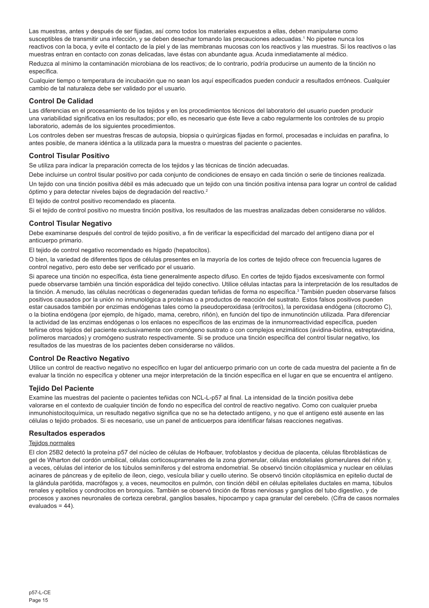Las muestras, antes y después de ser fijadas, así como todos los materiales expuestos a ellas, deben manipularse como susceptibles de transmitir una infección, y se deben desechar tomando las precauciones adecuadas.<sup>1</sup> No pipetee nunca los reactivos con la boca, y evite el contacto de la piel y de las membranas mucosas con los reactivos y las muestras. Si los reactivos o las muestras entran en contacto con zonas delicadas, lave éstas con abundante agua. Acuda inmediatamente al médico. Reduzca al mínimo la contaminación microbiana de los reactivos; de lo contrario, podría producirse un aumento de la tinción no específica.

Cualquier tiempo o temperatura de incubación que no sean los aquí especificados pueden conducir a resultados erróneos. Cualquier cambio de tal naturaleza debe ser validado por el usuario.

#### **Control De Calidad**

Las diferencias en el procesamiento de los tejidos y en los procedimientos técnicos del laboratorio del usuario pueden producir una variabilidad significativa en los resultados; por ello, es necesario que éste lleve a cabo regularmente los controles de su propio laboratorio, además de los siguientes procedimientos.

Los controles deben ser muestras frescas de autopsia, biopsia o quirúrgicas fijadas en formol, procesadas e incluidas en parafina, lo antes posible, de manera idéntica a la utilizada para la muestra o muestras del paciente o pacientes.

# **Control Tisular Positivo**

Se utiliza para indicar la preparación correcta de los tejidos y las técnicas de tinción adecuadas.

Debe incluirse un control tisular positivo por cada conjunto de condiciones de ensayo en cada tinción o serie de tinciones realizada. Un tejido con una tinción positiva débil es más adecuado que un tejido con una tinción positiva intensa para lograr un control de calidad óptimo y para detectar niveles bajos de degradación del reactivo.<sup>2</sup>

El tejido de control positivo recomendado es placenta.

Si el tejido de control positivo no muestra tinción positiva, los resultados de las muestras analizadas deben considerarse no válidos.

# **Control Tisular Negativo**

Debe examinarse después del control de tejido positivo, a fin de verificar la especificidad del marcado del antígeno diana por el anticuerpo primario.

El tejido de control negativo recomendado es hígado (hepatocitos).

O bien, la variedad de diferentes tipos de células presentes en la mayoría de los cortes de tejido ofrece con frecuencia lugares de control negativo, pero esto debe ser verificado por el usuario.

Si aparece una tinción no específica, ésta tiene generalmente aspecto difuso. En cortes de tejido fijados excesivamente con formol puede observarse también una tinción esporádica del tejido conectivo. Utilice células intactas para la interpretación de los resultados de la tinción. A menudo, las células necróticas o degeneradas quedan teñidas de forma no específica.<sup>3</sup> También pueden observarse falsos positivos causados por la unión no inmunológica a proteínas o a productos de reacción del sustrato. Estos falsos positivos pueden estar causados también por enzimas endógenas tales como la pseudoperoxidasa (eritrocitos), la peroxidasa endógena (citocromo C), o la biotina endógena (por ejemplo, de hígado, mama, cerebro, riñón), en función del tipo de inmunotinción utilizada. Para diferenciar la actividad de las enzimas endógenas o los enlaces no específicos de las enzimas de la inmunorreactividad específica, pueden teñirse otros tejidos del paciente exclusivamente con cromógeno sustrato o con complejos enzimáticos (avidina-biotina, estreptavidina, polímeros marcados) y cromógeno sustrato respectivamente. Si se produce una tinción específica del control tisular negativo, los resultados de las muestras de los pacientes deben considerarse no válidos.

#### **Control De Reactivo Negativo**

Utilice un control de reactivo negativo no específico en lugar del anticuerpo primario con un corte de cada muestra del paciente a fin de evaluar la tinción no específica y obtener una mejor interpretación de la tinción específica en el lugar en que se encuentra el antígeno.

# **Tejido Del Paciente**

Examine las muestras del paciente o pacientes teñidas con NCL-L-p57 al final. La intensidad de la tinción positiva debe valorarse en el contexto de cualquier tinción de fondo no específica del control de reactivo negativo. Como con cualquier prueba inmunohistocitoquímica, un resultado negativo significa que no se ha detectado antígeno, y no que el antígeno esté ausente en las células o tejido probados. Si es necesario, use un panel de anticuerpos para identificar falsas reacciones negativas.

#### **Resultados esperados**

# Teiidos normales

El clon 25B2 detectó la proteína p57 del núcleo de células de Hofbauer, trofoblastos y decidua de placenta, células fibroblásticas de gel de Wharton del cordón umbilical, células corticosuprarrenales de la zona glomerular, células endoteliales glomerulares del riñón y, a veces, células del interior de los túbulos seminíferos y del estroma endometrial. Se observó tinción citoplásmica y nuclear en células acinares de páncreas y de epitelio de íleon, ciego, vesícula biliar y cuello uterino. Se observó tinción citoplásmica en epitelio ductal de la glándula parótida, macrófagos y, a veces, neumocitos en pulmón, con tinción débil en células epiteliales ductales en mama, túbulos renales y epitelios y condrocitos en bronquios. También se observó tinción de fibras nerviosas y ganglios del tubo digestivo, y de procesos y axones neuronales de corteza cerebral, ganglios basales, hipocampo y capa granular del cerebelo. (Cifra de casos normales  $evaluados = 44$ ).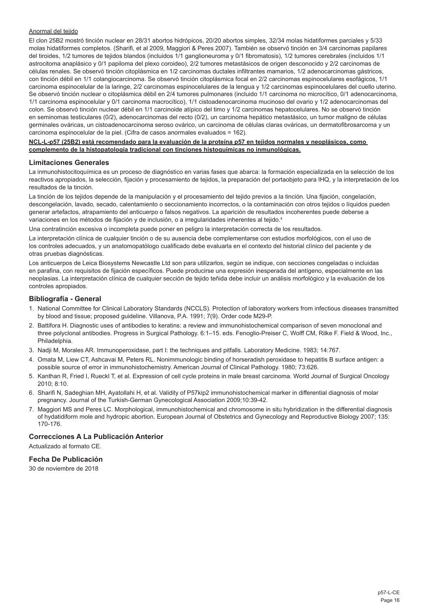# Anormal del tejido

El clon 25B2 mostró tinción nuclear en 28/31 abortos hidrópicos, 20/20 abortos simples, 32/34 molas hidatiformes parciales y 5/33 molas hidatiformes completos. (Sharifi, et al 2009, Maggiori & Peres 2007). También se observó tinción en 3/4 carcinomas papilares del tiroides, 1/2 tumores de tejidos blandos (incluidos 1/1 ganglioneuroma y 0/1 fibromatosis), 1/2 tumores cerebrales (incluidos 1/1 astrocitoma anaplásico y 0/1 papiloma del plexo coroideo), 2/2 tumores metastásicos de origen desconocido y 2/2 carcinomas de células renales. Se observó tinción citoplásmica en 1/2 carcinomas ductales infiltrantes mamarios, 1/2 adenocarcinomas gástricos, con tinción débil en 1/1 colangiocarcinoma. Se observó tinción citoplásmica focal en 2/2 carcinomas espinocelulares esofágicos, 1/1 carcinoma espinocelular de la laringe, 2/2 carcinomas espinocelulares de la lengua y 1/2 carcinomas espinocelulares del cuello uterino. Se observó tinción nuclear o citoplásmica débil en 2/4 tumores pulmonares (incluido 1/1 carcinoma no microcítico, 0/1 adenocarcinoma, 1/1 carcinoma espinocelular y 0/1 carcinoma macrocítico), 1/1 cistoadenocarcinoma mucinoso del ovario y 1/2 adenocarcinomas del colon. Se observó tinción nuclear débil en 1/1 carcinoide atípico del timo y 1/2 carcinomas hepatocelulares. No se observó tinción en seminomas testiculares (0/2), adenocarcinomas del recto (0/2), un carcinoma hepático metastásico, un tumor maligno de células germinales ováricas, un cistoadenocarcinoma seroso ovárico, un carcinoma de células claras ováricas, un dermatofibrosarcoma y un carcinoma espinocelular de la piel. (Cifra de casos anormales evaluados = 162).

#### **NCL-L-p57 (25B2) está recomendado para la evaluación de la proteína p57 en tejidos normales y neoplásicos, como complemento de la histopatología tradicional con tinciones histoquímicas no inmunológicas.**

#### **Limitaciones Generales**

La inmunohistocitoquímica es un proceso de diagnóstico en varias fases que abarca: la formación especializada en la selección de los reactivos apropiados, la selección, fijación y procesamiento de tejidos, la preparación del portaobjeto para IHQ, y la interpretación de los resultados de la tinción.

La tinción de los tejidos depende de la manipulación y el procesamiento del tejido previos a la tinción. Una fijación, congelación, descongelación, lavado, secado, calentamiento o seccionamiento incorrectos, o la contaminación con otros tejidos o líquidos pueden generar artefactos, atrapamiento del anticuerpo o falsos negativos. La aparición de resultados incoherentes puede deberse a variaciones en los métodos de fijación y de inclusión, o a irregularidades inherentes al tejido.4

Una contratinción excesiva o incompleta puede poner en peligro la interpretación correcta de los resultados.

La interpretación clínica de cualquier tinción o de su ausencia debe complementarse con estudios morfológicos, con el uso de los controles adecuados, y un anatomopatólogo cualificado debe evaluarla en el contexto del historial clínico del paciente y de otras pruebas diagnósticas.

Los anticuerpos de Leica Biosystems Newcastle Ltd son para utilizarlos, según se indique, con secciones congeladas o incluidas en parafina, con requisitos de fijación específicos. Puede producirse una expresión inesperada del antígeno, especialmente en las neoplasias. La interpretación clínica de cualquier sección de tejido teñida debe incluir un análisis morfológico y la evaluación de los controles apropiados.

# **Bibliografía - General**

- 1. National Committee for Clinical Laboratory Standards (NCCLS). Protection of laboratory workers from infectious diseases transmitted by blood and tissue; proposed guideline. Villanova, P.A. 1991; 7(9). Order code M29-P.
- 2. Battifora H. Diagnostic uses of antibodies to keratins: a review and immunohistochemical comparison of seven monoclonal and three polyclonal antibodies. Progress in Surgical Pathology. 6:1–15. eds. Fenoglio-Preiser C, Wolff CM, Rilke F. Field & Wood, Inc., Philadelphia.
- 3. Nadji M, Morales AR. Immunoperoxidase, part I: the techniques and pitfalls. Laboratory Medicine. 1983; 14:767.
- 4. Omata M, Liew CT, Ashcavai M, Peters RL. Nonimmunologic binding of horseradish peroxidase to hepatitis B surface antigen: a possible source of error in immunohistochemistry. American Journal of Clinical Pathology. 1980; 73:626.
- 5. Kanthan R, Fried I, Rueckl T, et al. Expression of cell cycle proteins in male breast carcinoma. World Journal of Surgical Oncology 2010; 8:10.
- 6. Sharifi N, Sadeghian MH, Ayatollahi H, et al. Validity of P57kip2 immunohistochemical marker in differential diagnosis of molar pregnancy. Journal of the Turkish-German Gynecological Association 2009;10:39-42.
- 7. Maggiori MS and Peres LC. Morphological, immunohistochemical and chromosome in situ hybridization in the differential diagnosis of hydatidiform mole and hydropic abortion. European Journal of Obstetrics and Gynecology and Reproductive Biology 2007; 135: 170-176.

# **Correcciones A La Publicación Anterior**

Actualizado al formato CE.

# **Fecha De Publicación**

30 de noviembre de 2018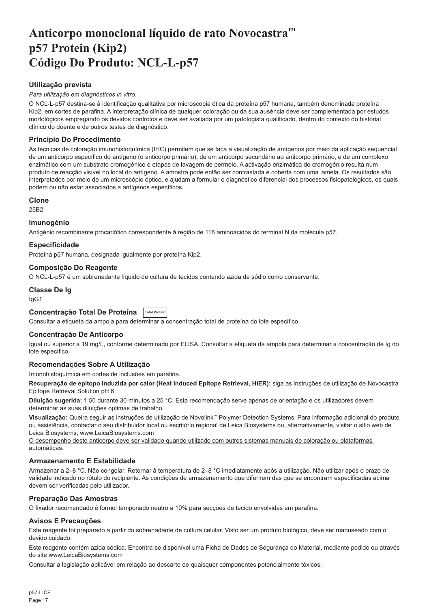# <span id="page-17-0"></span>**Anticorpo monoclonal líquido de rato Novocastra™ p57 Protein (Kip2) Código Do Produto: NCL-L-p57**

# **Utilização prevista**

#### *Para utilização em diagnósticos in vitro*.

O NCL-L-p57 destina-se à identificação qualitativa por microscopia ótica da proteína p57 humana, também denominada proteína Kip2, em cortes de parafina. A interpretação clínica de qualquer coloração ou da sua ausência deve ser complementada por estudos morfológicos empregando os devidos controlos e deve ser avaliada por um patologista qualificado, dentro do contexto do historial clínico do doente e de outros testes de diagnóstico.

# **Princípio Do Procedimento**

As técnicas de coloração imunohistoquímica (IHC) permitem que se faça a visualização de antígenos por meio da aplicação sequencial de um anticorpo específico do antígeno (o anticorpo primário), de um anticorpo secundário ao anticorpo primário, e de um complexo enzimático com um substrato cromogénico e etapas de lavagem de permeio. A activação enzimática do cromogénio resulta num produto de reacção visível no local do antígeno. A amostra pode então ser contrastada e coberta com uma lamela. Os resultados são interpretados por meio de um microscópio óptico, e ajudam a formular o diagnóstico diferencial dos processos fisiopatológicos, os quais podem ou não estar associados a antígenos específicos.

#### **Clone**

25B2

# **Imunogénio**

Antigénio recombinante procariótico correspondente à região de 116 aminoácidos do terminal N da molécula p57.

# **Especificidade**

Proteína p57 humana, designada igualmente por proteína Kip2.

#### **Composição Do Reagente**

O NCL-L-p57 é um sobrenadante líquido de cultura de tecidos contendo azida de sódio como conservante.

# **Classe De Ig**

IgG1

# **Concentração Total De Proteína Total Protein**

Consultar a etiqueta da ampola para determinar a concentração total de proteína do lote específico.

# **Concentração De Anticorpo**

Igual ou superior a 19 mg/L, conforme determinado por ELISA. Consultar a etiqueta da ampola para determinar a concentração de Ig do lote específico.

# **Recomendações Sobre A Utilização**

Imunohistoquímica em cortes de inclusões em parafina.

**Recuperação de epítopo induzida por calor (Heat Induced Epitope Retrieval, HIER):** siga as instruções de utilização de Novocastra Epitope Retrieval Solution pH 6.

**Diluição sugerida:** 1:50 durante 30 minutos a 25 °C. Esta recomendação serve apenas de orientação e os utilizadores devem determinar as suas diluições óptimas de trabalho.

**Visualização:** Queira seguir as instruções de utilização de Novolink™ Polymer Detection Systems. Para informação adicional do produto ou assistência, contactar o seu distribuidor local ou escritório regional de Leica Biosystems ou, alternativamente, visitar o sitio web de Leica Biosystems, www.LeicaBiosystems.com

O desempenho deste anticorpo deve ser validado quando utilizado com outros sistemas manuais de coloração ou plataformas automáticas.

# **Armazenamento E Estabilidade**

Armazenar a 2–8 °C. Não congelar. Retornar à temperatura de 2–8 °C imediatamente após a utilização. Não utilizar após o prazo de validade indicado no rótulo do recipiente. As condições de armazenamento que diferirem das que se encontram especificadas acima devem ser verificadas pelo utilizador.

# **Preparação Das Amostras**

O fixador recomendado é formol tamponado neutro a 10% para secções de tecido envolvidas em parafina.

# **Avisos E Precauções**

Este reagente foi preparado a partir do sobrenadante de cultura celular. Visto ser um produto biológico, deve ser manuseado com o devido cuidado.

Este reagente contém azida sódica. Encontra-se disponível uma Ficha de Dados de Segurança do Material, mediante pedido ou através do site www.LeicaBiosystems.com

Consultar a legislação aplicável em relação ao descarte de quaisquer componentes potencialmente tóxicos.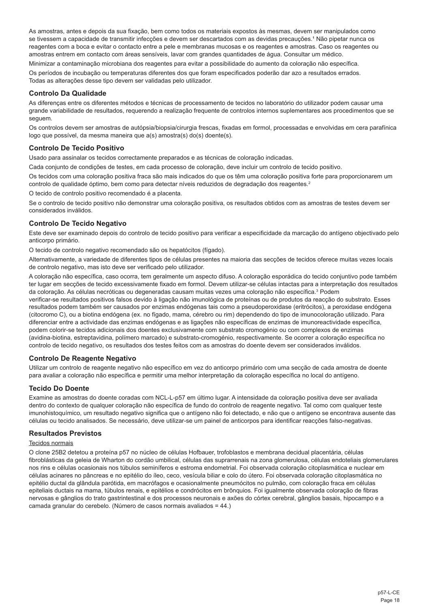As amostras, antes e depois da sua fixação, bem como todos os materiais expostos às mesmas, devem ser manipulados como se tivessem a capacidade de transmitir infecções e devem ser descartados com as devidas precauções.<sup>1</sup> Não pipetar nunca os reagentes com a boca e evitar o contacto entre a pele e membranas mucosas e os reagentes e amostras. Caso os reagentes ou amostras entrem em contacto com áreas sensíveis, lavar com grandes quantidades de água. Consultar um médico.

Minimizar a contaminação microbiana dos reagentes para evitar a possibilidade do aumento da coloração não específica. Os períodos de incubação ou temperaturas diferentes dos que foram especificados poderão dar azo a resultados errados. Todas as alterações desse tipo devem ser validadas pelo utilizador.

# **Controlo Da Qualidade**

As diferenças entre os diferentes métodos e técnicas de processamento de tecidos no laboratório do utilizador podem causar uma grande variabilidade de resultados, requerendo a realização frequente de controlos internos suplementares aos procedimentos que se seguem.

Os controlos devem ser amostras de autópsia/biopsia/cirurgia frescas, fixadas em formol, processadas e envolvidas em cera parafínica logo que possível, da mesma maneira que a(s) amostra(s) do(s) doente(s).

# **Controlo De Tecido Positivo**

Usado para assinalar os tecidos correctamente preparados e as técnicas de coloração indicadas.

Cada conjunto de condições de testes, em cada processo de coloração, deve incluir um controlo de tecido positivo.

Os tecidos com uma coloração positiva fraca são mais indicados do que os têm uma coloração positiva forte para proporcionarem um controlo de qualidade óptimo, bem como para detectar níveis reduzidos de degradação dos reagentes.<sup>2</sup>

O tecido de controlo positivo recomendado é a placenta.

Se o controlo de tecido positivo não demonstrar uma coloração positiva, os resultados obtidos com as amostras de testes devem ser considerados inválidos.

# **Controlo De Tecido Negativo**

Este deve ser examinado depois do controlo de tecido positivo para verificar a especificidade da marcação do antígeno objectivado pelo anticorpo primário.

O tecido de controlo negativo recomendado são os hepatócitos (fígado).

Alternativamente, a variedade de diferentes tipos de células presentes na maioria das secções de tecidos oferece muitas vezes locais de controlo negativo, mas isto deve ser verificado pelo utilizador.

A coloração não específica, caso ocorra, tem geralmente um aspecto difuso. A coloração esporádica do tecido conjuntivo pode também ter lugar em secções de tecido excessivamente fixado em formol. Devem utilizar-se células intactas para a interpretação dos resultados da coloração. As células necróticas ou degeneradas causam muitas vezes uma coloração não específica.<sup>3</sup> Podem

verificar-se resultados positivos falsos devido à ligação não imunológica de proteínas ou de produtos da reacção do substrato. Esses resultados podem também ser causados por enzimas endógenas tais como a pseudoperoxidase (eritrócitos), a peroxidase endógena (citocromo C), ou a biotina endógena (ex. no fígado, mama, cérebro ou rim) dependendo do tipo de imunocoloração utilizado. Para diferenciar entre a actividade das enzimas endógenas e as ligações não específicas de enzimas de imunoreactividade específica, podem colorir-se tecidos adicionais dos doentes exclusivamente com substrato cromogénio ou com complexos de enzimas (avidina-biotina, estreptavidina, polímero marcado) e substrato-cromogénio, respectivamente. Se ocorrer a coloração específica no controlo de tecido negativo, os resultados dos testes feitos com as amostras do doente devem ser considerados inválidos.

# **Controlo De Reagente Negativo**

Utilizar um controlo de reagente negativo não específico em vez do anticorpo primário com uma secção de cada amostra de doente para avaliar a coloração não específica e permitir uma melhor interpretação da coloração específica no local do antígeno.

# **Tecido Do Doente**

Examine as amostras do doente coradas com NCL-L-p57 em último lugar. A intensidade da coloração positiva deve ser avaliada dentro do contexto de qualquer coloração não específica de fundo do controlo de reagente negativo. Tal como com qualquer teste imunohistoquímico, um resultado negativo significa que o antígeno não foi detectado, e não que o antígeno se encontrava ausente das células ou tecido analisados. Se necessário, deve utilizar-se um painel de anticorpos para identificar reacções falso-negativas.

# **Resultados Previstos**

### Tecidos normais

O clone 25B2 detetou a proteína p57 no núcleo de células Hofbauer, trofoblastos e membrana decidual placentária, células fibroblásticas da geleia de Wharton do cordão umbilical, células das suprarrenais na zona glomerulosa, células endoteliais glomerulares nos rins e células ocasionais nos túbulos seminíferos e estroma endometrial. Foi observada coloração citoplasmática e nuclear em células acinares no pâncreas e no epitélio do íleo, ceco, vesícula biliar e colo do útero. Foi observada coloração citoplasmática no epitélio ductal da glândula parótida, em macrófagos e ocasionalmente pneumócitos no pulmão, com coloração fraca em células epiteliais ductais na mama, túbulos renais, e epitélios e condrócitos em brônquios. Foi igualmente observada coloração de fibras nervosas e gânglios do trato gastrintestinal e dos processos neuronais e axões do córtex cerebral, gânglios basais, hipocampo e a camada granular do cerebelo. (Número de casos normais avaliados = 44.)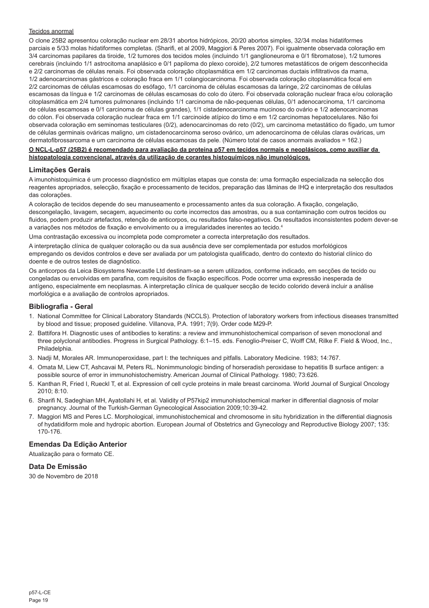#### Tecidos anormal

O clone 25B2 apresentou coloração nuclear em 28/31 abortos hidrópicos, 20/20 abortos simples, 32/34 molas hidatiformes parciais e 5/33 molas hidatiformes completas. (Sharifi, et al 2009, Maggiori & Peres 2007). Foi igualmente observada coloração em 3/4 carcinomas papilares da tiroide, 1/2 tumores dos tecidos moles (incluindo 1/1 ganglioneuroma e 0/1 fibromatose), 1/2 tumores cerebrais (incluindo 1/1 astrocitoma anaplásico e 0/1 papiloma do plexo coroide), 2/2 tumores metastáticos de origem desconhecida e 2/2 carcinomas de células renais. Foi observada coloração citoplasmática em 1/2 carcinomas ductais infiltrativos da mama, 1/2 adenocarcinomas gástricos e coloração fraca em 1/1 colangiocarcinoma. Foi observada coloração citoplasmática focal em 2/2 carcinomas de células escamosas do esófago, 1/1 carcinoma de células escamosas da laringe, 2/2 carcinomas de células escamosas da língua e 1/2 carcinomas de células escamosas do colo do útero. Foi observada coloração nuclear fraca e/ou coloração citoplasmática em 2/4 tumores pulmonares (incluindo 1/1 carcinoma de não-pequenas células, 0/1 adenocarcinoma, 1/1 carcinoma de células escamosas e 0/1 carcinoma de células grandes), 1/1 cistadenocarcinoma mucinoso do ovário e 1/2 adenocarcinomas do cólon. Foi observada coloração nuclear fraca em 1/1 carcinoide atípico do timo e em 1/2 carcinomas hepatocelulares. Não foi observada coloração em seminomas testiculares (0/2), adenocarcinomas do reto (0/2), um carcinoma metastático do fígado, um tumor de células germinais ováricas maligno, um cistadenocarcinoma seroso ovárico, um adenocarcinoma de células claras ováricas, um dermatofibrossarcoma e um carcinoma de células escamosas da pele. (Número total de casos anormais avaliados = 162.)

#### **O NCL-L-p57 (25B2) é recomendado para avaliação da proteína p57 em tecidos normais e neoplásicos, como auxiliar da histopatologia convencional, através da utilização de corantes histoquímicos não imunológicos.**

#### **Limitações Gerais**

A imunohistoquímica é um processo diagnóstico em múltiplas etapas que consta de: uma formação especializada na selecção dos reagentes apropriados, selecção, fixação e processamento de tecidos, preparação das lâminas de IHQ e interpretação dos resultados das colorações.

A coloração de tecidos depende do seu manuseamento e processamento antes da sua coloração. A fixação, congelação, descongelação, lavagem, secagem, aquecimento ou corte incorrectos das amostras, ou a sua contaminação com outros tecidos ou fluidos, podem produzir artefactos, retenção de anticorpos, ou resultados falso-negativos. Os resultados inconsistentes podem dever-se a variações nos métodos de fixação e envolvimento ou a irregularidades inerentes ao tecido.4

Uma contrastação excessiva ou incompleta pode comprometer a correcta interpretação dos resultados.

A interpretação clínica de qualquer coloração ou da sua ausência deve ser complementada por estudos morfológicos empregando os devidos controlos e deve ser avaliada por um patologista qualificado, dentro do contexto do historial clínico do doente e de outros testes de diagnóstico.

Os anticorpos da Leica Biosystems Newcastle Ltd destinam-se a serem utilizados, conforme indicado, em secções de tecido ou congeladas ou envolvidas em parafina, com requisitos de fixação específicos. Pode ocorrer uma expressão inesperada de antígeno, especialmente em neoplasmas. A interpretação clínica de qualquer secção de tecido colorido deverá incluir a análise morfológica e a avaliação de controlos apropriados.

#### **Bibliografia - Geral**

- 1. National Committee for Clinical Laboratory Standards (NCCLS). Protection of laboratory workers from infectious diseases transmitted by blood and tissue; proposed guideline. Villanova, P.A. 1991; 7(9). Order code M29-P.
- 2. Battifora H. Diagnostic uses of antibodies to keratins: a review and immunohistochemical comparison of seven monoclonal and three polyclonal antibodies. Progress in Surgical Pathology. 6:1–15. eds. Fenoglio-Preiser C, Wolff CM, Rilke F. Field & Wood, Inc., Philadelphia.
- 3. Nadji M, Morales AR. Immunoperoxidase, part I: the techniques and pitfalls. Laboratory Medicine. 1983; 14:767.
- 4. Omata M, Liew CT, Ashcavai M, Peters RL. Nonimmunologic binding of horseradish peroxidase to hepatitis B surface antigen: a possible source of error in immunohistochemistry. American Journal of Clinical Pathology. 1980; 73:626.
- 5. Kanthan R, Fried I, Rueckl T, et al. Expression of cell cycle proteins in male breast carcinoma. World Journal of Surgical Oncology 2010; 8:10.
- 6. Sharifi N, Sadeghian MH, Ayatollahi H, et al. Validity of P57kip2 immunohistochemical marker in differential diagnosis of molar pregnancy. Journal of the Turkish-German Gynecological Association 2009;10:39-42.
- 7. Maggiori MS and Peres LC. Morphological, immunohistochemical and chromosome in situ hybridization in the differential diagnosis of hydatidiform mole and hydropic abortion. European Journal of Obstetrics and Gynecology and Reproductive Biology 2007; 135: 170-176.

# **Emendas Da Edição Anterior**

Atualização para o formato CE.

# **Data De Emissão**

30 de Novembro de 2018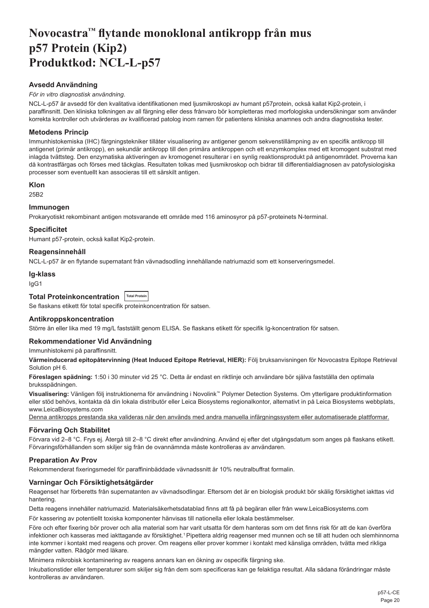# <span id="page-20-0"></span>**Novocastra™ flytande monoklonal antikropp från mus p57 Protein (Kip2) Produktkod: NCL-L-p57**

# **Avsedd Användning**

#### *För in vitro diagnostisk användning*.

NCL-L-p57 är avsedd för den kvalitativa identifikationen med ljusmikroskopi av humant p57protein, också kallat Kip2-protein, i paraffinsnitt. Den kliniska tolkningen av all färgning eller dess frånvaro bör kompletteras med morfologiska undersökningar som använder korrekta kontroller och utvärderas av kvalificerad patolog inom ramen för patientens kliniska anamnes och andra diagnostiska tester.

# **Metodens Princip**

Immunhistokemiska (IHC) färgningstekniker tillåter visualisering av antigener genom sekvenstillämpning av en specifik antikropp till antigenet (primär antikropp), en sekundär antikropp till den primära antikroppen och ett enzymkomplex med ett kromogent substrat med inlagda tvättsteg. Den enzymatiska aktiveringen av kromogenet resulterar i en synlig reaktionsprodukt på antigenområdet. Proverna kan då kontrastfärgas och förses med täckglas. Resultaten tolkas med ljusmikroskop och bidrar till differentialdiagnosen av patofysiologiska processer som eventuellt kan associeras till ett särskilt antigen.

#### **Klon**

25B2

# **Immunogen**

Prokaryotiskt rekombinant antigen motsvarande ett område med 116 aminosyror på p57-proteinets N-terminal.

#### **Specificitet**

Humant p57-protein, också kallat Kip2-protein.

# **Reagensinnehåll**

NCL-L-p57 är en flytande supernatant från vävnadsodling innehållande natriumazid som ett konserveringsmedel.

#### **Ig-klass**

IgG1

# **Total Proteinkoncentration Total Protein**

Se flaskans etikett för total specifik proteinkoncentration för satsen.

#### **Antikroppskoncentration**

Större än eller lika med 19 mg/L fastställt genom ELISA. Se flaskans etikett för specifik Ig-koncentration för satsen.

### **Rekommendationer Vid Användning**

Immunhistokemi på paraffinsnitt.

**Värmeinducerad epitopåtervinning (Heat Induced Epitope Retrieval, HIER):** Följ bruksanvisningen för Novocastra Epitope Retrieval Solution pH 6.

**Föreslagen spädning:** 1:50 i 30 minuter vid 25 °C. Detta är endast en riktlinje och användare bör själva fastställa den optimala bruksspädningen.

**Visualisering:** Vänligen följ instruktionerna för användning i Novolink™ Polymer Detection Systems. Om ytterligare produktinformation eller stöd behövs, kontakta då din lokala distributör eller Leica Biosystems regionalkontor, alternativt in på Leica Biosystems webbplats, www.LeicaBiosystems.com

Denna antikropps prestanda ska valideras när den används med andra manuella infärgningssystem eller automatiserade plattformar.

#### **Förvaring Och Stabilitet**

Förvara vid 2–8 °C. Frys ej. Återgå till 2–8 °C direkt efter användning. Använd ej efter det utgångsdatum som anges på flaskans etikett. Förvaringsförhållanden som skiljer sig från de ovannämnda måste kontrolleras av användaren.

# **Preparation Av Prov**

Rekommenderat fixeringsmedel för paraffininbäddade vävnadssnitt är 10% neutralbuffrat formalin.

## **Varningar Och Försiktighetsåtgärder**

Reagenset har förberetts från supernatanten av vävnadsodlingar. Eftersom det är en biologisk produkt bör skälig försiktighet iakttas vid hantering.

Detta reagens innehåller natriumazid. Materialsäkerhetsdatablad finns att få på begäran eller från www.LeicaBiosystems.com

För kassering av potentiellt toxiska komponenter hänvisas till nationella eller lokala bestämmelser.

Före och efter fixering bör prover och alla material som har varit utsatta för dem hanteras som om det finns risk för att de kan överföra infektioner och kasseras med iakttagande av försiktighet.<sup>1</sup> Pipettera aldrig reagenser med munnen och se till att huden och slemhinnorna inte kommer i kontakt med reagens och prover. Om reagens eller prover kommer i kontakt med känsliga områden, tvätta med rikliga mängder vatten. Rådgör med läkare.

Minimera mikrobisk kontaminering av reagens annars kan en ökning av ospecifik färgning ske.

Inkubationstider eller temperaturer som skiljer sig från dem som specificeras kan ge felaktiga resultat. Alla sådana förändringar måste kontrolleras av användaren.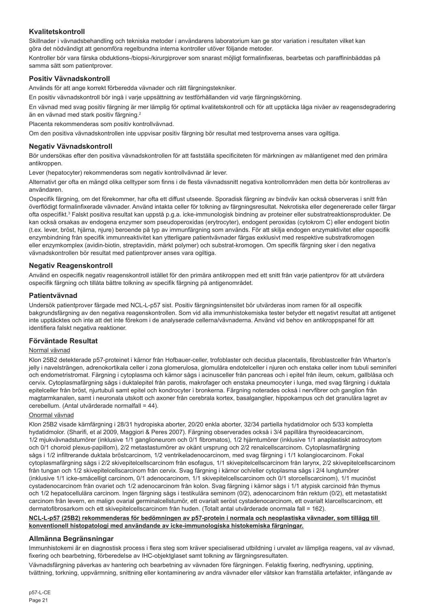# **Kvalitetskontroll**

Skillnader i vävnadsbehandling och tekniska metoder i användarens laboratorium kan ge stor variation i resultaten vilket kan göra det nödvändigt att genomföra regelbundna interna kontroller utöver följande metoder.

Kontroller bör vara färska obduktions-/biopsi-/kirurgiprover som snarast möjligt formalinfixeras, bearbetas och paraffininbäddas på samma sätt som patientprover.

# **Positiv Vävnadskontroll**

Används för att ange korrekt förberedda vävnader och rätt färgningstekniker.

En positiv vävnadskontroll bör ingå i varje uppsättning av testförhållanden vid varje färgningskörning.

En vävnad med svag positiv färgning är mer lämplig för optimal kvalitetskontroll och för att upptäcka låga nivåer av reagensdegradering än en vävnad med stark positiv färgning.<sup>2</sup>

Placenta rekommenderas som positiv kontrollvävnad.

Om den positiva vävnadskontrollen inte uppvisar positiv färgning bör resultat med testproverna anses vara ogiltiga.

## **Negativ Vävnadskontroll**

Bör undersökas efter den positiva vävnadskontrollen för att fastställa specificiteten för märkningen av målantigenet med den primära antikroppen.

Lever (hepatocyter) rekommenderas som negativ kontrollvävnad är lever.

Alternativt ger ofta en mängd olika celltyper som finns i de flesta vävnadssnitt negativa kontrollområden men detta bör kontrolleras av användaren.

Ospecifik färgning, om det förekommer, har ofta ett diffust utseende. Sporadisk färgning av bindväv kan också observeras i snitt från överflödigt formalinfixerade vävnader. Använd intakta celler för tolkning av färgningsresultat. Nekrotiska eller degenererade celler färgar ofta ospecifikt.<sup>3</sup> Falskt positiva resultat kan uppstå p.g.a. icke-immunologisk bindning av proteiner eller substratreaktionsprodukter. De kan också orsakas av endogena enzymer som pseudoperoxidas (erytrocyter), endogent peroxidas (cytokrom C) eller endogent biotin (t.ex. lever, bröst, hjärna, njure) beroende på typ av immunfärgning som används. För att skilja endogen enzymaktivitet eller ospecifik enzymbindning från specifik immunreaktivitet kan ytterligare patientvävnader färgas exklusivt med respektive substratkromogen eller enzymkomplex (avidin-biotin, streptavidin, märkt polymer) och substrat-kromogen. Om specifik färgning sker i den negativa vävnadskontrollen bör resultat med patientprover anses vara ogiltiga.

# **Negativ Reagenskontroll**

Använd en ospecifik negativ reagenskontroll istället för den primära antikroppen med ett snitt från varje patientprov för att utvärdera ospecifik färgning och tillåta bättre tolkning av specifik färgning på antigenområdet.

#### **Patientvävnad**

Undersök patientprover färgade med NCL-L-p57 sist. Positiv färgningsintensitet bör utvärderas inom ramen för all ospecifik bakgrundsfärgning av den negativa reagenskontrollen. Som vid alla immunhistokemiska tester betyder ett negativt resultat att antigenet inte upptäcktes och inte att det inte förekom i de analyserade cellerna/vävnaderna. Använd vid behov en antikroppspanel för att identifiera falskt negativa reaktioner.

#### **Förväntade Resultat**

# Normal vävnad

Klon 25B2 detekterade p57-proteinet i kärnor från Hofbauer-celler, trofoblaster och decidua placentalis, fibroblastceller från Wharton's jelly i navelsträngen, adrenokortikala celler i zona glomerulosa, glomulära endotelceller i njuren och enstaka celler inom tubuli seminiferi och endometristromat. Färgning i cytoplasma och kärnor sågs i acinusceller från pancreas och i epitel från ileum, cekum, gallblåsa och cervix. Cytoplasmafärgning sågs i duktalepitel från parotis, makrofager och enstaka pneumocyter i lunga, med svag färgning i duktala epitelceller från bröst, njurtubuli samt epitel och kondrocyter i bronkerna. Färgning noterades också i nervfibrer och ganglion från magtarmkanalen, samt i neuronala utskott och axoner från cerebrala kortex, basalganglier, hippokampus och det granulära lagret av cerebellum. (Antal utvärderade normalfall = 44).

#### Onormal vävnad

Klon 25B2 visade kärnfärgning i 28/31 hydropiska aborter, 20/20 enkla aborter, 32/34 partiella hydatidmolor och 5/33 kompletta hydatidmolor. (Sharifi, et al 2009, Maggiori & Peres 2007). Färgning observerades också i 3/4 papillära thyreoideacarcinom, 1/2 mjukvävnadstumörer (inklusive 1/1 ganglioneurom och 0/1 fibromatos), 1/2 hjärntumörer (inklusive 1/1 anaplastiskt astrocytom och 0/1 choroid plexus-papillom), 2/2 metastastumörer av okänt ursprung och 2/2 renalcellscarcinom. Cytoplasmafärgning sågs i 1/2 infiltrerande duktala bröstcarcinom, 1/2 ventrikeladenocarcinom, med svag färgning i 1/1 kolangiocarcinom. Fokal cytoplasmafärgning sågs i 2/2 skivepitelcellscarcinom från esofagus, 1/1 skivepitelcellscarcinom från larynx, 2/2 skivepitelcellscarcinom från tungan och 1/2 skivepitelcellscarcinom från cervix. Svag färgning i kärnor och/eller cytoplasma sågs i 2/4 lungtumörer (inklusive 1/1 icke-småcelligt carcinom, 0/1 adenocarcinom, 1/1 skivepitelcellscarcinom och 0/1 storcellscarcinom), 1/1 mucinöst cystadenocarcinom från ovariet och 1/2 adenocarcinom från kolon. Svag färgning i kärnor sågs i 1/1 atypisk carcinoid från thymus och 1/2 hepatocellulära carcinom. Ingen färgning sågs i testikulära seminom (0/2), adenocarcinom från rektum (0/2), ett metastatiskt carcinom från levern, en malign ovarial germinalcellstumör, ett ovarialt seröst cystadenocarcinom, ett ovarialt klarcellscarcinom, ett dermatofibrosarkom och ett skivepitelcellscarcinom från huden. (Totalt antal utvärderade onormala fall = 162).

#### **NCL-L-p57 (25B2) rekommenderas för bedömningen av p57-protein i normala och neoplastiska vävnader, som tillägg till konventionell histopatologi med användande av icke-immunologiska histokemiska färgningar.**

# **Allmänna Begränsningar**

Immunhistokemi är en diagnostisk process i flera steg som kräver specialiserad utbildning i urvalet av lämpliga reagens, val av vävnad, fixering och bearbetning, förberedelse av IHC-objektglaset samt tolkning av färgningsresultaten.

Vävnadsfärgning påverkas av hantering och bearbetning av vävnaden före färgningen. Felaktig fixering, nedfrysning, upptining, tvättning, torkning, uppvärmning, snittning eller kontaminering av andra vävnader eller vätskor kan framställa artefakter, infångande av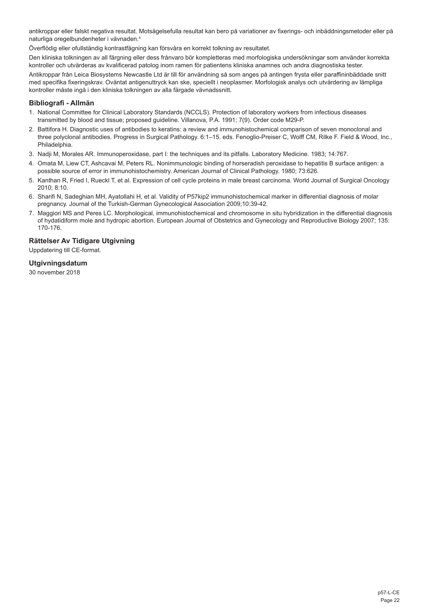antikroppar eller falskt negativa resultat. Motsägelsefulla resultat kan bero på variationer av fixerings- och inbäddningsmetoder eller på naturliga oregelbundenheter i vävnaden.4

Överflödig eller ofullständig kontrastfägning kan försvåra en korrekt tolkning av resultatet.

Den kliniska tolkningen av all färgning eller dess frånvaro bör kompletteras med morfologiska undersökningar som använder korrekta kontroller och utvärderas av kvalificerad patolog inom ramen för patientens kliniska anamnes och andra diagnostiska tester.

Antikroppar från Leica Biosystems Newcastle Ltd är till för användning så som anges på antingen frysta eller paraffininbäddade snitt med specifika fixeringskrav. Oväntat antigenuttryck kan ske, speciellt i neoplasmer. Morfologisk analys och utvärdering av lämpliga kontroller måste ingå i den kliniska tolkningen av alla färgade vävnadssnitt.

# **Bibliografi - Allmän**

- 1. National Committee for Clinical Laboratory Standards (NCCLS). Protection of laboratory workers from infectious diseases transmitted by blood and tissue; proposed guideline. Villanova, P.A. 1991; 7(9). Order code M29-P.
- 2. Battifora H. Diagnostic uses of antibodies to keratins: a review and immunohistochemical comparison of seven monoclonal and three polyclonal antibodies. Progress in Surgical Pathology. 6:1–15. eds. Fenoglio-Preiser C, Wolff CM, Rilke F. Field & Wood, Inc., **Philadelphia**
- 3. Nadji M, Morales AR. Immunoperoxidase, part I: the techniques and its pitfalls. Laboratory Medicine. 1983; 14:767.
- 4. Omata M, Liew CT, Ashcavai M, Peters RL. Nonimmunologic binding of horseradish peroxidase to hepatitis B surface antigen: a possible source of error in immunohistochemistry. American Journal of Clinical Pathology. 1980; 73:626.
- 5. Kanthan R, Fried I, Rueckl T, et al. Expression of cell cycle proteins in male breast carcinoma. World Journal of Surgical Oncology 2010; 8:10.
- 6. Sharifi N, Sadeghian MH, Ayatollahi H, et al. Validity of P57kip2 immunohistochemical marker in differential diagnosis of molar pregnancy. Journal of the Turkish-German Gynecological Association 2009;10:39-42.
- 7. Maggiori MS and Peres LC. Morphological, immunohistochemical and chromosome in situ hybridization in the differential diagnosis of hydatidiform mole and hydropic abortion. European Journal of Obstetrics and Gynecology and Reproductive Biology 2007; 135: 170-176.

# **Rättelser Av Tidigare Utgivning**

Uppdatering till CE-format.

#### **Utgivningsdatum**

30 november 2018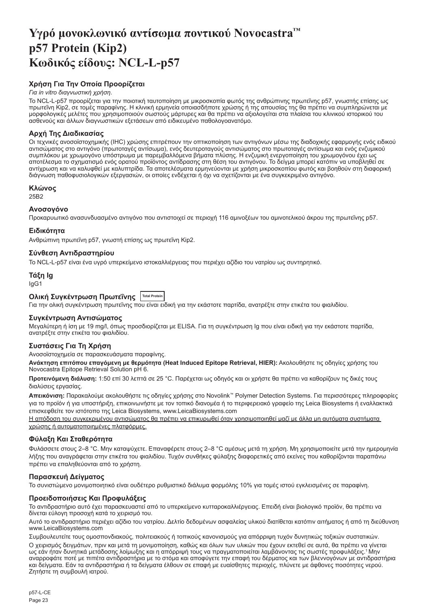# <span id="page-23-0"></span>**Υγρό μονοκλωνικό αντίσωμα ποντικού Novocastra™ p57 Protein (Kip2) Κωδικός είδους: NCL-L-p57**

# **Χρήση Για Την Οποία Προορίζεται**

## *Για in vitro διαγνωστική χρήση*.

Το NCL-L-p57 προορίζεται για την ποιοτική ταυτοποίηση με μικροσκοπία φωτός της ανθρώπινης πρωτεΐνης p57, γνωστής επίσης ως πρωτεΐνη Kip2, σε τομές παραφίνης. Η κλινική ερμηνεία οποιασδήποτε χρώσης ή της απουσίας της θα πρέπει να συμπληρώνεται με μορφολογικές μελέτες που χρησιμοποιούν σωστούς μάρτυρες και θα πρέπει να αξιολογείται στα πλαίσια του κλινικού ιστορικού του<br>ασθενούς και άλλων διαγνωστικών εξετάσεων από ειδικευμένο παθολογοανατόμο.

# **Αρχή Της Διαδικασίας**

Οι τεχνικές ανοσοϊστοχημικής (IHC) χρώσης επιτρέπουν την οπτικοποίηση των αντιγόνων μέσω της διαδοχικής εφαρμογής ενός ειδικού αντισώματος στο αντιγόνο (πρωτοταγές αντίσωμα), ενός δευτεροταγούς αντισώματος στο πρωτοταγές αντίσωμα και ενός ενζυμικού συμπλόκου με χρωμογόνο υπόστρωμα με παρεμβαλλόμενα βήματα πλύσης. Η ενζυμική ενεργοποίηση του χρωμογόνου έχει ως αποτέλεσμα το σχηματισμό ενός ορατού προϊόντος αντίδρασης στη θέση του αντιγόνου. Το δείγμα μπορεί κατόπιν να υποβληθεί σε αντίχρωση και να καλυφθεί με καλυπτρίδα. Τα αποτελέσματα ερμηνεύονται με χρήση μικροσκοπίου φωτός και βοηθούν στη διαφορική διάγνωση παθοφυσιολογικών εξεργασιών, οι οποίες ενδέχεται ή όχι να σχετίζονται με ένα συγκεκριμένο αντιγόνο.

#### **Κλώνος**

25B2

### **Ανοσογόνο**

Προκαρυωτικό ανασυνδυασμένο αντιγόνο που αντιστοιχεί σε περιοχή 116 αμινοξέων του αμινοτελικού άκρου της πρωτεΐνης p57.

#### **Ειδικότητα**

Ανθρώπινη πρωτεΐνη p57, γνωστή επίσης ως πρωτεΐνη Kip2.

## **Σύνθεση Αντιδραστηρίου**

Το NCL-L-p57 είναι ένα υγρό υπερκείμενο ιστοκαλλιέργειας που περιέχει αζίδιο του νατρίου ως συντηρητικό.

# **Τάξη Ig**

IgG1

# **Ολική Συγκέντρωση Πρωτεΐνης Total Protein**

Για την ολική συγκέντρωση πρωτεΐνης που είναι ειδική για την εκάστοτε παρτίδα, ανατρέξτε στην ετικέτα του φιαλιδίου.

# **Συγκέντρωση Αντισώματος**

Μεγαλύτερη ή ίση με 19 mg/l, όπως προσδιορίζεται με ELISA. Για τη συγκέντρωση Ig που είναι ειδική για την εκάστοτε παρτίδα, ανατρέξτε στην ετικέτα του φιαλιδίου.

# **Συστάσεις Για Τη Χρήση**

Ανοσοϊστοχημεία σε παρασκευάσματα παραφίνης.

**Ανάκτηση επιτόπου επαγόμενη με θερμότητα (Heat Induced Epitope Retrieval, HIER):** Ακολουθήστε τις οδηγίες χρήσης του Novocastra Epitope Retrieval Solution pH 6.

**Προτεινόμενη διάλυση:** 1:50 επί 30 λεπτά σε 25 °C. Παρέχεται ως οδηγός και οι χρήστε θα πρέπει να καθορίζουν τις δικές τους διαλύσεις εργασίας.

**Απεικόνιση:** Παρακαλούμε ακολουθήστε τις οδηγίες χρήσης στο Novolink™ Polymer Detection Systems. Για περισσότερες πληροφορίες για το προϊόν ή για υποστήριξη, επικοινωνήστε με τον τοπικό διανομέα ή το περιφερειακό γραφείο της Leica Biosystems ή εναλλακτικά επισκεφθείτε τον ιστότοπο της Leica Biosystems, www.LeicaBiosystems.com

Η απόδοση του συγκεκριμένου αντισώματος θα πρέπει να επικυρωθεί όταν χρησιμοποιηθεί μαζί με άλλα μη αυτόματα συστήματα χρώσης ή αυτοματοποιημένες πλατφόρμες.

#### **Φύλαξη Και Σταθερότητα**

Φυλάσσετε στους 2–8 °C. Μην καταψύχετε. Επαναφέρετε στους 2–8 °C αμέσως μετά τη χρήση. Μη χρησιμοποιείτε μετά την ημερομηνία λήξης που αναγράφεται στην ετικέτα του φιαλιδίου. Τυχόν συνθήκες φύλαξης διαφορετικές από εκείνες που καθορίζονται παραπάνω πρέπει να επαληθεύονται από το χρήστη.

# **Παρασκευή Δείγματος**

Το συνιστώμενο μονιμοποιητικό είναι ουδέτερο ρυθμιστικό διάλυμα φορμόλης 10% για τομές ιστού εγκλεισμένες σε παραφίνη.

# **Προειδοποιήσεις Και Προφυλάξεις**

Το αντιδραστήριο αυτό έχει παρασκευαστεί από το υπερκείμενο κυτταροκαλλιέργειας. Επειδή είναι βιολογικό προϊόν, θα πρέπει να δίνεται εύλογη προσοχή κατά το χειρισμό του.

Αυτό το αντιδραστήριο περιέχει αζίδιο του νατρίου. Δελτίο δεδομένων ασφαλείας υλικού διατίθεται κατόπιν αιτήματος ή από τη διεύθυνση www.LeicaBiosystems.com

Συμβουλευτείτε τους ομοσπονδιακούς, πολιτειακούς ή τοπικούς κανονισμούς για απόρριψη τυχόν δυνητικώς τοξικών συστατικών. Ο χειρισμός δειγμάτων, πριν και μετά τη μονιμοποίηση, καθώς και όλων των υλικών που έχουν εκτεθεί σε αυτά, θα πρέπει να γίνεται ως εάν ήταν δυνητικά μετάδοσης λοίμωξης και η απόρριψή τους να πραγματοποιείται λαμβάνοντας τις σωστές προφυλάξεις.<sup>1</sup>Μην αναρροφάτε ποτέ με πιπέτα αντιδραστήρια με το στόμα και αποφύγετε την επαφή του δέρματος και των βλεννογόνων με αντιδραστήρια και δείγματα. Εάν τα αντιδραστήρια ή τα δείγματα έλθουν σε επαφή με ευαίσθητες περιοχές, πλύνετε με άφθονες ποσότητες νερού. Ζητήστε τη συμβουλή ιατρού.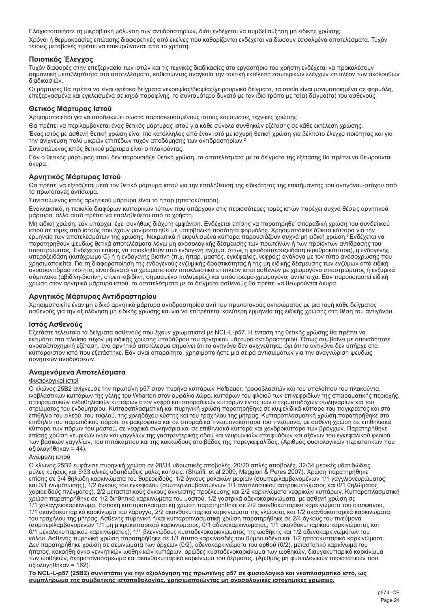Ελαχιστοποιήστε τη μικροβιακή μόλυνση των αντιδραστηρίων, διότι ενδέχεται να συμβεί αύξηση μη ειδικής χρώσης. Χρόνοι ή θερμοκρασίες επώασης διαφορετικές από εκείνες που καθορίζονται ενδέχεται να δώσουν εσφαλμένα αποτελέσματα. Τυχόν τέτοιες μεταβολές πρέπει να επικυρώνονται από το χρήστη.

# **Ποιοτικός Έλεγχος**

Τυχόν διαφορές στην επεξεργασία των ιστών και τις τεχνικές διαδικασίες στο εργαστήριο του χρήστη ενδέχεται να προκαλέσουν σημαντική μεταβλητότητα στα αποτελέσματα, καθιστώντας αναγκαία την τακτική εκτέλεση εσωτερικών ελέγχων επιπλέον των ακόλουθων διαδικασιών.

Οι μάρτυρες θα πρέπει να είναι φρέσκα δείγματα νεκροψίας/βιοψίας/χειρουργικά δείγματα, τα οποία είναι μονιμοποιημένα σε φορμόλη, επεξεργασμένα και εγκλεισμένα σε κηρό παραφίνης, το συντομότερο δυνατό με τον ίδιο τρόπο με το(α) δείγμα(τα) του ασθενούς.

# **Θετικός Μάρτυρας Ιστού**

Χρησιμοποιείται για να υποδεικνύει σωστά παρασκευασμένους ιστούς και σωστές τεχνικές χρώσης.

Θα πρέπει να περιλαμβάνεται ένας θετικός μάρτυρας ιστού για κάθε σύνολο συνθηκών εξέτασης σε κάθε εκτέλεση χρώσης.

Ένας ιστός με ασθενή θετική χρώση είναι πιο κατάλληλος από έναν ιστό με ισχυρή θετική χρώση για βέλτιστο έλεγχο ποιότητας και για την ανίχνευση πολύ μικρών επιπέδων τυχόν αποδόμησης των αντιδραστηρίων.<sup>2</sup>

Συνιστώμενος ιστός θετικού μάρτυρα είναι ο πλακούντας.

Εάν ο θετικός μάρτυρας ιστού δεν παρουσιάζει θετική χρώση, τα αποτελέσματα με τα δείγματα της εξέτασης θα πρέπει να θεωρούνται άκυρα.

# **Αρνητικός Μάρτυρας Ιστού**

Θα πρέπει να εξετάζεται μετά τον θετικό μάρτυρα ιστού για την επαλήθευση της ειδικότητας της επισήμανσης του αντιγόνου-στόχου από το πρωτοταγές αντίσωμα.

Συνιστώμενος ιστός αρνητικού μάρτυρα είναι το ήπαρ (ηπατοκύτταρα).

Εναλλακτικά, η ποικιλία διαφόρων κυτταρικών τύπων που υπάρχουν στις περισσότερες τομές ιστών παρέχει συχνά θέσεις αρνητικού μάρτυρα, αλλά αυτό πρέπει να επαληθεύεται από το χρήστη.

Μη ειδική χρώση, εάν υπάρχει, έχει συνήθως διάχυτη εμφάνιση. Ενδέχεται επίσης να παρατηρηθεί σποραδική χρώση του συνδετικού ιστού σε τομές από ιστούς που έχουν μονιμοποιηθεί με υπερβολική ποσότητα φορμόλης. Χρησιμοποιείτε άθικτα κύτταρα για την<br>ερμηνεία των αποτελεσμάτων της χρώσης. Νεκρωτικά ή εκφυλισμένα κύτταρα παρουσιάζουν συχνά μη ειδική παρατηρηθούν ψευδώς θετικά αποτελέσματα λόγω μη ανοσολογικής δέσμευσης των πρωτεϊνών ή των προϊόντων αντίδρασης του υποστρώματος. Ενδέχεται επίσης να προκληθούν από ενδογενή ένζυμα, όπως η ψευδοϋπεροξειδάση (ερυθροκύτταρα), η ενδογενής<br>υπεροξειδάση (κυτόχρωμα C) ή η ενδογενής βιοτίνη (π.χ. ήπαρ, μαστός, εγκέφαλος, νεφρός) ανάλογα με το χρησιμοποιείται. Για τη διαφοροποίηση της ενδογενούς ενζυμικής δραστικότητας ή της μη ειδικής δέσμευσης των ενζύμων από ειδική ανοσοαντιδραστικότητα, είναι δυνατό να χρωματιστούν αποκλειστικά επιπλέον ιστοί ασθενών με χρωμογόνο υποστρώματος ή ενζυμικά σύμπλοκα (αβιδίνη-βιοτίνη, στρεπταβιδίνη, σημασμένο πολυμερές) και υπόστρωμα-χρωμογόνο, αντίστοιχα. Εάν παρουσιαστεί ειδική χρώση στον αρνητικό μάρτυρα ιστού, τα αποτελέσματα με τα δείγματα ασθενούς θα πρέπει να θεωρούνται άκυρα.

# **Αρνητικός Μάρτυρας Αντιδραστηρίου**

Χρησιμοποιείτε έναν μη ειδικό αρνητικό μάρτυρα αντιδραστηρίου αντί του πρωτοταγούς αντισώματος με μια τομή κάθε δείγματος<br>ασθενούς για την αξιολόγηση μη ειδικής χρώσης και για να επιτρέπεται καλύτερη ερμηνεία της ειδικής

# **Ιστός Ασθενούς**

Εξετάστε τελευταία τα δείγματα ασθενούς που έχουν χρωματιστεί με NCL-L-p57. Η ένταση της θετικής χρώσης θα πρέπει να εκτιμάται στα πλαίσια τυχόν μη ειδικής χρώσης υποβάθρου του αρνητικού μάρτυρα αντιδραστηρίου. Όπως συμβαίνει με οποιαδήποτε ανοσοϊστοχημική εξέταση, ένα αρνητικό αποτέλεσμα σημαίνει ότι το αντιγόνο δεν ανιχνεύτηκε, όχι ότι το αντιγόνο δεν υπήρχε στα κύτταρα/στον ιστό που εξετάστηκε. Εάν είναι απαραίτητο, χρησιμοποιήστε μια σειρά αντισωμάτων για την αναγνώριση ψευδώς αρνητικών αντιδράσεων.

# **Αναμενόμενα Αποτελέσματα**

#### Φυσιολογικοί ιστοί

Ο κλώνος 25Β2 ανίχνευσε την πρωτεΐνη p57 στον πυρήνα κυττάρων Hofbauer, τροφοβλαστών και του υπολοίπου του πλακούντα, ινοβλαστικών κυττάρων της γέλης του Wharton στον ομφάλιο λώρο, κυττάρων του φλοιού των επινεφριδίων της σπειραματικής περιοχής, σπειραματικών ενδοθηλιακών κυττάρων στον νεφρό και σποραδικών κυττάρων εντός των σπερματοδόχων σωληναρίων και του στρώματος του ενδομητρίου. Κυτταροπλασματική και πυρηνική χρώση παρατηρήθηκε σε κυψελιδικά κύτταρα του παγκρέατος και στο επιθήλιο του ειλεού, του τυφλού, της χοληδόχου κύστης και του τραχήλου της μήτρας. Κυτταροπλασματική χρώση παρατηρήθηκε στο επιθήλιο του παρωτιδικού πόρου, σε μακροφάγα και σε σποραδικά πνευμονοκύτταρα του πνεύμονα, με ασθενή χρώση σε επιθηλιακά κύτταρα των πόρων του μαστού, σε νεφρικά σωληνάρια και σε επιθηλιακά κύτταρα και χονδροκύτταρα των βρόγχων. Παρατηρήθηκε επίσης χρώση νευρικών ινών και γαγγλίων της γαστρεντερικής οδού και νευρωνικών αποφυάδων και αξόνων του εγκεφαλικού φλοιού, των βασικών γαγγλίων, του ιππόκαμπου και της κοκκώδους στοιβάδας της παρεγκεφαλίδας. (Αριθμός φυσιολογικών περιστατικών που αξιολογήθηκαν = 44).

#### Ανώμαλη ιστού

Ο κλώνος 25B2 εμφάνισε πυρηνική χρώση σε 28/31 υδρωπικές αποβολές, 20/20 απλές αποβολές, 32/34 μερικές υδατιδώδεις<br>μύλες κυήσεις και 5/33 ολικές υδατιδώδεις μύλες κυήσεις. (Sharifi, et al 2009, Maggiori & Peres 2007). Χρώ επίσης σε 3/4 θηλώδη καρκινώματα του θυρεοειδούς, 1/2 όγκους μαλακών μορίων (συμπεριλαμβανομένων 1/1 γαγγλιονευρώματος και 0/1 ινωμάτωσης), 1/2 όγκους του εγκεφάλου (συμπεριλαμβανομένων 1/1 αναπλαστικού αστροκυττώματος και 0/1 θηλώματος χοριοειδούς πλέγματος), 2/2 μεταστατικούς όγκους άγνωστης προέλευσης και 2/2 καρκινώματα νεφρικών κυττάρων. Κυτταροπλασματική χρώση παρατηρήθηκε σε 1/2 διηθητικά καρκινώματα του μαστού, 1/2 γαστρικά αδενοκαρκινώματα, με ασθενή χρώση σε 1/1 χολαγγειοκαρκίνωμα. Εστιακή κυτταροπλασματική χρώση παρατηρήθηκε σε 2/2 ακανθοκυτταρικά καρκινώματα του οισοφάγου,<br>1/1 ακανθοκυτταρικό καρκίνωμα του λάρυγγα, 2/2 ακανθοκυτταρικά καρκινώματα της γλώσσας και 1/2 ακανθοκ του τραχήλου της μήτρας. Ασθενής πυρηνική ή/και κυτταροπλασματική χρώση παρατηρήθηκε σε 2/4 όγκους του πνεύμονα (συμπεριλαμβανομένων 1/1 μη μικροκυτταρικού καρκινώματος, 0/1 αδενοκαρκινώματος, 1/1 ακανθοκυτταρικού καρκινώματος και<br>0/1 μεγαλοκυτταρικού καρκινώματος), 1/1 βλεννώδους κυσταδενοκαρκινώματος της ωοθήκης και 1/2 αδενοκαρκ κόλου. Ασθενής πυρηνική χρώση παρατηρήθηκε σε 1/1 άτυπο καρκινοειδές του θύμου αδένα και 1/2 ηπατοκυτταρικά καρκινώματα. Δεν παρατηρήθηκε χρώση σε σεμινώματα των όρχεων (0/2), αδενοκαρκινώματα του ορθού (0/2), μεταστατικό καρκίνωμα του ήπατος, κακοήθη όγκο γεννητικών ωοθηκικών κυττάρων, ορώδες κυσταδενοκαρκίνωμα των ωοθηκών, διαυγοκυτταρικό καρκίνωμα των ωοθηκών, δερματοϊνοσάρκωμα και ακανθοκυτταρικό καρκίνωμα του δέρματος. (Αριθμός μη φυσιολογικών περιστατικών που αξιολογήθηκαν = 162).

**Το NCL-L-p57 (25B2) συνιστάται για την αξιολόγηση της πρωτεΐνης p57 σε φυσιολογικό και νεοπλασματικό ιστό, ως συμπλήρωμα της συμβατικής ιστοπαθολογίας, χρησιμοποιώντας μη ανοσολογικές ιστοχημικές χρώσεις.**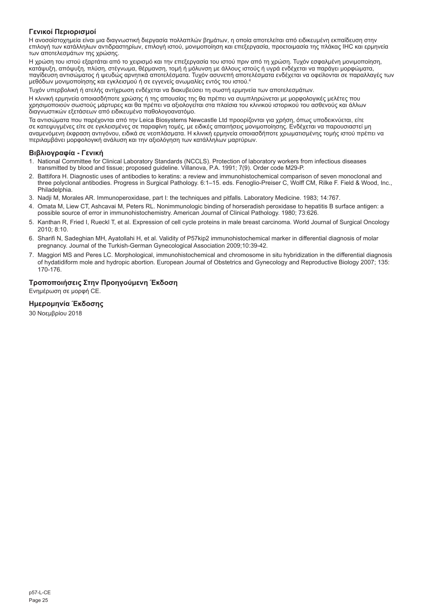# **Γενικοί Περιορισμοί**

Η ανοσοϊστοχημεία είναι μια διαγνωστική διεργασία πολλαπλών βημάτων, η οποία αποτελείται από ειδικευμένη εκπαίδευση στην επιλογή των κατάλληλων αντιδραστηρίων, επιλογή ιστού, μονιμοποίηση και επεξεργασία, προετοιμασία της πλάκας IHC και ερμηνεία των αποτελεσμάτων της χρώσης.

Η χρώση του ιστού εξαρτάται από το χειρισμό και την επεξεργασία του ιστού πριν από τη χρώση. Τυχόν εσφαλμένη μονιμοποίηση, κατάψυξη, απόψυξη, πλύση, στέγνωμα, θέρμανση, τομή ή μόλυνση με άλλους ιστούς ή υγρά ενδέχεται να παράγει μορφώματα, παγίδευση αντισώματος ή ψευδώς αρνητικά αποτελέσματα. Τυχόν ασυνεπή αποτελέσματα ενδέχεται να οφείλονται σε παραλλαγές των μεθόδων μονιμοποίησης και εγκλεισμού ή σε εγγενείς ανωμαλίες εντός του ιστού.4

Τυχόν υπερβολική ή ατελής αντίχρωση ενδέχεται να διακυβεύσει τη σωστή ερμηνεία των αποτελεσμάτων.

Η κλινική ερμηνεία οποιασδήποτε χρώσης ή της απουσίας της θα πρέπει να συμπληρώνεται με μορφολογικές μελέτες που χρησιμοποιούν σωστούς μάρτυρες και θα πρέπει να αξιολογείται στα πλαίσια του κλινικού ιστορικού του ασθενούς και άλλων διαγνωστικών εξετάσεων από ειδικευμένο παθολογοανατόμο.

Τα αντισώματα που παρέχονται από την Leica Biosystems Newcastle Ltd προορίζονται για χρήση, όπως υποδεικνύεται, είτε σε κατεψυγμένες είτε σε εγκλεισμένες σε παραφίνη τομές, με ειδικές απαιτήσεις μονιμοποίησης. Ενδέχεται να παρουσιαστεί μη αναμενόμενη έκφραση αντιγόνου, ειδικά σε νεοπλάσματα. Η κλινική ερμηνεία οποιασδήποτε χρωματισμένης τομής ιστού πρέπει να περιλαμβάνει μορφολογική ανάλυση και την αξιολόγηση των κατάλληλων μαρτύρων.

# **Βιβλιογραφία - Γενική**

- 1. National Committee for Clinical Laboratory Standards (NCCLS). Protection of laboratory workers from infectious diseases transmitted by blood and tissue; proposed guideline. Villanova, P.A. 1991; 7(9). Order code M29-P.
- 2. Battifora H. Diagnostic uses of antibodies to keratins: a review and immunohistochemical comparison of seven monoclonal and three polyclonal antibodies. Progress in Surgical Pathology. 6:1–15. eds. Fenoglio-Preiser C, Wolff CM, Rilke F. Field & Wood, Inc., Philadelphia.
- 3. Nadji M, Morales AR. Immunoperoxidase, part I: the techniques and pitfalls. Laboratory Medicine. 1983; 14:767.
- 4. Omata M, Liew CT, Ashcavai M, Peters RL. Nonimmunologic binding of horseradish peroxidase to hepatitis B surface antigen: a possible source of error in immunohistochemistry. American Journal of Clinical Pathology. 1980; 73:626.
- 5. Kanthan R, Fried I, Rueckl T, et al. Expression of cell cycle proteins in male breast carcinoma. World Journal of Surgical Oncology 2010; 8:10.
- 6. Sharifi N, Sadeghian MH, Ayatollahi H, et al. Validity of P57kip2 immunohistochemical marker in differential diagnosis of molar pregnancy. Journal of the Turkish-German Gynecological Association 2009;10:39-42.
- 7. Maggiori MS and Peres LC. Morphological, immunohistochemical and chromosome in situ hybridization in the differential diagnosis of hydatidiform mole and hydropic abortion. European Journal of Obstetrics and Gynecology and Reproductive Biology 2007; 135: 170-176.

# **Τροποποιήσεις Στην Προηγούμενη Έκδοση**

Ενημέρωση σε μορφή CE.

# **Ημερομηνία Έκδοσης**

30 Νοεμβρίου 2018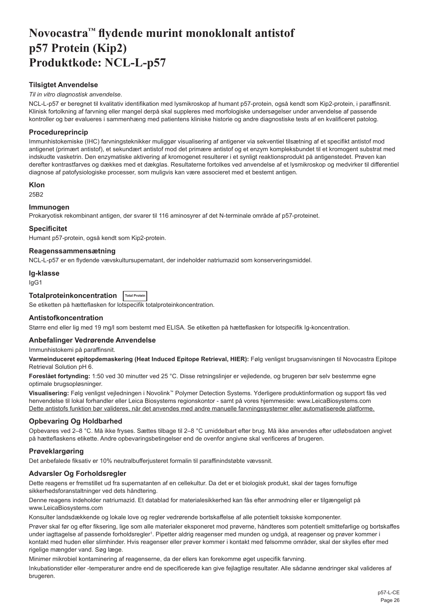# <span id="page-26-0"></span>**Novocastra™ flydende murint monoklonalt antistof p57 Protein (Kip2) Produktkode: NCL-L-p57**

# **Tilsigtet Anvendelse**

#### *Til in vitro diagnostisk anvendelse*.

NCL-L-p57 er beregnet til kvalitativ identifikation med lysmikroskop af humant p57-protein, også kendt som Kip2-protein, i paraffinsnit. Klinisk fortolkning af farvning eller mangel derpå skal suppleres med morfologiske undersøgelser under anvendelse af passende kontroller og bør evalueres i sammenhæng med patientens kliniske historie og andre diagnostiske tests af en kvalificeret patolog.

# **Procedureprincip**

Immunhistokemiske (IHC) farvningsteknikker muliggør visualisering af antigener via sekventiel tilsætning af et specifikt antistof mod antigenet (primært antistof), et sekundært antistof mod det primære antistof og et enzym kompleksbundet til et kromogent substrat med indskudte vasketrin. Den enzymatiske aktivering af kromogenet resulterer i et synligt reaktionsprodukt på antigenstedet. Prøven kan derefter kontrastfarves og dækkes med et dækglas. Resultaterne fortolkes ved anvendelse af et lysmikroskop og medvirker til differentiel diagnose af patofysiologiske processer, som muligvis kan være associeret med et bestemt antigen.

# **Klon**

25B2

# **Immunogen**

Prokaryotisk rekombinant antigen, der svarer til 116 aminosyrer af det N-terminale område af p57-proteinet.

#### **Specificitet**

Humant p57-protein, også kendt som Kip2-protein.

# **Reagenssammensætning**

NCL-L-p57 er en flydende vævskultursupernatant, der indeholder natriumazid som konserveringsmiddel.

#### **Ig-klasse**

IgG1

# **Totalproteinkoncentration Total Protein**

Se etiketten på hætteflasken for lotspecifik totalproteinkoncentration.

# **Antistofkoncentration**

Større end eller lig med 19 mg/l som bestemt med ELISA. Se etiketten på hætteflasken for lotspecifik Ig-koncentration.

# **Anbefalinger Vedrørende Anvendelse**

Immunhistokemi på paraffinsnit.

**Varmeinduceret epitopdemaskering (Heat Induced Epitope Retrieval, HIER):** Følg venligst brugsanvisningen til Novocastra Epitope Retrieval Solution pH 6.

**Foreslået fortynding:** 1:50 ved 30 minutter ved 25 °C. Disse retningslinjer er vejledende, og brugeren bør selv bestemme egne optimale brugsopløsninger.

**Visualisering:** Følg venligst vejledningen i Novolink™ Polymer Detection Systems. Yderligere produktinformation og support fås ved henvendelse til lokal forhandler eller Leica Biosystems regionskontor - samt på vores hjemmeside: www.LeicaBiosystems.com Dette antistofs funktion bør valideres, når det anvendes med andre manuelle farvningssystemer eller automatiserede platforme.

# **Opbevaring Og Holdbarhed**

Opbevares ved 2–8 °C. Må ikke fryses. Sættes tilbage til 2–8 °C umiddelbart efter brug. Må ikke anvendes efter udløbsdatoen angivet på hætteflaskens etikette. Andre opbevaringsbetingelser end de ovenfor angivne skal verificeres af brugeren.

# **Prøveklargøring**

Det anbefalede fiksativ er 10% neutralbufferjusteret formalin til paraffinindstøbte vævssnit.

# **Advarsler Og Forholdsregler**

Dette reagens er fremstillet ud fra supernatanten af en cellekultur. Da det er et biologisk produkt, skal der tages fornuftige sikkerhedsforanstaltninger ved dets håndtering.

Denne reagens indeholder natriumazid. Et datablad for materialesikkerhed kan fås efter anmodning eller er tilgængeligt på www.LeicaBiosystems.com

Konsulter landsdækkende og lokale love og regler vedrørende bortskaffelse af alle potentielt toksiske komponenter.

Prøver skal før og efter fiksering, lige som alle materialer eksponeret mod prøverne, håndteres som potentielt smittefarlige og bortskaffes under iagttagelse af passende forholdsregler<sup>ı</sup>. Pipetter aldrig reagenser med munden og undgå, at reagenser og prøver kommer i kontakt med huden eller slimhinder. Hvis reagenser eller prøver kommer i kontakt med følsomme områder, skal der skylles efter med rigelige mængder vand. Søg læge.

Minimer mikrobiel kontaminering af reagenserne, da der ellers kan forekomme øget uspecifik farvning.

Inkubationstider eller -temperaturer andre end de specificerede kan give fejlagtige resultater. Alle sådanne ændringer skal valideres af brugeren.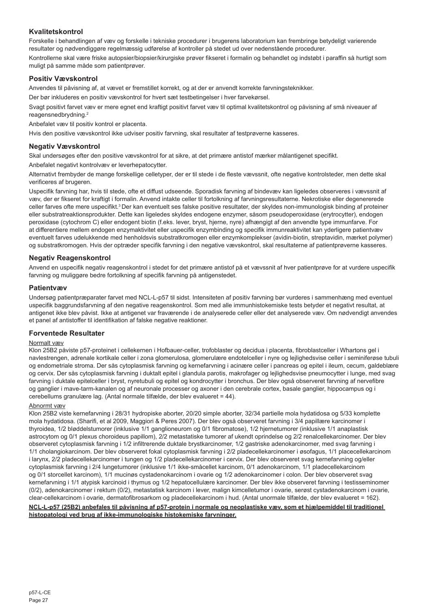# **Kvalitetskontrol**

Forskelle i behandlingen af væv og forskelle i tekniske procedurer i brugerens laboratorium kan frembringe betydeligt varierende resultater og nødvendiggøre regelmæssig udførelse af kontroller på stedet ud over nedenstående procedurer. Kontrollerne skal være friske autopsier/biopsier/kirurgiske prøver fikseret i formalin og behandlet og indstøbt i paraffin så hurtigt som muligt på samme måde som patientprøver.

# **Positiv Vævskontrol**

Anvendes til påvisning af, at vævet er fremstillet korrekt, og at der er anvendt korrekte farvningsteknikker.

Der bør inkluderes en positiv vævskontrol for hvert sæt testbetingelser i hver farvekørsel.

Svagt positivt farvet væv er mere egnet end kraftigt positivt farvet væv til optimal kvalitetskontrol og påvisning af små niveauer af reagensnedbrydning.<sup>2</sup>

Anbefalet væv til positiv kontrol er placenta.

Hvis den positive vævskontrol ikke udviser positiv farvning, skal resultater af testprøverne kasseres.

# **Negativ Vævskontrol**

Skal undersøges efter den positive vævskontrol for at sikre, at det primære antistof mærker målantigenet specifikt.

Anbefalet negativt kontrolvæv er leverhepatocytter.

Alternativt frembyder de mange forskellige celletyper, der er til stede i de fleste vævssnit, ofte negative kontrolsteder, men dette skal verificeres af brugeren.

Uspecifik farvning har, hvis til stede, ofte et diffust udseende. Sporadisk farvning af bindevæv kan ligeledes observeres i vævssnit af væv, der er fikseret for kraftigt i formalin. Anvend intakte celler til fortolkning af farvningsresultaterne. Nekrotiske eller degenererede celler farves ofte mere uspecifikt.<sup>3</sup>Der kan eventuelt ses falske positive resultater, der skyldes non-immunologisk binding af proteiner eller substratreaktionsprodukter. Dette kan ligeledes skyldes endogene enzymer, såsom pseudoperoxidase (erytrocytter), endogen peroxidase (cytochrom C) eller endogent biotin (f.eks. lever, bryst, hjerne, nyre) afhængigt af den anvendte type immunfarve. For at differentiere mellem endogen enzymaktivitet eller uspecifik enzymbinding og specifik immunreaktivitet kan yderligere patientvæv eventuelt farves udelukkende med henholdsvis substratkromogen eller enzymkomplekser (avidin-biotin, streptavidin, mærket polymer) og substratkromogen. Hvis der optræder specifik farvning i den negative vævskontrol, skal resultaterne af patientprøverne kasseres.

# **Negativ Reagenskontrol**

Anvend en uspecifik negativ reagenskontrol i stedet for det primære antistof på et vævssnit af hver patientprøve for at vurdere uspecifik farvning og muliggøre bedre fortolkning af specifik farvning på antigenstedet.

# **Patientvæv**

Undersøg patientpræparater farvet med NCL-L-p57 til sidst. Intensiteten af positiv farvning bør vurderes i sammenhæng med eventuel uspecifik baggrundsfarvning af den negative reagenskontrol. Som med alle immunhistokemiske tests betyder et negativt resultat, at antigenet ikke blev påvist. Ikke at antigenet var fraværende i de analyserede celler eller det analyserede væv. Om nødvendigt anvendes et panel af antistoffer til identifikation af falske negative reaktioner.

# **Forventede Resultater**

# Normalt væv

Klon 25B2 påviste p57-proteinet i cellekernen i Hofbauer-celler, trofoblaster og decidua i placenta, fibroblastceller i Whartons gel i navlestrengen, adrenale kortikale celler i zona glomerulosa, glomerulære endotelceller i nyre og lejlighedsvise celler i seminiferøse tubuli og endometriale stroma. Der sås cytoplasmisk farvning og kernefarvning i acinære celler i pancreas og epitel i ileum, cecum, galdeblære og cervix. Der sås cytoplasmisk farvning i duktalt epitel i glandula parotis, makrofager og lejlighedsvise pneumocytter i lunge, med svag farvning i duktale epitelceller i bryst, nyretubuli og epitel og kondrocytter i bronchus. Der blev også observeret farvning af nervefibre og ganglier i mave-tarm-kanalen og af neuronale processer og axoner i den cerebrale cortex, basale ganglier, hippocampus og i cerebellums granulære lag. (Antal normale tilfælde, der blev evalueret = 44).

#### Abnormt væv

Klon 25B2 viste kernefarvning i 28/31 hydropiske aborter, 20/20 simple aborter, 32/34 partielle mola hydatidosa og 5/33 komplette mola hydatidosa. (Sharifi, et al 2009, Maggiori & Peres 2007). Der blev også observeret farvning i 3/4 papillære karcinomer i thyroidea, 1/2 bløddelstumorer (inklusive 1/1 ganglioneurom og 0/1 fibromatose), 1/2 hjernetumorer (inklusive 1/1 anaplastisk astrocytom og 0/1 plexus choroideus papillom), 2/2 metastatiske tumorer af ukendt oprindelse og 2/2 renalcellekarcinomer. Der blev observeret cytoplasmisk farvning i 1/2 infiltrerende duktale brystkarcinomer, 1/2 gastriske adenokarcinomer, med svag farvning i 1/1 cholangiokarcinom. Der blev observeret fokal cytoplasmisk farvning i 2/2 pladecellekarcinomer i øsofagus, 1/1 placecellekarcinom i larynx, 2/2 pladecellekarcinomer i tungen og 1/2 pladecellekarcinomer i cervix. Der blev observeret svag kernefarvning og/eller cytoplasmisk farvning i 2/4 lungetumorer (inklusive 1/1 ikke-småcellet karcinom, 0/1 adenokarcinom, 1/1 pladecellekarcinom og 0/1 storcellet karcinom), 1/1 mucinøs cystadenokarcinom i ovarie og 1/2 adenokarcinomer i colon. Der blev observeret svag kernefarvning i 1/1 atypisk karcinoid i thymus og 1/2 hepatocellulære karcinomer. Der blev ikke observeret farvning i testisseminomer (0/2), adenokarcinomer i rektum (0/2), metastatisk karcinom i lever, malign kimcelletumor i ovarie, serøst cystadenokarcinom i ovarie, clear-cellekarcinom i ovarie, dermatofibrosarkom og pladecellekarcinom i hud. (Antal unormale tilfælde, der blev evalueret = 162).

**NCL-L-p57 (25B2) anbefales til påvisning af p57-protein i normale og neoplastiske væv, som et hjælpemiddel til traditionel histopatologi ved brug af ikke-immunologiske histokemiske farvninger.**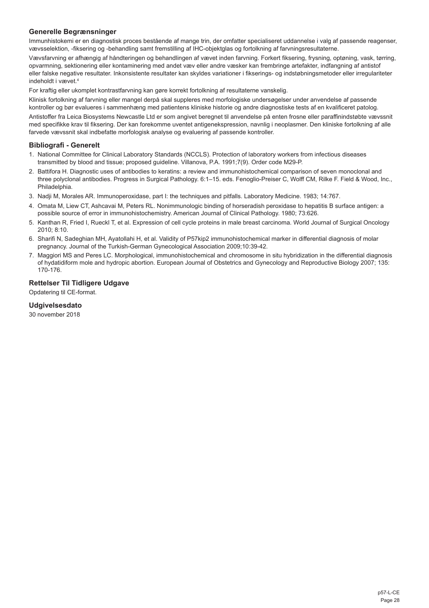# **Generelle Begrænsninger**

Immunhistokemi er en diagnostisk proces bestående af mange trin, der omfatter specialiseret uddannelse i valg af passende reagenser, vævsselektion, -fiksering og -behandling samt fremstilling af IHC-objektglas og fortolkning af farvningsresultaterne.

Vævsfarvning er afhængig af håndteringen og behandlingen af vævet inden farvning. Forkert fiksering, frysning, optøning, vask, tørring, opvarmning, sektionering eller kontaminering med andet væv eller andre væsker kan frembringe artefakter, indfangning af antistof eller falske negative resultater. Inkonsistente resultater kan skyldes variationer i fikserings- og indstøbningsmetoder eller irregulariteter indeholdt i vævet.4

For kraftig eller ukomplet kontrastfarvning kan gøre korrekt fortolkning af resultaterne vanskelig.

Klinisk fortolkning af farvning eller mangel derpå skal suppleres med morfologiske undersøgelser under anvendelse af passende kontroller og bør evalueres i sammenhæng med patientens kliniske historie og andre diagnostiske tests af en kvalificeret patolog.

Antistoffer fra Leica Biosystems Newcastle Ltd er som angivet beregnet til anvendelse på enten frosne eller paraffinindstøbte vævssnit med specifikke krav til fiksering. Der kan forekomme uventet antigenekspression, navnlig i neoplasmer. Den kliniske fortolkning af alle farvede vævssnit skal indbefatte morfologisk analyse og evaluering af passende kontroller.

# **Bibliografi - Generelt**

- 1. National Committee for Clinical Laboratory Standards (NCCLS). Protection of laboratory workers from infectious diseases transmitted by blood and tissue; proposed guideline. Villanova, P.A. 1991;7(9). Order code M29-P.
- 2. Battifora H. Diagnostic uses of antibodies to keratins: a review and immunohistochemical comparison of seven monoclonal and three polyclonal antibodies. Progress in Surgical Pathology. 6:1–15. eds. Fenoglio-Preiser C, Wolff CM, Rilke F. Field & Wood, Inc., Philadelphia.
- 3. Nadji M, Morales AR. Immunoperoxidase, part I: the techniques and pitfalls. Laboratory Medicine. 1983; 14:767.
- 4. Omata M, Liew CT, Ashcavai M, Peters RL. Nonimmunologic binding of horseradish peroxidase to hepatitis B surface antigen: a possible source of error in immunohistochemistry. American Journal of Clinical Pathology. 1980; 73:626.
- 5. Kanthan R, Fried I, Rueckl T, et al. Expression of cell cycle proteins in male breast carcinoma. World Journal of Surgical Oncology 2010; 8:10.
- 6. Sharifi N, Sadeghian MH, Ayatollahi H, et al. Validity of P57kip2 immunohistochemical marker in differential diagnosis of molar pregnancy. Journal of the Turkish-German Gynecological Association 2009;10:39-42.
- 7. Maggiori MS and Peres LC. Morphological, immunohistochemical and chromosome in situ hybridization in the differential diagnosis of hydatidiform mole and hydropic abortion. European Journal of Obstetrics and Gynecology and Reproductive Biology 2007; 135: 170-176.

# **Rettelser Til Tidligere Udgave**

Opdatering til CE-format.

# **Udgivelsesdato**

30 november 2018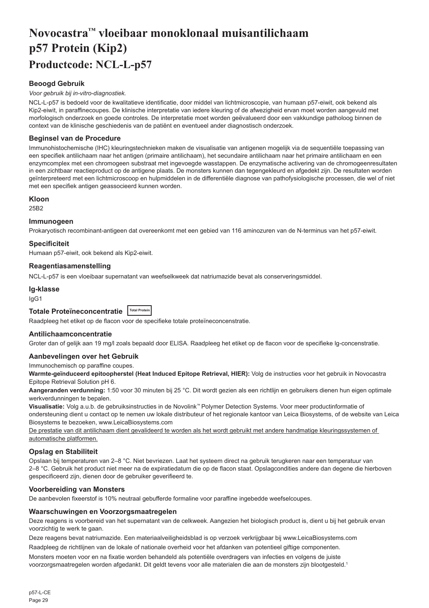# <span id="page-29-0"></span>**Novocastra™ vloeibaar monoklonaal muisantilichaam p57 Protein (Kip2) Productcode: NCL-L-p57**

# **Beoogd Gebruik**

#### *Voor gebruik bij in-vitro-diagnostiek.*

NCL-L-p57 is bedoeld voor de kwalitatieve identificatie, door middel van lichtmicroscopie, van humaan p57-eiwit, ook bekend als Kip2-eiwit, in paraffinecoupes. De klinische interpretatie van iedere kleuring of de afwezigheid ervan moet worden aangevuld met morfologisch onderzoek en goede controles. De interpretatie moet worden geëvalueerd door een vakkundige patholoog binnen de context van de klinische geschiedenis van de patiënt en eventueel ander diagnostisch onderzoek.

# **Beginsel van de Procedure**

Immunohistochemische (IHC) kleuringstechnieken maken de visualisatie van antigenen mogelijk via de sequentiële toepassing van een specifiek antilichaam naar het antigen (primaire antilichaam), het secundaire antilichaam naar het primaire antilichaam en een enzymcomplex met een chromogeen substraat met ingevoegde wasstappen. De enzymatische activering van de chromogeenresultaten in een zichtbaar reactieproduct op de antigene plaats. De monsters kunnen dan tegengekleurd en afgedekt zijn. De resultaten worden geïnterpreteerd met een lichtmicroscoop en hulpmiddelen in de differentiële diagnose van pathofysiologische processen, die wel of niet met een specifiek antigen geassocieerd kunnen worden.

#### **Kloon**

25B2

# **Immunogeen**

Prokaryotisch recombinant-antigeen dat overeenkomt met een gebied van 116 aminozuren van de N-terminus van het p57-eiwit.

#### **Specificiteit**

Humaan p57-eiwit, ook bekend als Kip2-eiwit.

#### **Reagentiasamenstelling**

NCL-L-p57 is een vloeibaar supernatant van weefselkweek dat natriumazide bevat als conserveringsmiddel.

# **Ig-klasse**

IgG1

# **Totale Proteïneconcentratie Total Protein**

Raadpleeg het etiket op de flacon voor de specifieke totale proteïneconcenstratie.

# **Antilichaamconcentratie**

Groter dan of gelijk aan 19 mg/l zoals bepaald door ELISA. Raadpleeg het etiket op de flacon voor de specifieke lg-concenstratie.

# **Aanbevelingen over het Gebruik**

Immunochemisch op paraffine coupes.

**Warmte-geïnduceerd epitoopherstel (Heat Induced Epitope Retrieval, HIER):** Volg de instructies voor het gebruik in Novocastra Epitope Retrieval Solution pH 6.

**Aangeranden verdunning:** 1:50 voor 30 minuten bij 25 °C. Dit wordt gezien als een richtlijn en gebruikers dienen hun eigen optimale werkverdunningen te bepalen.

**Visualisatie:** Volg a.u.b. de gebruiksinstructies in de Novolink™ Polymer Detection Systems. Voor meer productinformatie of ondersteuning dient u contact op te nemen uw lokale distributeur of het regionale kantoor van Leica Biosystems, of de website van Leica Biosystems te bezoeken, www.LeicaBiosystems.com

De prestatie van dit antilichaam dient gevalideerd te worden als het wordt gebruikt met andere handmatige kleuringssystemen of automatische platformen.

# **Opslag en Stabiliteit**

Opslaan bij temperaturen van 2–8 °C. Niet bevriezen. Laat het systeem direct na gebruik terugkeren naar een temperatuur van 2–8 °C. Gebruik het product niet meer na de expiratiedatum die op de flacon staat. Opslagcondities andere dan degene die hierboven gespecificeerd zijn, dienen door de gebruiker geverifieerd te.

# **Voorbereiding van Monsters**

De aanbevolen fixeerstof is 10% neutraal gebufferde formaline voor paraffine ingebedde weefselcoupes.

#### **Waarschuwingen en Voorzorgsmaatregelen**

Deze reagens is voorbereid van het supernatant van de celkweek. Aangezien het biologisch product is, dient u bij het gebruik ervan voorzichtig te werk te gaan.

Deze reagens bevat natriumazide. Een materiaalveiligheidsblad is op verzoek verkrijgbaar bij www.LeicaBiosystems.com

Raadpleeg de richtlijnen van de lokale of nationale overheid voor het afdanken van potentieel giftige componenten.

Monsters moeten voor en na fixatie worden behandeld als potentiële overdragers van infecties en volgens de juiste voorzorgsmaatregelen worden afgedankt. Dit geldt tevens voor alle materialen die aan de monsters zijn blootgesteld.<sup>1</sup>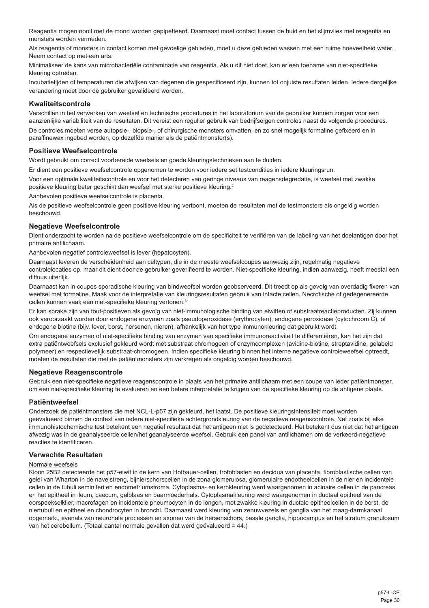Reagentia mogen nooit met de mond worden gepipetteerd. Daarnaast moet contact tussen de huid en het slijmvlies met reagentia en monsters worden vermeden.

Als reagentia of monsters in contact komen met gevoelige gebieden, moet u deze gebieden wassen met een ruime hoeveelheid water. Neem contact op met een arts.

Minimaliseer de kans van microbacteriële contaminatie van reagentia. Als u dit niet doet, kan er een toename van niet-specifieke kleuring optreden.

Incubatietijden of temperaturen die afwijken van degenen die gespecificeerd zijn, kunnen tot onjuiste resultaten leiden. Iedere dergelijke verandering moet door de gebruiker gevalideerd worden.

# **Kwaliteitscontrole**

Verschillen in het verwerken van weefsel en technische procedures in het laboratorium van de gebruiker kunnen zorgen voor een aanzienlijke variabiliteit van de resultaten. Dit vereist een regulier gebruik van bedrijfseigen controles naast de volgende procedures. De controles moeten verse autopsie-, biopsie-, of chirurgische monsters omvatten, en zo snel mogelijk formaline gefixeerd en in paraffinewax ingebed worden, op dezelfde manier als de patiëntmonster(s).

### **Positieve Weefselcontrole**

Wordt gebruikt om correct voorbereide weefsels en goede kleuringstechnieken aan te duiden.

Er dient een positieve weefselcontrole opgenomen te worden voor iedere set testcondities in iedere kleuringsrun.

Voor een optimale kwaliteitscontrole en voor het detecteren van geringe niveaus van reagensdegredatie, is weefsel met zwakke positieve kleuring beter geschikt dan weefsel met sterke positieve kleuring.<sup>2</sup>

Aanbevolen positieve weefselcontrole is placenta.

Als de positieve weefselcontrole geen positieve kleuring vertoont, moeten de resultaten met de testmonsters als ongeldig worden beschouwd.

#### **Negatieve Weefselcontrole**

Dient onderzocht te worden na de positieve weefselcontrole om de specificiteit te verifiëren van de labeling van het doelantigen door het primaire antilichaam.

Aanbevolen negatief controleweefsel is lever (hepatocyten).

Daarnaast leveren de verscheidenheid aan celtypen, die in de meeste weefselcoupes aanwezig zijn, regelmatig negatieve controlelocaties op, maar dit dient door de gebruiker geverifieerd te worden. Niet-specifieke kleuring, indien aanwezig, heeft meestal een diffuus uiterlijk.

Daarnaast kan in coupes sporadische kleuring van bindweefsel worden geobserveerd. Dit treedt op als gevolg van overdadig fixeren van weefsel met formaline. Maak voor de interpretatie van kleuringsresultaten gebruik van intacte cellen. Necrotische of gedegenereerde cellen kunnen vaak een niet-specifieke kleuring vertonen.<sup>3</sup>

Er kan sprake zijn van fout-positieven als gevolg van niet-immunologische binding van eiwitten of substraatreactieproducten. Zij kunnen ook veroorzaakt worden door endogene enzymen zoals pseudoperoxidase (erythrocyten), endogene peroxidase (cytochroom C), of endogene biotine (bijv. lever, borst, hersenen, nieren), afhankelijk van het type immunokleuring dat gebruikt wordt.

Om endogene enzymen of niet-specifieke binding van enzymen van specifieke immunoreactiviteit te differentiëren, kan het zijn dat extra patiëntweefsels exclusief gekleurd wordt met substraat chromogeen of enzymcomplexen (avidine-biotine, streptavidine, gelabeld polymeer) en respectievelijk substraat-chromogeen. Indien specifieke kleuring binnen het interne negatieve controleweefsel optreedt, moeten de resultaten die met de patiëntmonsters zijn verkregen als ongeldig worden beschouwd.

# **Negatieve Reagenscontrole**

Gebruik een niet-specifieke negatieve reagenscontrole in plaats van het primaire antilichaam met een coupe van ieder patiëntmonster, om een niet-specifieke kleuring te evalueren en een betere interpretatie te krijgen van de specifieke kleuring op de antigene plaats.

# **Patiëntweefsel**

Onderzoek de patiëntmonsters die met NCL-L-p57 zijn gekleurd, het laatst. De positieve kleuringsintensiteit moet worden geëvalueerd binnen de context van iedere niet-specifieke achtergrondkleuring van de negatieve reagenscontrole. Net zoals bij elke immunohistochemische test betekent een negatief resultaat dat het antigeen niet is gedetecteerd. Het betekent dus niet dat het antigeen afwezig was in de geanalyseerde cellen/het geanalyseerde weefsel. Gebruik een panel van antilichamen om de verkeerd-negatieve reacties te identificeren.

### **Verwachte Resultaten**

#### Normale weefsels

Kloon 25B2 detecteerde het p57-eiwit in de kern van Hofbauer-cellen, trofoblasten en decidua van placenta, fibroblastische cellen van gelei van Wharton in de navelstreng, bijnierschorscellen in de zona glomerulosa, glomerulaire endotheelcellen in de nier en incidentele cellen in de tubuli seminiferi en endometriumstroma. Cytoplasma- en kernkleuring werd waargenomen in acinaire cellen in de pancreas en het epitheel in ileum, caecum, galblaas en baarmoederhals. Cytoplasmakleuring werd waargenomen in ductaal epitheel van de oorspeekselklier, macrofagen en incidentele pneumocyten in de longen, met zwakke kleuring in ductale epitheelcellen in de borst, de niertubuli en epitheel en chondrocyten in bronchi. Daarnaast werd kleuring van zenuwvezels en ganglia van het maag-darmkanaal opgemerkt, evenals van neuronale processen en axonen van de hersenschors, basale ganglia, hippocampus en het stratum granulosum van het cerebellum. (Totaal aantal normale gevallen dat werd geëvalueerd = 44.)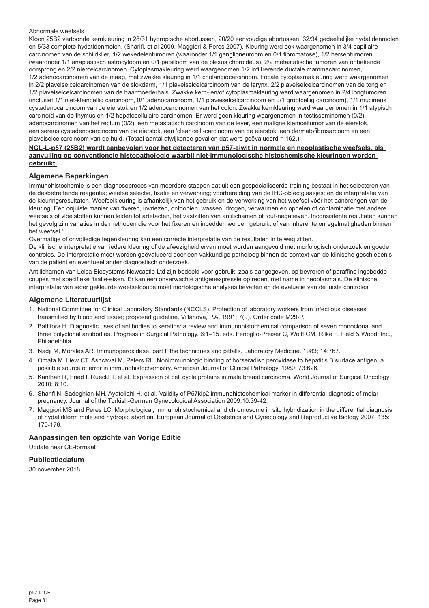## Abnormale weefsels

Kloon 25B2 vertoonde kernkleuring in 28/31 hydropische abortussen, 20/20 eenvoudige abortussen, 32/34 gedeeltelijke hydatidenmolen en 5/33 complete hydatidenmolen. (Sharifi, et al 2009, Maggiori & Peres 2007). Kleuring werd ook waargenomen in 3/4 papillaire carcinomen van de schildklier, 1/2 wekedelentumoren (waaronder 1/1 ganglioneuroom en 0/1 fibromatose), 1/2 hersentumoren (waaronder 1/1 anaplastisch astrocytoom en 0/1 papilloom van de plexus choroideus), 2/2 metastatische tumoren van onbekende oorsprong en 2/2 niercelcarcinomen. Cytoplasmakleuring werd waargenomen 1/2 infiltrerende ductale mammacarcinomen, 1/2 adenocarcinomen van de maag, met zwakke kleuring in 1/1 cholangiocarcinoom. Focale cytoplasmakleuring werd waargenomen in 2/2 plaveiselcelcarcinomen van de slokdarm, 1/1 plaveiselcelcarcinoom van de larynx, 2/2 plaveiselcelcarcinomen van de tong en 1/2 plaveiselcelcarcinomen van de baarmoederhals. Zwakke kern- en/of cytoplasmakleuring werd waargenomen in 2/4 longtumoren (inclusief 1/1 niet-kleincellig carcinoom, 0/1 adenocarcinoom, 1/1 plaveiselcelcarcinoom en 0/1 grootcellig carcinoom), 1/1 mucineus cystadenocarcinoom van de eierstok en 1/2 adenocarcinomen van het colon. Zwakke kernkleuring werd waargenomen in 1/1 atypisch carcinoïd van de thymus en 1/2 hepatocellulaire carcinomen. Er werd geen kleuring waargenomen in testisseminomen (0/2), adenocarcinomen van het rectum (0/2), een metastatisch carcinoom van de lever, een maligne kiemceltumor van de eierstok, een sereus cystadenocarcinoom van de eierstok, een 'clear cell'-carcinoom van de eierstok, een dermatofibrosarcoom en een plaveiselcelcarcinoom van de huid. (Totaal aantal afwijkende gevallen dat werd geëvalueerd = 162.)

#### **NCL-L-p57 (25B2) wordt aanbevolen voor het detecteren van p57-eiwit in normale en neoplastische weefsels, als aanvulling op conventionele histopathologie waarbij niet-immunologische histochemische kleuringen worden gebruikt.**

#### **Algemene Beperkingen**

Immunohistochemie is een diagnoseproces van meerdere stappen dat uit een gespecialiseerde training bestaat in het selecteren van de desbetreffende reagentia; weefselselectie, fixatie en verwerking; voorbereiding van de IHC-objectglaasjes; en de interpretatie van de kleuringsresultaten. Weefselkleuring is afhankelijk van het gebruik en de verwerking van het weefsel vóór het aanbrengen van de kleuring. Een onjuiste manier van fixeren, invriezen, ontdooien, wassen, drogen, verwarmen en opdelen of contaminatie met andere weefsels of vloeistoffen kunnen leiden tot artefacten, het vastzitten van antilichamen of fout-negatieven. Inconsistente resultaten kunnen het gevolg zijn variaties in de methoden die voor het fixeren en inbedden worden gebruikt of van inherente onregelmatigheden binnen het weefsel.4

Overmatige of onvolledige tegenkleuring kan een correcte interpretatie van de resultaten in te weg zitten.

De klinische interpretatie van iedere kleuring of de afwezigheid ervan moet worden aangevuld met morfologisch onderzoek en goede controles. De interpretatie moet worden geëvalueerd door een vakkundige patholoog binnen de context van de klinische geschiedenis van de patiënt en eventueel ander diagnostisch onderzoek.

Antilichamen van Leica Biosystems Newcastle Ltd zijn bedoeld voor gebruik, zoals aangegeven, op bevroren of paraffine ingebedde coupes met specifieke fixatie-eisen. Er kan een onverwachte antigenexpressie optreden, met name in neoplasma's. De klinische interpretatie van ieder gekleurde weefselcoupe moet morfologische analyses bevatten en de evaluatie van de juiste controles.

# **Algemene Literatuurlijst**

- 1. National Committee for Clinical Laboratory Standards (NCCLS). Protection of laboratory workers from infectious diseases transmitted by blood and tissue; proposed guideline. Villanova, P.A. 1991; 7(9). Order code M29-P.
- 2. Battifora H. Diagnostic uses of antibodies to keratins: a review and immunohistochemical comparison of seven monoclonal and three polyclonal antibodies. Progress in Surgical Pathology. 6:1–15. eds. Fenoglio-Preiser C, Wolff CM, Rilke F. Field & Wood, Inc., Philadelphia.
- 3. Nadji M, Morales AR. Immunoperoxidase, part I: the techniques and pitfalls. Laboratory Medicine. 1983; 14:767.
- 4. Omata M, Liew CT, Ashcavai M, Peters RL. Nonimmunologic binding of horseradish peroxidase to hepatitis B surface antigen: a possible source of error in immunohistochemistry. American Journal of Clinical Pathology. 1980; 73:626.
- 5. Kanthan R, Fried I, Rueckl T, et al. Expression of cell cycle proteins in male breast carcinoma. World Journal of Surgical Oncology 2010; 8:10.
- 6. Sharifi N, Sadeghian MH, Ayatollahi H, et al. Validity of P57kip2 immunohistochemical marker in differential diagnosis of molar pregnancy. Journal of the Turkish-German Gynecological Association 2009;10:39-42.
- 7. Maggiori MS and Peres LC. Morphological, immunohistochemical and chromosome in situ hybridization in the differential diagnosis of hydatidiform mole and hydropic abortion. European Journal of Obstetrics and Gynecology and Reproductive Biology 2007; 135: 170-176.

# **Aanpassingen ten opzichte van Vorige Editie**

Update naar CE-formaat

# **Publicatiedatum**

30 november 2018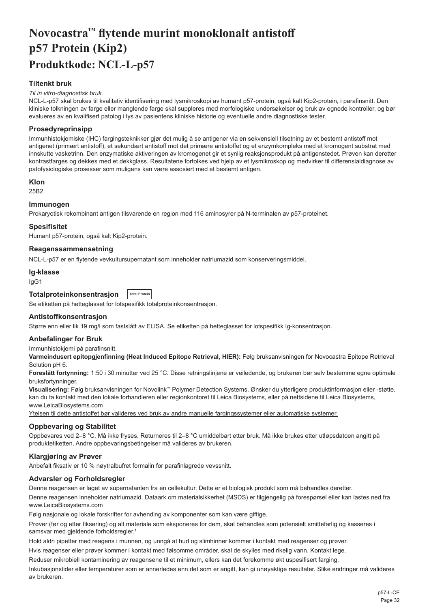# <span id="page-32-0"></span>**Novocastra™ flytende murint monoklonalt antistoff p57 Protein (Kip2) Produktkode: NCL-L-p57**

# **Tiltenkt bruk**

#### *Til in vitro-diagnostisk bruk.*

NCL-L-p57 skal brukes til kvalitativ identifisering med lysmikroskopi av humant p57-protein, også kalt Kip2-protein, i parafinsnitt. Den kliniske tolkningen av farge eller manglende farge skal suppleres med morfologiske undersøkelser og bruk av egnede kontroller, og bør evalueres av en kvalifisert patolog i lys av pasientens kliniske historie og eventuelle andre diagnostiske tester.

# **Prosedyreprinsipp**

Immunhistokjemiske (IHC) fargingsteknikker gjør det mulig å se antigener via en sekvensiell tilsetning av et bestemt antistoff mot antigenet (primært antistoff), et sekundært antistoff mot det primære antistoffet og et enzymkompleks med et kromogent substrat med innskutte vasketrinn. Den enzymatiske aktiveringen av kromogenet gir et synlig reaksjonsprodukt på antigenstedet. Prøven kan deretter kontrastfarges og dekkes med et dekkglass. Resultatene fortolkes ved hjelp av et lysmikroskop og medvirker til differensialdiagnose av patofysiologiske prosesser som muligens kan være assosiert med et bestemt antigen.

#### **Klon**

25B2

# **Immunogen**

Prokaryotisk rekombinant antigen tilsvarende en region med 116 aminosyrer på N-terminalen av p57-proteinet.

#### **Spesifisitet**

Humant p57-protein, også kalt Kip2-protein.

#### **Reagenssammensetning**

NCL-L-p57 er en flytende vevkultursupernatant som inneholder natriumazid som konserveringsmiddel.

#### **Ig-klasse**

IgG1

#### **Totalproteinkonsentrasjon Total Protein**

Se etiketten på hetteglasset for lotspesifikk totalproteinkonsentrasjon.

#### **Antistoffkonsentrasjon**

Større enn eller lik 19 mg/l som fastslått av ELISA. Se etiketten på hetteglasset for lotspesifikk Ig-konsentrasjon.

#### **Anbefalinger for Bruk**

Immunhistokjemi på parafinsnitt.

**Varmeindusert epitopgjenfinning (Heat Induced Epitope Retrieval, HIER):** Følg bruksanvisningen for Novocastra Epitope Retrieval Solution pH 6.

**Foreslått fortynning:** 1:50 i 30 minutter ved 25 °C. Disse retningslinjene er veiledende, og brukeren bør selv bestemme egne optimale bruksfortynninger.

**Visualisering:** Følg bruksanvisningen for Novolink™ Polymer Detection Systems. Ønsker du ytterligere produktinformasjon eller -støtte, kan du ta kontakt med den lokale forhandleren eller regionkontoret til Leica Biosystems, eller på nettsidene til Leica Biosystems, www.LeicaBiosystems.com

Ytelsen til dette antistoffet bør valideres ved bruk av andre manuelle fargingssystemer eller automatiske systemer.

#### **Oppbevaring og Stabilitet**

Oppbevares ved 2–8 °C. Må ikke fryses. Returneres til 2–8 °C umiddelbart etter bruk. Må ikke brukes etter utløpsdatoen angitt på produktetiketten. Andre oppbevaringsbetingelser må valideres av brukeren.

#### **Klargjøring av Prøver**

Anbefalt fiksativ er 10 % nøytralbufret formalin for parafinlagrede vevssnitt.

#### **Advarsler og Forholdsregler**

Denne reagensen er laget av supernatanten fra en cellekultur. Dette er et biologisk produkt som må behandles deretter.

Denne reagensen inneholder natriumazid. Dataark om materialsikkerhet (MSDS) er tilgjengelig på forespørsel eller kan lastes ned fra www.LeicaBiosystems.com

Følg nasjonale og lokale forskrifter for avhending av komponenter som kan være giftige.

Prøver (før og etter fiksering) og alt materiale som eksponeres for dem, skal behandles som potensielt smittefarlig og kasseres i samsvar med gjeldende forholdsregler.<sup>1</sup>

Hold aldri pipetter med reagens i munnen, og unngå at hud og slimhinner kommer i kontakt med reagenser og prøver.

Hvis reagenser eller prøver kommer i kontakt med følsomme områder, skal de skylles med rikelig vann. Kontakt lege.

Reduser mikrobiell kontaminering av reagensene til et minimum, ellers kan det forekomme økt uspesifisert farging.

Inkubasjonstider eller temperaturer som er annerledes enn det som er angitt, kan gi unøyaktige resultater. Slike endringer må valideres av brukeren.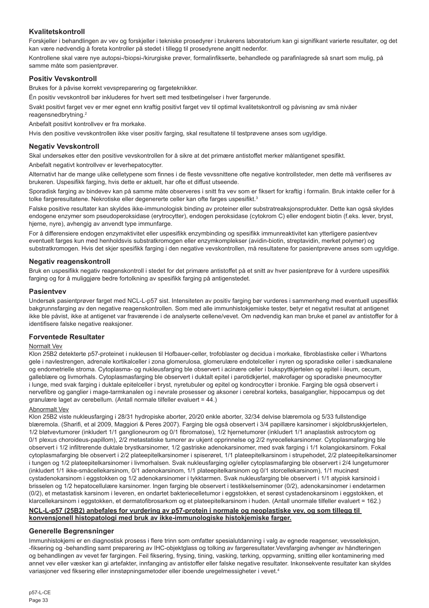# **Kvalitetskontroll**

Forskjeller i behandlingen av vev og forskjeller i tekniske prosedyrer i brukerens laboratorium kan gi signifikant varierte resultater, og det kan være nødvendig å foreta kontroller på stedet i tillegg til prosedyrene angitt nedenfor.

Kontrollene skal være nye autopsi-/biopsi-/kirurgiske prøver, formalinfikserte, behandlede og parafinlagrede så snart som mulig, på samme måte som pasientprøver.

# **Positiv Vevskontroll**

Brukes for å påvise korrekt vevspreparering og fargeteknikker.

Én positiv vevskontroll bør inkluderes for hvert sett med testbetingelser i hver fargerunde.

Svakt positivt farget vev er mer egnet enn kraftig positivt farget vev til optimal kvalitetskontroll og påvisning av små nivåer reagensnedbrytning.<sup>2</sup>

Anbefalt positivt kontrollvev er fra morkake.

Hvis den positive vevskontrollen ikke viser positiv farging, skal resultatene til testprøvene anses som ugyldige.

# **Negativ Vevskontroll**

Skal undersøkes etter den positive vevskontrollen for å sikre at det primære antistoffet merker målantigenet spesifikt. Anbefalt negativt kontrollvev er leverhepatocytter.

Alternativt har de mange ulike celletypene som finnes i de fleste vevssnittene ofte negative kontrollsteder, men dette må verifiseres av brukeren. Uspesifikk farging, hvis dette er aktuelt, har ofte et diffust utseende.

Sporadisk farging av bindevev kan på samme måte observeres i snitt fra vev som er fiksert for kraftig i formalin. Bruk intakte celler for å tolke fargeresultatene. Nekrotiske eller degenererte celler kan ofte farges uspesifikt.<sup>3</sup>

Falske positive resultater kan skyldes ikke-immunologisk binding av proteiner eller substratreaksjonsprodukter. Dette kan også skyldes endogene enzymer som pseudoperoksidase (erytrocytter), endogen peroksidase (cytokrom C) eller endogent biotin (f.eks. lever, bryst, hjerne, nyre), avhengig av anvendt type immunfarge.

For å differensiere endogen enzymaktivitet eller uspesifikk enzymbinding og spesifikk immunreaktivitet kan ytterligere pasientvev eventuelt farges kun med henholdsvis substratkromogen eller enzymkomplekser (avidin-biotin, streptavidin, merket polymer) og substratkromogen. Hvis det skjer spesifikk farging i den negative vevskontrollen, må resultatene for pasientprøvene anses som ugyldige.

# **Negativ reagenskontroll**

Bruk en uspesifikk negativ reagenskontroll i stedet for det primære antistoffet på et snitt av hver pasientprøve for å vurdere uspesifikk farging og for å muliggjøre bedre fortolkning av spesifikk farging på antigenstedet.

# **Pasientvev**

Undersøk pasientprøver farget med NCL-L-p57 sist. Intensiteten av positiv farging bør vurderes i sammenheng med eventuell uspesifikk bakgrunnsfarging av den negative reagenskontrollen. Som med alle immunhistokjemiske tester, betyr et negativt resultat at antigenet ikke ble påvist, ikke at antigenet var fraværende i de analyserte cellene/vevet. Om nødvendig kan man bruke et panel av antistoffer for å identifisere falske negative reaksjoner.

# **Forventede Resultater**

# Normalt Vev

Klon 25B2 detekterte p57-proteinet i nukleusen til Hofbauer-celler, trofoblaster og decidua i morkake, fibroblastiske celler i Whartons gele i navlestrengen, adrenale kortikalceller i zona glomerulosa, glomerulære endotelceller i nyren og sporadiske celler i sædkanalene og endometrielle stroma. Cytoplasma- og nukleusfarging ble observert i acinære celler i bukspyttkjertelen og epitel i ileum, cecum, galleblære og livmorhals. Cytoplasmasfarging ble observert i duktalt epitel i parotidkjertel, makrofager og sporadiske pneumocytter i lunge, med svak farging i duktale epitelceller i bryst, nyretubuler og epitel og kondrocytter i bronkie. Farging ble også observert i nervefibre og ganglier i mage-tarmkanalen og i nevrale prosesser og aksoner i cerebral korteks, basalganglier, hippocampus og det granulære laget av cerebellum. (Antall normale tilfeller evaluert = 44.)

# Abnormalt Vev

Klon 25B2 viste nukleusfarging i 28/31 hydropiske aborter, 20/20 enkle aborter, 32/34 delvise blæremola og 5/33 fullstendige blæremola. (Sharifi, et al 2009, Maggiori & Peres 2007). Farging ble også observert i 3/4 papillære karsinomer i skjoldbruskkjertelen, 1/2 bløtvevtumorer (inkludert 1/1 ganglioneurom og 0/1 fibromatose), 1/2 hjernetumorer (inkludert 1/1 anaplastisk astrocytom og 0/1 plexus choroideus-papillom), 2/2 metastatiske tumorer av ukjent opprinnelse og 2/2 nyrecellekarsinomer. Cytoplasmafarging ble observert i 1/2 infiltrerende duktale brystkarsinomer, 1/2 gastriske adenokarsinomer, med svak farging i 1/1 kolangiokarsinom. Fokal cytoplasmafarging ble observert i 2/2 plateepitelkarsinomer i spiserøret, 1/1 plateepitelkarsinom i strupehodet, 2/2 plateepitelkarsinomer i tungen og 1/2 plateepitelkarsinomer i livmorhalsen. Svak nukleusfarging og/eller cytoplasmafarging ble observert i 2/4 lungetumorer (inkludert 1/1 ikke-småcellekarsinom, 0/1 adenokarsinom, 1/1 plateepitelkarsinom og 0/1 storcellekarsinom), 1/1 mucinøst cystadenokarsinom i eggstokken og 1/2 adenokarsinomer i tykktarmen. Svak nukleusfarging ble observert i 1/1 atypisk karsinoid i brisselen og 1/2 hepatocellulære karsinomer. Ingen farging ble observert i testikkelseminomer (0/2), adenokarsinomer i endetarmen (0/2), et metastatisk karsinom i leveren, en ondartet bakteriecelletumor i eggstokken, et serøst cystadenokarsinom i eggstokken, et klarcellekarsinom i eggstokken, et dermatofibrosarkom og et plateepitelkarsinom i huden. (Antall unormale tilfeller evaluert = 162.)

#### **NCL-L-p57 (25B2) anbefales for vurdering av p57-protein i normale og neoplastiske vev, og som tillegg til konvensjonell histopatologi med bruk av ikke-immunologiske histokjemiske farger.**

# **Generelle Begrensninger**

Immunhistokjemi er en diagnostisk prosess i flere trinn som omfatter spesialutdanning i valg av egnede reagenser, vevsseleksjon, -fiksering og -behandling samt preparering av IHC-objektglass og tolking av fargeresultater.Vevsfarging avhenger av håndteringen og behandlingen av vevet før fargingen. Feil fiksering, frysing, tining, vasking, tørking, oppvarming, snitting eller kontaminering med annet vev eller væsker kan gi artefakter, innfanging av antistoffer eller falske negative resultater. Inkonsekvente resultater kan skyldes variasjoner ved fiksering eller innstøpningsmetoder eller iboende uregelmessigheter i vevet.4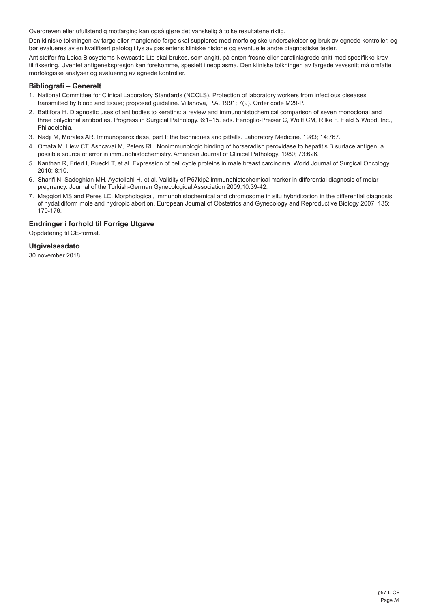Overdreven eller ufullstendig motfarging kan også gjøre det vanskelig å tolke resultatene riktig.

Den kliniske tolkningen av farge eller manglende farge skal suppleres med morfologiske undersøkelser og bruk av egnede kontroller, og bør evalueres av en kvalifisert patolog i lys av pasientens kliniske historie og eventuelle andre diagnostiske tester.

Antistoffer fra Leica Biosystems Newcastle Ltd skal brukes, som angitt, på enten frosne eller parafinlagrede snitt med spesifikke krav til fiksering. Uventet antigenekspresjon kan forekomme, spesielt i neoplasma. Den kliniske tolkningen av fargede vevssnitt må omfatte morfologiske analyser og evaluering av egnede kontroller.

# **Bibliografi – Generelt**

- 1. National Committee for Clinical Laboratory Standards (NCCLS). Protection of laboratory workers from infectious diseases transmitted by blood and tissue; proposed guideline. Villanova, P.A. 1991; 7(9). Order code M29-P.
- 2. Battifora H. Diagnostic uses of antibodies to keratins: a review and immunohistochemical comparison of seven monoclonal and three polyclonal antibodies. Progress in Surgical Pathology. 6:1–15. eds. Fenoglio-Preiser C, Wolff CM, Rilke F. Field & Wood, Inc., Philadelphia.
- 3. Nadji M, Morales AR. Immunoperoxidase, part I: the techniques and pitfalls. Laboratory Medicine. 1983; 14:767.
- 4. Omata M, Liew CT, Ashcavai M, Peters RL. Nonimmunologic binding of horseradish peroxidase to hepatitis B surface antigen: a possible source of error in immunohistochemistry. American Journal of Clinical Pathology. 1980; 73:626.
- 5. Kanthan R, Fried I, Rueckl T, et al. Expression of cell cycle proteins in male breast carcinoma. World Journal of Surgical Oncology 2010; 8:10.
- 6. Sharifi N, Sadeghian MH, Ayatollahi H, et al. Validity of P57kip2 immunohistochemical marker in differential diagnosis of molar pregnancy. Journal of the Turkish-German Gynecological Association 2009;10:39-42.
- 7. Maggiori MS and Peres LC. Morphological, immunohistochemical and chromosome in situ hybridization in the differential diagnosis of hydatidiform mole and hydropic abortion. European Journal of Obstetrics and Gynecology and Reproductive Biology 2007; 135: 170-176.

# **Endringer i forhold til Forrige Utgave**

Oppdatering til CE-format.

**Utgivelsesdato**

30 november 2018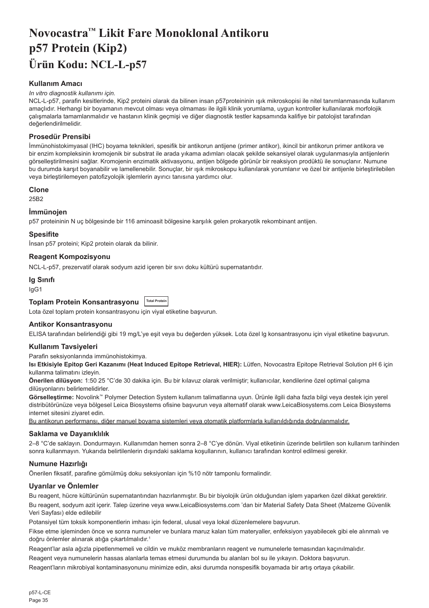# <span id="page-35-0"></span>**Novocastra™ Likit Fare Monoklonal Antikoru p57 Protein (Kip2) Ürün Kodu: NCL-L-p57**

# **Kullanım Amacı**

#### *In vitro diagnostik kullanımı için.*

NCL-L-p57, parafin kesitlerinde, Kip2 proteini olarak da bilinen insan p57proteininin ışık mikroskopisi ile nitel tanımlanmasında kullanım amaçlıdır. Herhangi bir boyamanın mevcut olması veya olmaması ile ilgili klinik yorumlama, uygun kontroller kullanılarak morfolojik çalışmalarla tamamlanmalıdır ve hastanın klinik geçmişi ve diğer diagnostik testler kapsamında kalifiye bir patolojist tarafından değerlendirilmelidir.

# **Prosedür Prensibi**

İmmünohistokimyasal (IHC) boyama teknikleri, spesifik bir antikorun antijene (primer antikor), ikincil bir antikorun primer antikora ve bir enzim kompleksinin kromojenik bir substrat ile arada yıkama adımları olacak şekilde sekansiyel olarak uygulanmasıyla antijenlerin görselleştirilmesini sağlar. Kromojenin enzimatik aktivasyonu, antijen bölgede görünür bir reaksiyon prodüktü ile sonuçlanır. Numune bu durumda karşıt boyanabilir ve lamellenebilir. Sonuçlar, bir ışık mikroskopu kullanılarak yorumlanır ve özel bir antijenle birleştirilebilen veya birleştirilemeyen patofizyolojik işlemlerin ayırıcı tanısına yardımcı olur.

# **Clone**

25B2

# **İmmünojen**

p57 proteininin N uç bölgesinde bir 116 aminoasit bölgesine karşılık gelen prokaryotik rekombinant antijen.

# **Spesifite**

İnsan p57 proteini; Kip2 protein olarak da bilinir.

# **Reagent Kompozisyonu**

NCL-L-p57, prezervatif olarak sodyum azid içeren bir sıvı doku kültürü supernatantıdır.

# **Ig Sınıfı**

IgG1

# **Toplam Protein Konsantrasyonu Total Protein**

Lota özel toplam protein konsantrasyonu için viyal etiketine başvurun.

# **Antikor Konsantrasyonu**

ELISA tarafından belirlendiği gibi 19 mg/L'ye eşit veya bu değerden yüksek. Lota özel lg konsantrasyonu için viyal etiketine başvurun.

# **Kullanım Tavsiyeleri**

Parafin seksiyonlarında immünohistokimya.

**Isı Etkisiyle Epitop Geri Kazanımı (Heat Induced Epitope Retrieval, HIER):** Lütfen, Novocastra Epitope Retrieval Solution pH 6 için kullanma talimatını izleyin.

**Önerilen dilüsyon:** 1:50 25 °C'de 30 dakika için. Bu bir kılavuz olarak verilmiştir; kullanıcılar, kendilerine özel optimal çalışma dilüsyonlarını belirlemelidirler.

**Görselleştirme:** Novolink™ Polymer Detection System kullanım talimatlarına uyun. Ürünle ilgili daha fazla bilgi veya destek için yerel distribütörünüze veya bölgesel Leica Biosystems ofisine başvurun veya alternatif olarak www.LeicaBiosystems.com Leica Biosystems internet sitesini ziyaret edin.

Bu antikorun performansı, diğer manuel boyama sistemleri veya otomatik platformlarla kullanıldığında doğrulanmalıdır.

#### **Saklama ve Dayanıklılık**

2–8 °C'de saklayın. Dondurmayın. Kullanımdan hemen sonra 2–8 °C'ye dönün. Viyal etiketinin üzerinde belirtilen son kullanım tarihinden sonra kullanmayın. Yukarıda belirtilenlerin dışındaki saklama koşullarının, kullanıcı tarafından kontrol edilmesi gerekir.

# **Numune Hazırlığı**

Önerilen fiksatif, parafine gömülmüş doku seksiyonları için %10 nötr tamponlu formalindir.

# **Uyarılar ve Önlemler**

Bu reagent, hücre kültürünün supernatantından hazırlanmıştır. Bu bir biyolojik ürün olduğundan işlem yaparken özel dikkat gerektirir.

Bu reagent, sodyum azit içerir. Talep üzerine veya www.LeicaBiosystems.com 'dan bir Material Safety Data Sheet (Malzeme Güvenlik Veri Sayfası) elde edilebilir

Potansiyel tüm toksik komponentlerin imhası için federal, ulusal veya lokal düzenlemelere başvurun.

Fikse etme işleminden önce ve sonra numuneler ve bunlara maruz kalan tüm materyaller, enfeksiyon yayabilecek gibi ele alınmalı ve doğru önlemler alınarak atığa çıkartılmalıdır.<sup>1</sup>

Reagent'lar asla ağızla pipetlenmemeli ve cildin ve muköz membranların reagent ve numunelerle temasından kaçınılmalıdır.

Reagent veya numunelerin hassas alanlarla temas etmesi durumunda bu alanları bol su ile yıkayın. Doktora başvurun.

Reagent'ların mikrobiyal kontaminasyonunu minimize edin, aksi durumda nonspesifik boyamada bir artış ortaya çıkabilir.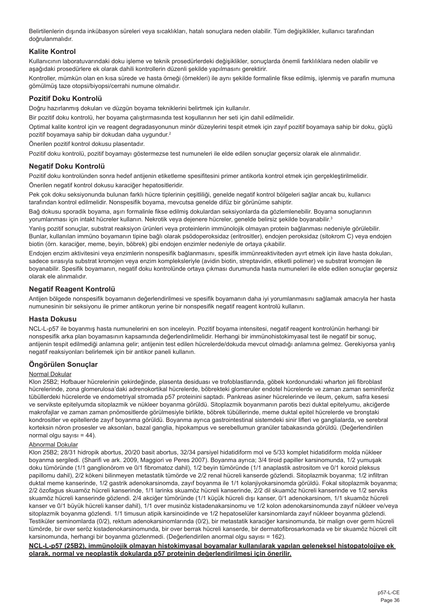Belirtilenlerin dışında inkübasyon süreleri veya sıcaklıkları, hatalı sonuçlara neden olabilir. Tüm değişiklikler, kullanıcı tarafından doğrulanmalıdır.

# **Kalite Kontrol**

Kullanıcının laboratuvarındaki doku işleme ve teknik prosedürlerdeki değişiklikler, sonuçlarda önemli farklılıklara neden olabilir ve aşağıdaki prosedürlere ek olarak dahili kontrollerin düzenli şekilde yapılmasını gerektirir.

Kontroller, mümkün olan en kısa sürede ve hasta örneği (örnekleri) ile aynı şekilde formalinle fikse edilmiş, işlenmiş ve parafin mumuna gömülmüş taze otopsi/biyopsi/cerrahi numune olmalıdır.

## **Pozitif Doku Kontrolü**

Doğru hazırlanmış dokuları ve düzgün boyama tekniklerini belirtmek için kullanılır.

Bir pozitif doku kontrolü, her boyama çalıştırmasında test koşullarının her seti için dahil edilmelidir.

Optimal kalite kontrol için ve reagent degradasyonunun minör düzeylerini tespit etmek için zayıf pozitif boyamaya sahip bir doku, güçlü pozitif boyamaya sahip bir dokudan daha uygundur.<sup>2</sup>

Önerilen pozitif kontrol dokusu plasentadır.

Pozitif doku kontrolü, pozitif boyamayı göstermezse test numuneleri ile elde edilen sonuçlar geçersiz olarak ele alınmalıdır.

# **Negatif Doku Kontrolü**

Pozitif doku kontrolünden sonra hedef antijenin etiketleme spesifitesini primer antikorla kontrol etmek için gerçekleştirilmelidir.

Önerilen negatif kontrol dokusu karaciğer hepatositleridir.

Pek çok doku seksiyonunda bulunan farklı hücre tiplerinin çeşitliliği, genelde negatif kontrol bölgeleri sağlar ancak bu, kullanıcı tarafından kontrol edilmelidir. Nonspesifik boyama, mevcutsa genelde difüz bir görünüme sahiptir.

Bağ dokusu sporadik boyama, aşırı formalinle fikse edilmiş dokulardan seksiyonlarda da gözlemlenebilir. Boyama sonuçlarının yorumlanması için intakt hücreler kullanın. Nekrotik veya dejenere hücreler, genelde belirsiz şekilde boyanabilir.<sup>3</sup>

Yanlış pozitif sonuçlar, substrat reaksiyon ürünleri veya proteinlerin immünolojik olmayan protein bağlanması nedeniyle görülebilir. Bunlar, kullanılan immüno boyamanın tipine bağlı olarak psödoperoksidaz (eritrositler), endojen peroksidaz (sitokrom C) veya endojen biotin (örn. karaciğer, meme, beyin, böbrek) gibi endojen enzimler nedeniyle de ortaya çıkabilir.

Endojen enzim aktivitesini veya enzimlerin nonspesifik bağlanmasını, spesifik immünreaktiviteden ayırt etmek için ilave hasta dokuları, sadece sırasıyla substrat kromojen veya enzim kompleksleriyle (avidin biotin, streptavidin, etiketli polimer) ve substrat kromojen ile boyanabilir. Spesifik boyamanın, negatif doku kontrolünde ortaya çıkması durumunda hasta numuneleri ile elde edilen sonuçlar geçersiz olarak ele alınmalıdır.

# **Negatif Reagent Kontrolü**

Antijen bölgede nonspesifik boyamanın değerlendirilmesi ve spesifik boyamanın daha iyi yorumlanmasını sağlamak amacıyla her hasta numunesinin bir seksiyonu ile primer antikorun yerine bir nonspesifik negatif reagent kontrolü kullanın.

# **Hasta Dokusu**

NCL-L-p57 ile boyanmış hasta numunelerini en son inceleyin. Pozitif boyama intensitesi, negatif reagent kontrolünün herhangi bir nonspesifik arka plan boyamasının kapsamında değerlendirilmelidir. Herhangi bir immünohistokimyasal test ile negatif bir sonuç, antijenin tespit edilmediği anlamına gelir; antijenin test edilen hücrelerde/dokuda mevcut olmadığı anlamına gelmez. Gerekiyorsa yanlış negatif reaksiyonları belirlemek için bir antikor paneli kullanın.

# **Öngörülen Sonuçlar**

#### Normal Dokular

Klon 25B2; Hofbauer hücrelerinin çekirdeğinde, plasenta desiduası ve trofoblastlarında, göbek kordonundaki wharton jeli fibroblast hücrelerinde, zona glomerulosa'daki adrenokortikal hücrelerde, böbrekteki glomeruler endotel hücrelerde ve zaman zaman seminiferöz tübüllerdeki hücrelerde ve endometriyal stromada p57 proteinini saptadı. Pankreas asiner hücrelerinde ve ileum, çekum, safra kesesi ve servikste epitelyumda sitoplazmik ve nükleer boyanma görüldü. Sitoplazmik boyanmanın parotis bezi duktal epitelyumu, akciğerde makrofajlar ve zaman zaman pnömositlerde görülmesiyle birlikte, böbrek tübüllerinde, meme duktal epitel hücrelerde ve bronştaki kondrositler ve epitellerde zayıf boyanma görüldü. Boyanma ayrıca gastrointestinal sistemdeki sinir lifleri ve ganglialarda, ve serebral korteksin nöron prosesler ve aksonları, bazal ganglia, hipokampus ve serebellumun granüler tabakasında görüldü. (Değerlendirilen normal olgu sayısı  $= 44$ ).

# Abnormal Dokular

Klon 25B2; 28/31 hidropik abortus, 20/20 basit abortus, 32/34 parsiyel hidatidiform mol ve 5/33 komplet hidatidiform molda nükleer boyanma sergiledi. (Sharifi ve ark. 2009, Maggiori ve Peres 2007). Boyanma ayrıca; 3/4 tiroid papiller karsinomunda, 1/2 yumuşak doku tümöründe (1/1 ganglionörom ve 0/1 fibromatoz dahil), 1/2 beyin tümöründe (1/1 anaplastik astrositom ve 0/1 koroid pleksus papillomu dahil), 2/2 kökeni bilinmeyen metastatik tümörde ve 2/2 renal hücreli kanserde gözlendi. Sitoplazmik boyanma; 1/2 infiltran duktal meme kanserinde, 1/2 gastrik adenokarsinomda, zayıf boyanma ile 1/1 kolanjiyokarsinomda görüldü. Fokal sitoplazmik boyanma; 2/2 özofagus skuamöz hücreli kanserinde, 1/1 larinks skuamöz hücreli kanserinde, 2/2 dil skuamöz hücreli kanserinde ve 1/2 serviks skuamöz hücreli kanserinde gözlendi. 2/4 akciğer tümöründe (1/1 küçük hücreli dışı kanser, 0/1 adenokarsinom, 1/1 skuamöz hücreli kanser ve 0/1 büyük hücreli kanser dahil), 1/1 over musinöz kistadenakarsinomu ve 1/2 kolon adenokarsinomunda zayıf nükleer ve/veya sitoplazmik boyanma gözlendi. 1/1 timusun atipik karsinoidinde ve 1/2 hepatoselüler karsinomlarda zayıf nükleer boyanma gözlendi. Testiküler seminomlarda (0/2), rektum adenokarsinomlarında (0/2), bir metastatik karaciğer karsinomunda, bir malign over germ hücreli tümörde, bir over seröz kistadenokarsinomunda, bir over berrak hücreli kanserde, bir dermatofibrosarkomada ve bir skuamöz hücreli cilt karsinomunda, herhangi bir boyanma gözlenmedi. (Değerlendirilen anormal olgu sayısı = 162).

**NCL-L-p57 (25B2), immünolojik olmayan histokimyasal boyamalar kullanılarak yapılan geleneksel histopatolojiye ek olarak, normal ve neoplastik dokularda p57 proteinin değerlendirilmesi için önerilir.**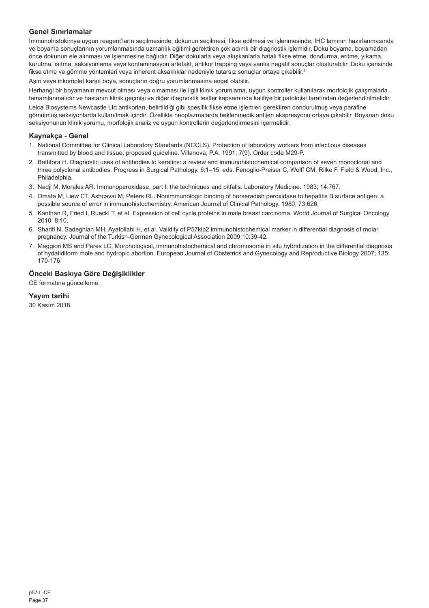# **Genel Sınırlamalar**

İmmünohistokimya uygun reagent'ların seçilmesinde; dokunun seçilmesi, fikse edilmesi ve işlenmesinde; IHC lamının hazırlanmasında ve boyama sonuçlarının yorumlanmasında uzmanlık eğitimi gerektiren çok adımlı bir diagnostik işlemidir. Doku boyama, boyamadan önce dokunun ele alınması ve işlenmesine bağlıdır. Diğer dokularla veya akışkanlarla hatalı fikse etme, dondurma, eritme, yıkama, kurutma, ısıtma, seksiyonlama veya kontaminasyon artefakt, antikor trapping veya yanlış negatif sonuçlar oluşturabilir. Doku içerisinde fikse etme ve gömme yöntemleri veya inherent aksaklıklar nedeniyle tutarsız sonuçlar ortaya çıkabilir. 4

Aşırı veya inkomplet karşıt boya, sonuçların doğru yorumlanmasına engel olabilir.

Herhangi bir boyamanın mevcut olması veya olmaması ile ilgili klinik yorumlama, uygun kontroller kullanılarak morfolojik çalışmalarla tamamlanmalıdır ve hastanın klinik geçmişi ve diğer diagnostik testler kapsamında kalifiye bir patolojist tarafından değerlendirilmelidir.

Leica Biosystems Newcastle Ltd antikorları, belirtildiği gibi spesifik fikse etme işlemleri gerektiren dondurulmuş veya parafine gömülmüş seksiyonlarda kullanılmak içindir. Özellikle neoplazmalarda beklenmedik antijen ekspresyonu ortaya çıkabilir. Boyanan doku seksiyonunun klinik yorumu, morfolojik analiz ve uygun kontrollerin değerlendirmesini içermelidir.

# **Kaynakça - Genel**

- 1. National Committee for Clinical Laboratory Standards (NCCLS). Protection of laboratory workers from infectious diseases transmitted by blood and tissue; proposed guideline. Villanova, P.A. 1991; 7(9). Order code M29-P.
- 2. Battifora H. Diagnostic uses of antibodies to keratins: a review and immunohistochemical comparison of seven monoclonal and three polyclonal antibodies. Progress in Surgical Pathology. 6:1–15. eds. Fenoglio-Preiser C, Wolff CM, Rilke F. Field & Wood, Inc., Philadelphia.
- 3. Nadji M, Morales AR. Immunoperoxidase, part I: the techniques and pitfalls. Laboratory Medicine. 1983; 14:767.
- 4. Omata M, Liew CT, Ashcavai M, Peters RL. Nonimmunologic binding of horseradish peroxidase to hepatitis B surface antigen: a possible source of error in immunohistochemistry. American Journal of Clinical Pathology. 1980; 73:626.
- 5. Kanthan R, Fried I, Rueckl T, et al. Expression of cell cycle proteins in male breast carcinoma. World Journal of Surgical Oncology 2010; 8:10.
- 6. Sharifi N, Sadeghian MH, Ayatollahi H, et al. Validity of P57kip2 immunohistochemical marker in differential diagnosis of molar pregnancy. Journal of the Turkish-German Gynecological Association 2009;10:39-42.
- 7. Maggiori MS and Peres LC. Morphological, immunohistochemical and chromosome in situ hybridization in the differential diagnosis of hydatidiform mole and hydropic abortion. European Journal of Obstetrics and Gynecology and Reproductive Biology 2007; 135: 170-176.

# **Önceki Baskıya Göre Değişiklikler**

CE formatına güncelleme.

# **Yayım tarihi**

30 Kasım 2018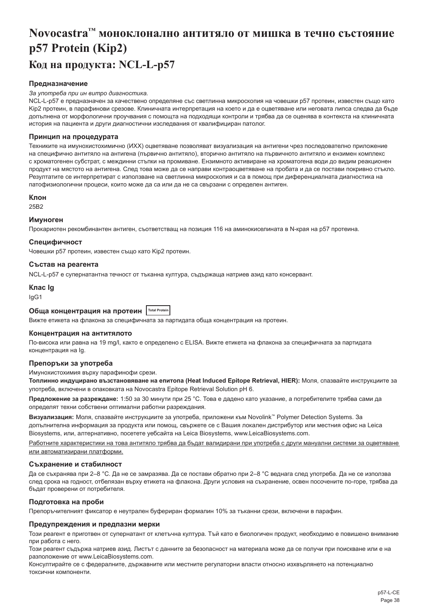# <span id="page-38-0"></span>**Novocastra™ моноклонално антитяло от мишка в течно състояние p57 Protein (Kip2) Код на продукта: NCL-L-p57**

# **Предназначение**

#### *За употреба при ин витро диагностика.*

NCL-L-p57 е предназначен за качествено определяне със светлинна микроскопия на човешки p57 протеин, известен също като Kip2 протеин, в парафинови срезове. Клиничната интерпретация на което и да е оцветяване или неговата липса следва да бъде допълнена от морфологични проучвания с помощта на подходящи контроли и трябва да се оценява в контекста на клиничната история на пациента и други диагностични изследвания от квалифициран патолог.

#### **Принцип на процедурата**

Техниките на имунохистохимично (ИХХ) оцветяване позволяват визуализация на антигени чрез последователно приложение на специфично антитяло на антигена (първично антитяло), вторично антитяло на първичното антитяло и ензимен комплекс с хроматогенен субстрат, с междинни стъпки на промиване. Ензимното активиране на хроматогена води до видим реакционен продукт на мястото на антигена. След това може да се направи контраоцветяване на пробата и да се постави покривно стъкло. Резултатите се интерпретират с използване на светлинна микроскопия и са в помощ при диференциалната диагностика на патофизиологични процеси, които може да са или да не са свързани с определен антиген.

#### **Клон**

25B2

### **Имуноген**

Прокариотен рекомбинантен антиген, съответстващ на позиция 116 на аминокиселината в N-края на p57 протеина.

#### **Специфичност**

Човешки p57 протеин, известен също като Kip2 протеин.

## **Състав на реагента**

NCL-L-p57 е супернатантна течност от тъканна култура, съдържаща натриев азид като консервант.

# **Клас Ig**

IgG1

# **Обща концентрация на протеин Total Protein**

Вижте етикета на флакона за специфичната за партидата обща концентрация на протеин.

#### **Концентрация на антитялото**

По-висока или равна на 19 mg/l, както е определено с ELISA. Вижте етикета на флакона за специфичната за партидата концентрация на Ig.

#### **Препоръки за употреба**

#### Имунохистохимия върху парафинофи срези.

**Топлинно индуцирано възстановяване на епитопа (Heat Induced Epitope Retrieval, HIER):** Моля, спазвайте инструкциите за употреба, включени в опаковката на Novocastra Epitope Retrieval Solution pH 6.

**Предложение за разреждане:** 1:50 за 30 минути при 25 °C. Това е дадено като указание, а потребителите трябва сами да определят техни собствени оптимални работни разреждания.

**Визуализация:** Моля, спазвайте инструкциите за употреба, приложени към Novolink™ Polymer Detection Systems. За допълнителна информация за продукта или помощ, свържете се с Вашия локален дистрибутор или местния офис на Leica Biosystems, или, алтернативно, посетете уебсайта на Leica Biosystems, www.LeicaBiosystems.com.

Работните характеристики на това антитяло трябва да бъдат валидирани при употреба с други мануални системи за оцветяване или автоматизирани платформи.

#### **Съхранение и стабилност**

Да се съхранява при 2–8 °C. Да не се замразява. Да се постави обратно при 2–8 °C веднага след употреба. Да не се използва след срока на годност, отбелязан върху етикета на флакона. Други условия на съхранение, освен посочените по-горе, трябва да бъдат проверени от потребителя.

#### **Подготовка на проби**

Препоръчителният фиксатор е неутрален буфериран формалин 10% за тъканни срези, включени в парафин.

### **Предупреждения и предпазни мерки**

Този реагент е приготвен от супернатант от клетъчна култура. Тъй като е биологичен продукт, необходимо е повишено внимание при работа с него.

Този реагент съдържа натриев азид. Листът с данните за безопасност на материала може да се получи при поискване или е на разположение от www.LeicaBiosystems.com.

Консултирайте се с федералните, държавните или местните регулаторни власти относно изхвърлянето на потенциално токсични компоненти.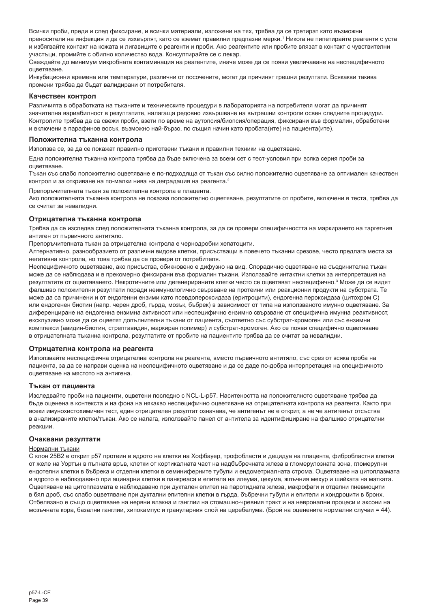Всички проби, преди и след фиксиране, и всички материали, изложени на тях, трябва да се третират като възможни преносители на инфекция и да се изхвърлят, като се вземат правилни предпазни мерки.' Никога не пипетирайте реагенти с уста и избягвайте контакт на кожата и лигавиците с реагенти и проби. Ако реагентите или пробите влязат в контакт с чувствителни участъци, промийте с обилно количество вода. Консултирайте се с лекар.

Свеждайте до минимум микробната контаминация на реагентите, иначе може да се появи увеличаване на неспецифичното оцветяване.

Инкубационни времена или температури, различни от посочените, могат да причинят грешни резултати. Всякакви такива промени трябва да бъдат валидирани от потребителя.

#### **Качествен контрол**

Различията в обработката на тъканите и техническите процедури в лабораторията на потребителя могат да причинят значителна вариабилност в резултатите, налагаща редовно извършване на вътрешни контроли освен следните процедури. Контролите трябва да са свежи проби, взети по време на аутопсия/биопсия/операция, фиксирани във формалин, обработени и включени в парафинов восък, възможно най-бързо, по същия начин като пробата(ите) на пациента(ите).

#### **Положителна тъканна контрола**

Използва се, за да се покажат правилно приготвени тъкани и правилни техники на оцветяване.

Една положителна тъканна контрола трябва да бъде включена за всеки сет с тест-условия при всяка серия проби за оцветяване.

Тъкан със слабо положително оцветяване е по-подходяща от тъкан със силно положително оцветяване за оптимален качествен контрол и за откриване на по-малки нива на деградация на реагента.<sup>2</sup>

Препоръчителната тъкан за положителна контрола е плацента.

Ако положителната тъканна контрола не показва положително оцветяване, резултатите от пробите, включени в теста, трябва да се считат за невалидни.

#### **Отрицателна тъканна контрола**

Трябва да се изследва след положителната тъканна контрола, за да се провери специфичността на маркирането на таргетния антиген от първичното антитяло.

Препоръчителната тъкан за отрицателна контрола e чернодробни хепатоцити.

Алтернативно, разнообразието от различни видове клетки, присъстващи в повечето тъканни срезове, често предлага места за негативна контрола, но това трябва да се провери от потребителя.

Неспецифичното оцветяване, ако присъства, обикновено е дифузно на вид. Спорадично оцветяване на съединителна тъкан може да се наблюдава и в прекомерно фиксирани във формалин тъкани. Използвайте интактни клетки за интерпретация на резултатите от оцветяването. Некротичните или дегенерираните клетки често се оцветяват неспецифично.<sup>з</sup> Може да се видят фалшиво положителни резултати поради неимунологично свързване на протеини или реакционни продукти на субстрата. Те може да са причинени и от ендогенни ензими като псевдопероксидаза (еритроцити), ендогенна пероксидаза (цитохром C) или ендогенен биотин (напр. черен дроб, гърда, мозък, бъбрек) в зависимост от типа на използваното имунно оцветяване. За диференциране на ендогенна ензимна активност или неспецифично ензимно свързване от специфична имунна реактивност, ексклузивно може да се оцветят допълнителни тъкани от пациента, съответно със субстрат-хромоген или със ензимни комплекси (авидин-биотин, стрептавидин, маркиран полимер) и субстрат-хромоген. Ако се появи специфично оцветяване в отрицателната тъканна контрола, резултатите от пробите на пациентите трябва да се считат за невалидни.

#### **Отрицателна контрола на реагента**

Използвайте неспецифична отрицателна контрола на реагента, вместо първичното антитяло, със срез от всяка проба на пациента, за да се направи оценка на неспецифичното оцветяване и да се даде по-добра интерпретация на специфичното оцветяване на мястото на антигена.

#### **Тъкан от пациента**

Изследвайте проби на пациенти, оцветени последно с NCL-L-p57. Наситеността на положителното оцветяване трябва да бъде оценена в контекста и на фона на някакво неспецифично оцветяване на отрицателната контрола на реагента. Както при всеки имунохистохимичен тест, един отрицателен резултат означава, че антигенът не е открит, а не че антигенът отсъства в анализираните клетки/тъкан. Ако се налага, използвайте панел от антитела за идентифициране на фалшиво отрицателни реакции.

#### **Очаквани резултати**

#### Нормални тъкани

С клон 25B2 е открит p57 протеин в ядрото на клетки на Хофбауер, трофобласти и децидуа на плацента, фибробластни клетки от желе на Уортън в пъпната връв, клетки от кортикалната част на надбъбречната жлеза в гломерулозната зона, гломерулни ендотелни клетки в бъбрека и отделни клетки в семиниферните тубули и ендометриалната строма. Оцветяване на цитоплазмата и ядрото е наблюдавано при ацинарни клетки в панкреаса и епитела на илеума, цекума, жлъчния мехур и шийката на матката. Оцветяване на цитоплазмата е наблюдавано при дуктален епител на паротидната жлеза, макрофаги и отделни пневмоцити в бял дроб, със слабо оцветяване при дуктални епителни клетки в гърда, бъбречни тубули и епители и хондроцити в бронх. Отбелязано е също оцветяване на нервни влакна и ганглии на стомашно-чревния тракт и на невронални процеси и аксони на мозъчната кора, базални ганглии, хипокампус и грануларния слой на церебелума. (Брой на оценените нормални случаи = 44).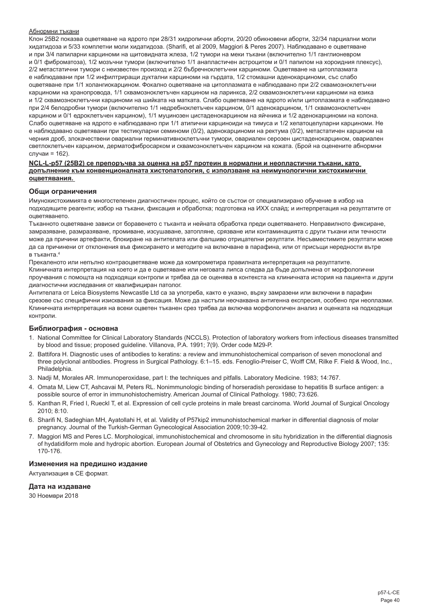#### Абнормни тъкани

Клон 25B2 показва оцветяване на ядрото при 28/31 хидропични аборти, 20/20 обикновени аборти, 32/34 парциални моли хидатидоза и 5/33 комплетни моли хидатидоза. (Sharifi, et al 2009, Maggiori & Peres 2007). Наблюдавано е оцветяване и при 3/4 папиларни карциноми на щитовидната жлеза, 1/2 тумори на меки тъкани (включително 1/1 ганглионевром и 0/1 фиброматоза), 1/2 мозъчни тумори (включително 1/1 анапластичен астроцитом и 0/1 папилом на хороидния плексус), 2/2 метастатични тумори с неизвестен произход и 2/2 бъбречноклетъчни карциноми. Оцветяване на цитоплазмата е наблюдавани при 1/2 инфилтриращи дуктални карциноми на гърдата, 1/2 стомашни аденокарциноми, със слабо оцветяване при 1/1 холангиокарцином. Фокално оцветяване на цитоплазмата е наблюдавано при 2/2 сквамозноклетъчни карциноми на хранопровода, 1/1 сквамозноклетъчен карцином на ларинкса, 2/2 сквамозноклетъчни карциноми на езика и 1/2 сквамозноклетъчни карциноми на шийката на матката. Слабо оцветяване на ядрото и/или цитоплазмата е наблюдавано при 2/4 белодробни тумори (включително 1/1 недребноклетъчен карцином, 0/1 аденокарцином, 1/1 сквамозноклетъчен карцином и 0/1 едроклетъчен карцином), 1/1 муцинозен цистаденокарцином на яйчника и 1/2 аденокарциноми на колона. Слабо оцветяване на ядрото е наблюдавано при 1/1 атипични карциноиди на тимуса и 1/2 хепатоцелуларни карциноми. Не е наблюдавано оцветявани при тестикуларни семиноми (0/2), аденокарциноми на ректума (0/2), метастатичен карцином на черния дроб, злокачествени овариални герминативноклетъчни тумори, овариален серозен цистаденокарцином, овариален светлоклетъчен карцином, дерматофибросарком и сквамозноклетъчен карцином на кожата. (Брой на оценените абнормни случаи = 162).

#### **NCL-L-p57 (25B2) се препоръчва за оценка на p57 протеин в нормални и неопластични тъкани, като допълнение към конвенционалната хистопатология, с използване на неимунологични хистохимични оцветявания.**

#### **Общи ограничения**

Имунохистохимията е многостепенен диагностичен процес, който се състои от специализирано обучение в избор на подходящите реагенти; избор на тъкани, фиксация и обработка; подготовка на ИХХ слайд; и интерпретация на резултатите от оцветяването.

Тъканното оцветяване зависи от боравенето с тъканта и нейната обработка преди оцветяването. Неправилното фиксиране, замразяване, размразяване, промиване, изсушаване, затопляне, срязване или контаминацията с други тъкани или течности може да причини артефакти, блокиране на антителата или фалшиво отрицателни резултати. Несъвместимите резултати може да са причинени от отклонения във фиксирането и методите на включване в парафина, или от присъщи нередности вътре в тъканта 4

Прекаленото или непълно контраоцветяване може да компрометира правилната интерпретация на резултатите. Клиничната интерпретация на което и да е оцветяване или неговата липса следва да бъде допълнена от морфологични проучвания с помощта на подходящи контроли и трябва да се оценява в контекста на клиничната история на пациента и други диагностични изследвания от квалифициран патолог.

Антителата от Leica Biosystems Newcastle Ltd са за употреба, както е указно, върху замразени или включени в парафин срезове със специфични изисквания за фиксация. Може да настъпи неочаквана антигенна експресия, особено при неоплазми. Клиничната интерпретация на всеки оцветен тъканен срез трябва да включва морфологичен анализ и оценката на подходящи контроли.

#### **Библиография - основна**

- 1. National Committee for Clinical Laboratory Standards (NCCLS). Protection of laboratory workers from infectious diseases transmitted by blood and tissue; proposed guideline. Villanova, P.A. 1991; 7(9). Order code M29-P.
- 2. Battifora H. Diagnostic uses of antibodies to keratins: a review and immunohistochemical comparison of seven monoclonal and three polyclonal antibodies. Progress in Surgical Pathology. 6:1–15. eds. Fenoglio-Preiser C, Wolff CM, Rilke F. Field & Wood, Inc., Philadelphia.
- 3. Nadji M, Morales AR. Immunoperoxidase, part I: the techniques and pitfalls. Laboratory Medicine. 1983; 14:767.
- 4. Omata M, Liew CT, Ashcavai M, Peters RL. Nonimmunologic binding of horseradish peroxidase to hepatitis B surface antigen: a possible source of error in immunohistochemistry. American Journal of Clinical Pathology. 1980; 73:626.
- 5. Kanthan R, Fried I, Rueckl T, et al. Expression of cell cycle proteins in male breast carcinoma. World Journal of Surgical Oncology 2010; 8:10.
- 6. Sharifi N, Sadeghian MH, Ayatollahi H, et al. Validity of P57kip2 immunohistochemical marker in differential diagnosis of molar pregnancy. Journal of the Turkish-German Gynecological Association 2009;10:39-42.
- 7. Maggiori MS and Peres LC. Morphological, immunohistochemical and chromosome in situ hybridization in the differential diagnosis of hydatidiform mole and hydropic abortion. European Journal of Obstetrics and Gynecology and Reproductive Biology 2007; 135: 170-176.

# **Изменения на предишно издание**

Актуализация в СЕ формат.

#### **Дата на издаване**

30 Ноември 2018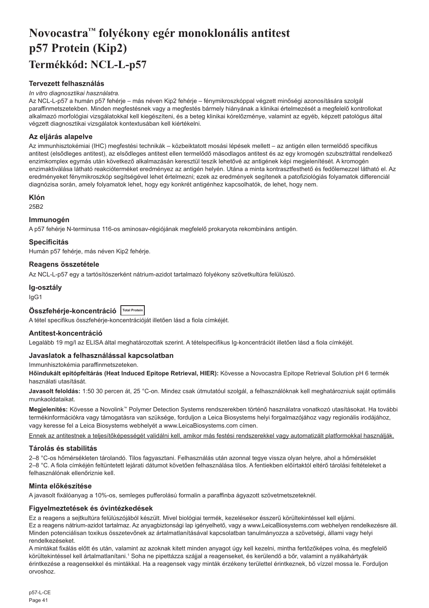# <span id="page-41-0"></span>**Novocastra™ folyékony egér monoklonális antitest p57 Protein (Kip2) Termékkód: NCL-L-p57**

# **Tervezett felhasználás**

#### *In vitro diagnosztikai használatra.*

Az NCL-L-p57 a humán p57 fehérje – más néven Kip2 fehérje – fénymikroszkóppal végzett minőségi azonosítására szolgál paraffinmetszetekben. Minden megfestésnek vagy a megfestés bármely hiányának a klinikai értelmezését a megfelelő kontrollokat alkalmazó morfológiai vizsgálatokkal kell kiegészíteni, és a beteg klinikai kórelőzménye, valamint az egyéb, képzett patológus által végzett diagnosztikai vizsgálatok kontextusában kell kiértékelni.

# **Az eljárás alapelve**

Az immunhisztokémiai (IHC) megfestési technikák – közbeiktatott mosási lépések mellett – az antigén ellen termelődő specifikus antitest (elsődleges antitest), az elsődleges antitest ellen termelődő másodlagos antitest és az egy kromogén szubsztráttal rendelkező enzimkomplex egymás után következő alkalmazásán keresztül teszik lehetővé az antigének képi megjelenítését. A kromogén enzimaktiválása látható reakcióterméket eredményez az antigén helyén. Utána a minta kontrasztfesthető és fedőlemezzel látható el. Az eredményeket fénymikroszkóp segítségével lehet értelmezni; ezek az eredmények segítenek a patofiziológiás folyamatok differenciál diagnózisa során, amely folyamatok lehet, hogy egy konkrét antigénhez kapcsolhatók, de lehet, hogy nem.

#### **Klón**

25B2

## **Immunogén**

A p57 fehérje N-terminusa 116-os aminosav-régiójának megfelelő prokaryota rekombináns antigén.

# **Specificitás**

Humán p57 fehérje, más néven Kip2 fehérje.

# **Reagens összetétele**

Az NCL-L-p57 egy a tartósítószerként nátrium-azidot tartalmazó folyékony szövetkultúra felülúszó.

### **Ig-osztály**

IgG1

# **Összfehérje-koncentráció Total Protein**

A tétel specifikus összfehérje-koncentrációját illetően lásd a fiola címkéjét.

# **Antitest-koncentráció**

Legalább 19 mg/l az ELISA által meghatározottak szerint. A tételspecifikus Ig-koncentrációt illetően lásd a fiola címkéjét.

#### **Javaslatok a felhasználással kapcsolatban**

#### Immunhisztokémia paraffinmetszeteken.

**Hőindukált epitópfeltárás (Heat Induced Epitope Retrieval, HIER):** Kövesse a Novocastra Epitope Retrieval Solution pH 6 termék használati utasítását.

**Javasolt feloldás:** 1:50 30 percen át, 25 °C-on. Mindez csak útmutatóul szolgál, a felhasználóknak kell meghatározniuk saját optimális munkaoldataikat.

**Megjelenítés:** Kövesse a Novolink™ Polymer Detection Systems rendszerekben történő használatra vonatkozó utasításokat. Ha további termékinformációkra vagy támogatásra van szüksége, forduljon a Leica Biosystems helyi forgalmazójához vagy regionális irodájához, vagy keresse fel a Leica Biosystems webhelyét a www.LeicaBiosystems.com címen.

Ennek az antitestnek a teljesítőképességét validálni kell, amikor más festési rendszerekkel vagy automatizált platformokkal használják.

# **Tárolás és stabilitás**

2–8 °C-os hőmérsékleten tárolandó. Tilos fagyasztani. Felhasználás után azonnal tegye vissza olyan helyre, ahol a hőmérséklet 2–8 °C. A fiola címkéjén feltüntetett lejárati dátumot követően felhasználása tilos. A fentiekben előírtaktól eltérő tárolási feltételeket a felhasználónak ellenőriznie kell.

# **Minta előkészítése**

A javasolt fixálóanyag a 10%-os, semleges pufferolású formalin a paraffinba ágyazott szövetmetszeteknél.

# **Figyelmeztetések és óvintézkedések**

Ez a reagens a sejtkultúra felülúszójából készült. Mivel biológiai termék, kezelésekor ésszerű körültekintéssel kell eljárni. Ez a reagens nátrium-azidot tartalmaz. Az anyagbiztonsági lap igényelhető, vagy a www.LeicaBiosystems.com webhelyen rendelkezésre áll. Minden potenciálisan toxikus összetevőnek az ártalmatlanításával kapcsolatban tanulmányozza a szövetségi, állami vagy helyi rendelkezéseket.

A mintákat fixálás előtt és után, valamint az azoknak kitett minden anyagot úgy kell kezelni, mintha fertőzőképes volna, és megfelelő körültekintéssel kell ártalmatlanítani.<sup>1</sup> Soha ne pipettázza szájjal a reagenseket, és kerülendő a bőr, valamint a nyálkahártyák érintkezése a reagensekkel és mintákkal. Ha a reagensek vagy minták érzékeny területtel érintkeznek, bő vízzel mossa le. Forduljon orvoshoz.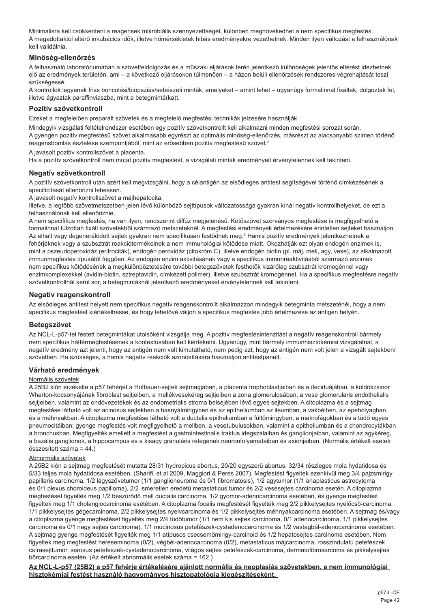Minimálisra kell csökkenteni a reagensek mikrobiális szennyezettségét, különben megnövekedhet a nem specifikus megfestés. A megadottaktól eltérő inkubációs idők, illetve hőmérsékletek hibás eredményekre vezethetnek. Minden ilyen változást a felhasználónak kell validálnia.

# **Minőség-ellenőrzés**

A felhasználó laboratóriumában a szövetfeldolgozás és a műszaki eljárások terén jelentkező különbségek jelentős eltérést idézhetnek elő az eredmények területén, ami – a következő eljárásokon túlmenően – a házon belüli ellenőrzések rendszeres végrehajtását teszi szükségessé.

A kontrollok legyenek friss boncolási/biopsziás/sebészeti minták, amelyeket – amint lehet – ugyanúgy formalinnal fixáltak, dolgoztak fel, illetve ágyaztak paraffinviaszba, mint a betegmintá(ka)t.

# **Pozitív szövetkontroll**

Ezeket a megfelelően preparált szövetek és a megfelelő megfestési technikák jelzésére használják.

Mindegyik vizsgálati feltételrendszer esetében egy pozitív szövetkontrollt kell alkalmazni minden megfestési sorozat során. A gyengén pozitív megfestésű szövet alkalmasabb egyrészt az optimális minőség-ellenőrzés, másrészt az alacsonyabb szinten történő reagensbomlás észlelése szempontjából, mint az erősebben pozitív megfestésű szövet.<sup>2</sup>

A javasolt pozitív kontrollszövet a placenta.

Ha a pozitív szövetkontroll nem mutat pozitív megfestést, a vizsgálati minták eredményeit érvénytelennek kell tekinteni.

#### **Negatív szövetkontroll**

A pozitív szövetkontroll után azért kell megvizsgálni, hogy a célantigén az elsődleges antitest segítségével történő címkézésének a specificitását ellenőrizni lehessen.

A javasolt negatív kontrollszövet a májhepatocita.

Illetve, a legtöbb szövetmetszetben jelen lévő különböző sejttípusok változatossága gyakran kínál negatív kontrollhelyeket, de ezt a felhasználónak kell ellenőriznie.

A nem specifikus megfestés, ha van ilyen, rendszerint diffúz megjelenésű. Kötőszövet szórványos megfestése is megfigyelhető a formalinnal túlzottan fixált szövetekből származó metszeteknél. A megfestési eredmények értelmezésére érintetlen sejteket használjon. Az elhalt vagy degenerálódott sejtek gyakran nem specifikusan festődnek meg.<sup>3</sup> Hamis pozitív eredmények jelentkezhetnek a fehérjéknek vagy a szubsztrát reakciótermékeinek a nem immunológiai kötődése miatt. Okozhatják ezt olyan endogén enzimek is, mint a pszeudoperoxidáz (eritrociták), endogén peroxidáz (citokróm C), illetve endogén biotin (pl. máj, mell, agy, vese), az alkalmazott immunmegfestés típusától függően. Az endogén enzim aktivitásának vagy a specifikus immunreaktivitásból származó enzimek nem specifikus kötődésének a megkülönböztetésére további betegszövetek festhetők kizárólag szubsztrát kromogénnel vagy enzimkomplexekkel (avidin-biotin, sztreptavidin, címkézett polimer), illetve szubsztrát kromogénnel. Ha a specifikus megfestésre negatív szövetkontrollnál kerül sor, a betegmintáknál jelentkező eredményeket érvénytelennek kell tekinteni.

#### **Negatív reagenskontroll**

Az elsődleges antitest helyett nem specifikus negatív reagenskontrollt alkalmazzon mindegyik betegminta metszeténél, hogy a nem specifikus megfestést kiértékelhesse, és hogy lehetővé váljon a specifikus megfestés jobb értelmezése az antigén helyén.

#### **Betegszövet**

Az NCL-L-p57-tel festett betegmintákat utolsóként vizsgálja meg. A pozitív megfestésintenzitást a negatív reagenskontroll bármely nem specifikus háttérmegfestésének a kontextusában kell kiértékelni. Ugyanúgy, mint bármely immunhisztokémiai vizsgálatnál, a negatív eredmény azt jelenti, hogy az antigén nem volt kimutatható, nem pedig azt, hogy az antigén nem volt jelen a vizsgált sejtekben/ szövetben. Ha szükséges, a hamis negatív reakciók azonosítására használjon antitestpanelt.

#### **Várható eredmények**

# Normális szövetek

A 25B2 klón érzékelte a p57 fehérjét a Hofbauer-sejtek sejtmagjában, a placenta trophoblastjaiban és a deciduájában, a köldökzsinór Wharton-kocsonyájának fibroblast sejtjeiben, a mellékvesekéreg sejtjeiben a zona glomerulosában, a vese glomerularis endothelialis sejtjeiben, valamint az ondóvezetékek és az endometrialis stroma belsejében lévő egyes sejtekben. A citoplazma és a sejtmag megfestése látható volt az acinosus sejtekben a hasnyálmirigyben és az epitheliumban az ileumban, a vakbélben, az epehólyagban és a méhnyakban. A citoplazma megfestése látható volt a ductalis epitheliumban a fültőmirigyben, a makrofágokban és a tüdő egyes pneumocitáiban; gyenge megfestés volt megfigyelhető a mellben, a vesetubulusokban, valamint a epitheliumban és a chondrocytákban a bronchusban. Megfigyelték emellett a megfestést a gastrointestinalis traktus idegszálaiban és ganglionjaiban, valamint az agykéreg, a bazális ganglionok, a hippocampus és a kisagy granuláris rétegének neuronfolyamataiban és axionjaiban. (Normális értékelt esetek összesített száma = 44.)

#### Abnormális szövetek

A 25B2 klón a sejtmag megfestését mutatta 28/31 hydropicus abortus, 20/20 egyszerű abortus, 32/34 részleges mola hydatidosa és 5/33 teljes mola hydatidosa esetében. (Sharifi, et al 2009, Maggiori & Peres 2007). Megfestést figyeltek ezenkívül meg 3/4 pajzsmirigy papillaris carcinoma, 1/2 lágyszövetumor (1/1 ganglioneuroma és 0/1 fibromatosis), 1/2 agytumor (1/1 anaplasticus astrocytoma és 0/1 plexus choroideus papilloma), 2/2 ismeretlen eredetű metastaticus tumor és 2/2 vesesejtes carcinoma esetén. A citoplazma megfestését figyelték meg 1/2 beszűrődő mell ductalis carcinoma, 1/2 gyomor-adenocarcinoma esetében, és gyenge megfestést figyeltek meg 1/1 cholangiocarcinoma esetében. A citoplazma focalis megfestését figyelték meg 2/2 pikkelysejtes nyelőcső-carcinoma, 1/1 pikkelysejtes gégecarcinoma, 2/2 pikkelysejtes nyelvcarcinoma és 1/2 pikkelysejtes méhnyakcarcinoma esetében. A sejtmag és/vagy a citoplazma gyenge megfestését figyelték meg 2/4 tüdőtumor (1/1 nem kis sejtes carcinoma, 0/1 adenocarcinoma, 1/1 pikkelysejtes carcinoma és 0/1 nagy sejtes carcinoma), 1/1 mucinosus petefészek-cystadenocarcinoma és 1/2 vastagbél-adenocarcinoma esetében. A sejtmag gyenge megfestését figyelték meg 1/1 atípusos csecsemőmirigy-carcinoid és 1/2 hepatosejtes carcinoma esetében. Nem figyeltek meg megfestést hereseminoma (0/2), végbél-adenocarcinoma (0/2), metastaticus májcarcinoma, rosszindulatú petefészek csírasejttumor, serosus petefészek-cystadenocarcinoma, világos sejtes petefészek-carcinoma, dermatofibrosarcoma és pikkelysejtes bőrcarcinoma esetén. (Az értékelt abnormális esetek száma = 162.)

**Az NCL-L-p57 (25B2) a p57 fehérje értékelésére ajánlott normális és neoplasiás szövetekben, a nem immunológiai hisztokémiai festést használó hagyományos hisztopatológia kiegészítéseként.**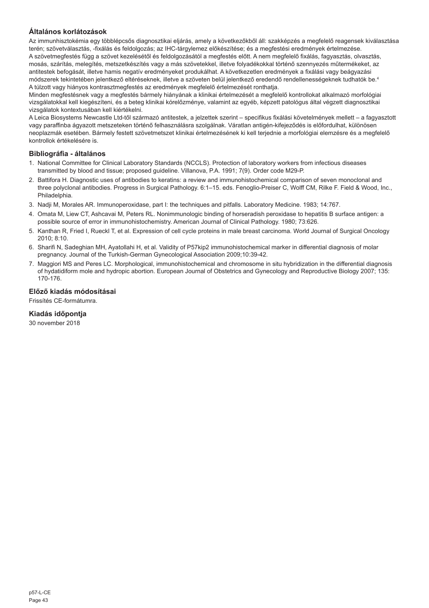# **Általános korlátozások**

Az immunhisztokémia egy többlépcsős diagnosztikai eljárás, amely a következőkből áll: szakképzés a megfelelő reagensek kiválasztása terén; szövetválasztás, -fixálás és feldolgozás; az IHC-tárgylemez előkészítése; és a megfestési eredmények értelmezése. A szövetmegfestés függ a szövet kezelésétől és feldolgozásától a megfestés előtt. A nem megfelelő fixálás, fagyasztás, olvasztás, mosás, szárítás, melegítés, metszetkészítés vagy a más szövetekkel, illetve folyadékokkal történő szennyezés műtermékeket, az antitestek befogását, illetve hamis negatív eredményeket produkálhat. A következetlen eredmények a fixálási vagy beágyazási módszerek tekintetében jelentkező eltéréseknek, illetve a szöveten belül jelentkező eredendő rendellenességeknek tudhatók be.4 A túlzott vagy hiányos kontrasztmegfestés az eredmények megfelelő értelmezését ronthatja.

Minden megfestésnek vagy a megfestés bármely hiányának a klinikai értelmezését a megfelelő kontrollokat alkalmazó morfológiai vizsgálatokkal kell kiegészíteni, és a beteg klinikai kórelőzménye, valamint az egyéb, képzett patológus által végzett diagnosztikai vizsgálatok kontextusában kell kiértékelni.

A Leica Biosystems Newcastle Ltd-től származó antitestek, a jelzettek szerint – specifikus fixálási követelmények mellett – a fagyasztott vagy paraffinba ágyazott metszeteken történő felhasználásra szolgálnak. Váratlan antigén-kifejeződés is előfordulhat, különösen neoplazmák esetében. Bármely festett szövetmetszet klinikai értelmezésének ki kell terjednie a morfológiai elemzésre és a megfelelő kontrollok értékelésére is.

#### **Bibliográfia - általános**

- 1. National Committee for Clinical Laboratory Standards (NCCLS). Protection of laboratory workers from infectious diseases transmitted by blood and tissue; proposed guideline. Villanova, P.A. 1991; 7(9). Order code M29-P.
- 2. Battifora H. Diagnostic uses of antibodies to keratins: a review and immunohistochemical comparison of seven monoclonal and three polyclonal antibodies. Progress in Surgical Pathology. 6:1–15. eds. Fenoglio-Preiser C, Wolff CM, Rilke F. Field & Wood, Inc., Philadelphia.
- 3. Nadji M, Morales AR. Immunoperoxidase, part I: the techniques and pitfalls. Laboratory Medicine. 1983; 14:767.
- 4. Omata M, Liew CT, Ashcavai M, Peters RL. Nonimmunologic binding of horseradish peroxidase to hepatitis B surface antigen: a possible source of error in immunohistochemistry. American Journal of Clinical Pathology. 1980; 73:626.
- 5. Kanthan R, Fried I, Rueckl T, et al. Expression of cell cycle proteins in male breast carcinoma. World Journal of Surgical Oncology 2010; 8:10.
- 6. Sharifi N, Sadeghian MH, Ayatollahi H, et al. Validity of P57kip2 immunohistochemical marker in differential diagnosis of molar pregnancy. Journal of the Turkish-German Gynecological Association 2009;10:39-42.
- 7. Maggiori MS and Peres LC. Morphological, immunohistochemical and chromosome in situ hybridization in the differential diagnosis of hydatidiform mole and hydropic abortion. European Journal of Obstetrics and Gynecology and Reproductive Biology 2007; 135: 170-176.

# **Előző kiadás módosításai**

Frissítés CE-formátumra.

# **Kiadás időpontja**

30 november 2018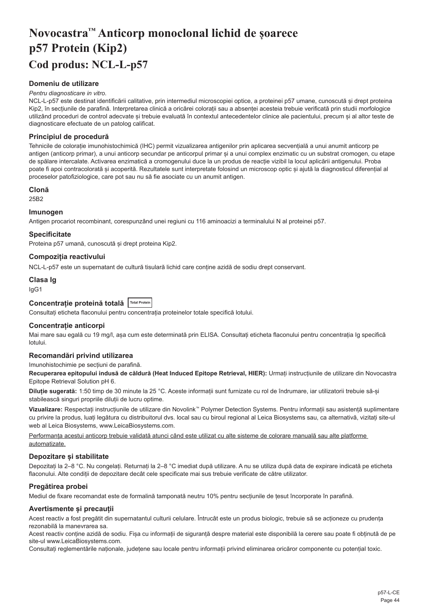# <span id="page-44-0"></span>**Novocastra™ Anticorp monoclonal lichid de șoarece p57 Protein (Kip2) Cod produs: NCL-L-p57**

# **Domeniu de utilizare**

#### *Pentru diagnosticare in vitro.*

NCL-L-p57 este destinat identificării calitative, prin intermediul microscopiei optice, a proteinei p57 umane, cunoscută și drept proteina Kip2, în secțiunile de parafină. Interpretarea clinică a oricărei colorații sau a absenței acesteia trebuie verificată prin studii morfologice utilizând proceduri de control adecvate și trebuie evaluată în contextul antecedentelor clinice ale pacientului, precum și al altor teste de diagnosticare efectuate de un patolog calificat.

#### **Principiul de procedură**

Tehnicile de colorație imunohistochimică (IHC) permit vizualizarea antigenilor prin aplicarea secvențială a unui anumit anticorp pe antigen (anticorp primar), a unui anticorp secundar pe anticorpul primar și a unui complex enzimatic cu un substrat cromogen, cu etape de spălare intercalate. Activarea enzimatică a cromogenului duce la un produs de reacție vizibil la locul aplicării antigenului. Proba poate fi apoi contracolorată și acoperită. Rezultatele sunt interpretate folosind un microscop optic și ajută la diagnosticul diferențial al proceselor patofiziologice, care pot sau nu să fie asociate cu un anumit antigen.

# **Clonă**

25B2

#### **Imunogen**

Antigen procariot recombinant, corespunzând unei regiuni cu 116 aminoacizi a terminalului N al proteinei p57.

#### **Specificitate**

Proteina p57 umană, cunoscută și drept proteina Kip2.

# **Compoziția reactivului**

NCL-L-p57 este un supernatant de cultură tisulară lichid care conține azidă de sodiu drept conservant.

# **Clasa Ig**

IgG1

### **Concentrație proteină totală Total Protein**

Consultați eticheta flaconului pentru concentrația proteinelor totale specifică lotului.

#### **Concentrație anticorpi**

Mai mare sau egală cu 19 mg/l, așa cum este determinată prin ELISA. Consultați eticheta flaconului pentru concentrația lg specifică lotului.

#### **Recomandări privind utilizarea**

#### Imunohistochimie pe secțiuni de parafină.

**Recuperarea epitopului indusă de căldură (Heat Induced Epitope Retrieval, HIER):** Urmați instrucțiunile de utilizare din Novocastra Epitope Retrieval Solution pH 6.

**Diluție sugerată:** 1:50 timp de 30 minute la 25 °C. Aceste informații sunt furnizate cu rol de îndrumare, iar utilizatorii trebuie să-și stabilească singuri propriile diluții de lucru optime.

**Vizualizare:** Respectați instrucțiunile de utilizare din Novolink™ Polymer Detection Systems. Pentru informații sau asistență suplimentare cu privire la produs, luați legătura cu distribuitorul dvs. local sau cu biroul regional al Leica Biosystems sau, ca alternativă, vizitați site-ul web al Leica Biosystems, www.LeicaBiosystems.com.

Performanța acestui anticorp trebuie validată atunci când este utilizat cu alte sisteme de colorare manuală sau alte platforme automatizate.

#### **Depozitare și stabilitate**

Depozitați la 2–8 °C. Nu congelați. Returnați la 2–8 °C imediat după utilizare. A nu se utiliza după data de expirare indicată pe eticheta flaconului. Alte condiții de depozitare decât cele specificate mai sus trebuie verificate de către utilizator.

# **Pregătirea probei**

Mediul de fixare recomandat este de formalină tamponată neutru 10% pentru secțiunile de țesut încorporate în parafină.

#### **Avertismente și precauții**

Acest reactiv a fost pregătit din supernatantul culturii celulare. Întrucât este un produs biologic, trebuie să se acționeze cu prudența rezonabilă la manevrarea sa.

Acest reactiv conține azidă de sodiu. Fișa cu informații de siguranță despre material este disponibilă la cerere sau poate fi obținută de pe site-ul www.LeicaBiosystems.com.

Consultați reglementările naționale, județene sau locale pentru informații privind eliminarea oricăror componente cu potențial toxic.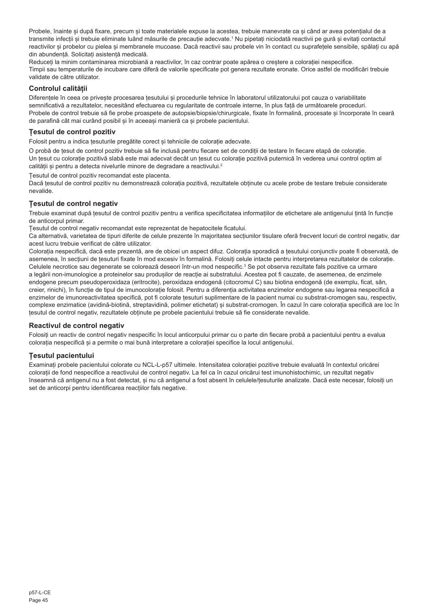Probele, înainte și după fixare, precum și toate materialele expuse la acestea, trebuie manevrate ca și când ar avea potențialul de a transmite infecții și trebuie eliminate luând măsurile de precauție adecvate.1 Nu pipetați niciodată reactivii pe gură și evitați contactul reactivilor și probelor cu pielea și membranele mucoase. Dacă reactivii sau probele vin în contact cu suprafețele sensibile, spălați cu apă din abundență. Solicitați asistență medicală.

Reduceți la minim contaminarea microbiană a reactivilor, în caz contrar poate apărea o creștere a colorației nespecifice. Timpii sau temperaturile de incubare care diferă de valorile specificate pot genera rezultate eronate. Orice astfel de modificări trebuie validate de către utilizator.

# **Controlul calității**

Diferențele în ceea ce privește procesarea țesutului și procedurile tehnice în laboratorul utilizatorului pot cauza o variabilitate semnificativă a rezultatelor, necesitând efectuarea cu regularitate de controale interne, în plus față de următoarele proceduri. Probele de control trebuie să fie probe proaspete de autopsie/biopsie/chirurgicale, fixate în formalină, procesate și încorporate în ceară de parafină cât mai curând posibil și în aceeași manieră ca și probele pacientului.

# **Țesutul de control pozitiv**

Folosit pentru a indica țesuturile pregătite corect și tehnicile de colorație adecvate.

O probă de țesut de control pozitiv trebuie să fie inclusă pentru fiecare set de condiții de testare în fiecare etapă de colorație. Un țesut cu colorație pozitivă slabă este mai adecvat decât un țesut cu colorație pozitivă puternică în vederea unui control optim al calității și pentru a detecta nivelurile minore de degradare a reactivului.<sup>2</sup>

Țesutul de control pozitiv recomandat este placenta.

Dacă țesutul de control pozitiv nu demonstrează colorația pozitivă, rezultatele obținute cu acele probe de testare trebuie considerate nevalide.

# **Țesutul de control negativ**

Trebuie examinat după țesutul de control pozitiv pentru a verifica specificitatea informațiilor de etichetare ale antigenului țintă în funcție de anticorpul primar.

Țesutul de control negativ recomandat este reprezentat de hepatocitele ficatului.

Ca alternativă, varietatea de tipuri diferite de celule prezente în majoritatea secțiunilor tisulare oferă frecvent locuri de control negativ, dar acest lucru trebuie verificat de către utilizator.

Colorația nespecifică, dacă este prezentă, are de obicei un aspect difuz. Colorația sporadică a țesutului conjunctiv poate fi observată, de asemenea, în secțiuni de țesuturi fixate în mod excesiv în formalină. Folosiți celule intacte pentru interpretarea rezultatelor de colorație. Celulele necrotice sau degenerate se colorează deseori într-un mod nespecific.<sup>3</sup> Se pot observa rezultate fals pozitive ca urmare a legării non-imunologice a proteinelor sau produșilor de reacție ai substratului. Acestea pot fi cauzate, de asemenea, de enzimele endogene precum pseudoperoxidaza (eritrocite), peroxidaza endogenă (citocromul C) sau biotina endogenă (de exemplu, ficat, sân, creier, rinichi), în funcție de tipul de imunocolorație folosit. Pentru a diferenția activitatea enzimelor endogene sau legarea nespecifică a enzimelor de imunoreactivitatea specifică, pot fi colorate tesuturi suplimentare de la pacient numai cu substrat-cromogen sau, respectiv, complexe enzimatice (avidină-biotină, streptavidină, polimer etichetat) și substrat-cromogen. În cazul în care colorația specifică are loc în țesutul de control negativ, rezultatele obținute pe probele pacientului trebuie să fie considerate nevalide.

# **Reactivul de control negativ**

Folosiți un reactiv de control negativ nespecific în locul anticorpului primar cu o parte din fiecare probă a pacientului pentru a evalua colorația nespecifică și a permite o mai bună interpretare a colorației specifice la locul antigenului.

# **Țesutul pacientului**

Examinați probele pacientului colorate cu NCL-L-p57 ultimele. Intensitatea colorației pozitive trebuie evaluată în contextul oricărei colorații de fond nespecifice a reactivului de control negativ. La fel ca în cazul oricărui test imunohistochimic, un rezultat negativ înseamnă că antigenul nu a fost detectat, și nu că antigenul a fost absent în celulele/țesuturile analizate. Dacă este necesar, folosiți un set de anticorpi pentru identificarea reacțiilor fals negative.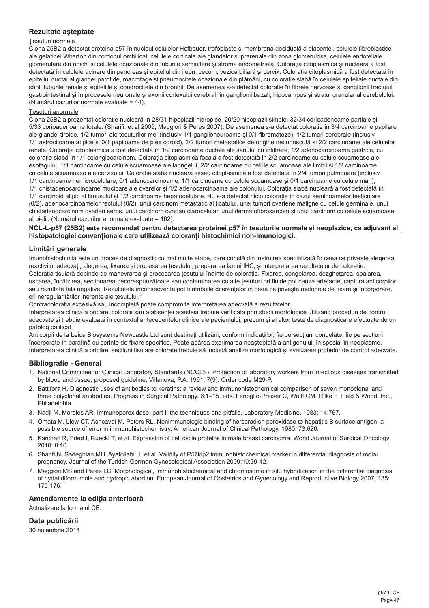# **Rezultate așteptate**

#### Țesuturi normale

Clona 25B2 a detectat proteina p57 în nucleul celulelor Hofbauer, trofoblaste și membrana deciduală a placentei, celulele fibroblastice ale gelatinei Wharton din cordonul ombilical, celulele corticale ale glandelor suprarenale din zona glomerulosa, celulele endoteliale glomerulare din rinichi și celulele ocazionale din tuburile seminifere și stroma endometrială. Colorația citoplasmică și nucleară a fost detectată în celulele acinare din pancreas și epiteliul din ileon, cecum, vezica biliară și cervix. Colorația citoplasmică a fost detectată în epiteliul ductal al glandei parotide, macrofage și pneumocitele ocazionale din plămâni, cu colorație slabă în celulele epiteliale ductale din sâni, tuburile renale și epiteliile și condrocitele din bronhii. De asemenea s-a detectat colorație în fibrele nervoase și ganglionii tractului gastrointestinal și în procesele neuronale și axonii cortexului cerebral, în ganglionii bazali, hipocampus și stratul granular al cerebelului. (Numărul cazurilor normale evaluate = 44).

#### Țesuturi anormale

Clona 25B2 a prezentat colorație nucleară în 28/31 hipoplazii hidropice, 20/20 hipoplazii simple, 32/34 corioadenoame parțiale și 5/33 corioadenoame totale. (Sharifi, et al 2009, Maggiori & Peres 2007). De asemenea s-a detectat colorație în 3/4 carcinoame papilare ale glandei tiroide, 1/2 tumori ale țesuturilor moi (inclusiv 1/1 ganglioneuroame și 0/1 fibromatoze), 1/2 tumori cerebrale (inclusiv 1/1 astrocitoame atipice și 0/1 papiloame de plex coroid), 2/2 tumori metastatice de origine necunoscută și 2/2 carcinoame ale celulelor renale. Colorația citoplasmică a fost detectată în 1/2 carcinoame ductale ale sânului cu infiltrare, 1/2 adenocarcinoame gastrice, cu colorație slabă în 1/1 colangiocarcinom. Colorația citoplasmică focală a fost detectată în 2/2 carcinoame cu celule scuamoase ale esofagului, 1/1 carcinoame cu celule scuamoase ale laringelui, 2/2 carcinoame cu celule scuamoase ale limbii și 1/2 carcinoame cu celule scuamoase ale cervixului. Colorația slabă nucleară și/sau citoplasmică a fost detectată în 2/4 tumori pulmonare (inclusiv 1/1 carcinoame nemicrocelulare, 0/1 adenocarcinoame, 1/1 carcinoame cu celule scuamoase și 0/1 carcinoame cu celule mari), 1/1 chistadenocarcinoame mucipare ale ovarelor și 1/2 adenocarcinoame ale colonului. Colorația slabă nucleară a fost detectată în 1/1 carcinoid atipic al timusului și 1/2 carcinoame hepatocelulare. Nu s-a detectat nicio colorație în cazul seminoamelor testiculare (0/2), adenocarcinoamelor rectului (0/2), unui carcinom metastatic al ficatului, unei tumori ovariene maligne cu celule germinale, unui chistadenocarcinom ovarian seros, unui carcinom ovarian clarocelular, unui dermatofibrosarcom și unui carcinom cu celule scuamoase al pielii. (Numărul cazurilor anormale evaluate = 162).

## **NCL-L-p57 (25B2) este recomandat pentru detectarea proteinei p57 în țesuturile normale și neoplazice, ca adjuvant al histopatologiei convenționale care utilizează coloranți histochimici non-imunologici.**

#### **Limitări generale**

Imunohistochimia este un proces de diagnostic cu mai multe etape, care constă din instruirea specializată în ceea ce priveste alegerea reactivilor adecvați; alegerea, fixarea și procesarea țesutului; prepararea lamei IHC; și interpretarea rezultatelor de colorație. Colorația tisulară depinde de manevrarea și procesarea tesutului înainte de colorație. Fixarea, congelarea, dezghețarea, spălarea, uscarea, încălzirea, secționarea necorespunzătoare sau contaminarea cu alte țesuturi ori fluide pot cauza artefacte, captura anticorpilor sau rezultate fals negative. Rezultatele inconsecvente pot fi atribuite diferentelor în ceea ce priveste metodele de fixare și încorporare, ori neregularităților inerente ale țesutului.4

Contracolorația excesivă sau incompletă poate compromite interpretarea adecvată a rezultatelor.

Interpretarea clinică a oricărei colorații sau a absenței acesteia trebuie verificată prin studii morfologice utilizând proceduri de control adecvate și trebuie evaluată în contextul antecedentelor clinice ale pacientului, precum și al altor teste de diagnosticare efectuate de un patolog calificat.

Anticorpii de la Leica Biosystems Newcastle Ltd sunt destinați utilizării, conform indicațiilor, fie pe secțiuni congelate, fie pe secțiuni încorporate în parafină cu cerințe de fixare specifice. Poate apărea exprimarea neașteptată a antigenului, în special în neoplasme. Interpretarea clinică a oricărei secțiuni tisulare colorate trebuie să includă analiza morfologică și evaluarea probelor de control adecvate.

#### **Bibliografie - General**

- 1. National Committee for Clinical Laboratory Standards (NCCLS). Protection of laboratory workers from infectious diseases transmitted by blood and tissue; proposed guideline. Villanova, P.A. 1991; 7(9). Order code M29-P.
- 2. Battifora H. Diagnostic uses of antibodies to keratins: a review and immunohistochemical comparison of seven monoclonal and three polyclonal antibodies. Progress in Surgical Pathology. 6:1–15. eds. Fenoglio-Preiser C, Wolff CM, Rilke F. Field & Wood, Inc., Philadelphia.
- 3. Nadji M, Morales AR. Immunoperoxidase, part I: the techniques and pitfalls. Laboratory Medicine. 1983; 14:767.
- 4. Omata M, Liew CT, Ashcavai M, Peters RL. Nonimmunologic binding of horseradish peroxidase to hepatitis B surface antigen: a possible source of error in immunohistochemistry. American Journal of Clinical Pathology. 1980; 73:626.
- 5. Kanthan R, Fried I, Rueckl T, et al. Expression of cell cycle proteins in male breast carcinoma. World Journal of Surgical Oncology 2010; 8:10.
- 6. Sharifi N, Sadeghian MH, Ayatollahi H, et al. Validity of P57kip2 immunohistochemical marker in differential diagnosis of molar pregnancy. Journal of the Turkish-German Gynecological Association 2009;10:39-42.
- 7. Maggiori MS and Peres LC. Morphological, immunohistochemical and chromosome in situ hybridization in the differential diagnosis of hydatidiform mole and hydropic abortion. European Journal of Obstetrics and Gynecology and Reproductive Biology 2007; 135: 170-176.

#### **Amendamente la ediția anterioară**

Actualizare la formatul CE.

# **Data publicării**

30 noiembrie 2018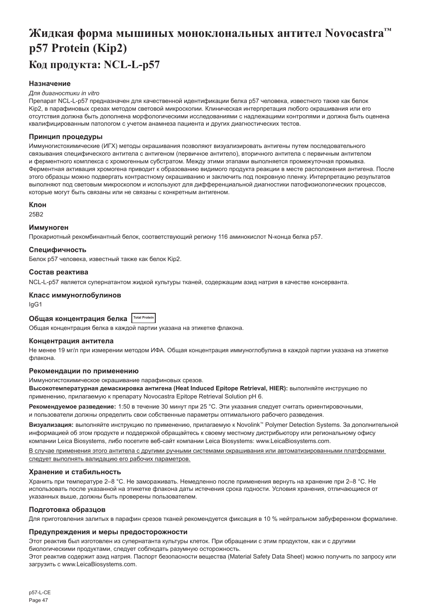# <span id="page-47-0"></span>**Жидкая форма мышиных моноклональных антител Novocastra™ p57 Protein (Kip2) Код продукта: NCL-L-p57**

# **Назначение**

#### *Для диагностики in vitro*

Препарат NCL-L-p57 предназначен для качественной идентификации белка p57 человека, известного также как белок Kip2, в парафиновых срезах методом световой микроскопии. Клиническая интерпретация любого окрашивания или его отсутствия должна быть дополнена морфологическими исследованиями с надлежащими контролями и должна быть оценена квалифицированным патологом с учетом анамнеза пациента и других диагностических тестов.

#### **Принцип процедуры**

Иммуногистохимические (ИГХ) методы окрашивания позволяют визуализировать антигены путем последовательного связывания специфического антитела с антигеном (первичное антитело), вторичного антитела с первичным антителом и ферментного комплекса с хромогенным субстратом. Между этими этапами выполняется промежуточная промывка. Ферментная активация хромогена приводит к образованию видимого продукта реакции в месте расположения антигена. После этого образцы можно подвергать контрастному окрашиванию и заключить под покровную пленку. Интерпретацию результатов выполняют под световым микроскопом и используют для дифференциальной диагностики патофизиологических процессов, которые могут быть связаны или не связаны с конкретным антигеном.

#### **Клон**

25B2

#### **Иммуноген**

Прокариотный рекомбинантный белок, соответствующий региону 116 аминокислот N-конца белка p57.

#### **Специфичность**

Белок p57 человека, известный также как белок Kip2.

#### **Состав реактива**

NCL-L-p57 является супернатантом жидкой культуры тканей, содержащим азид натрия в качестве консерванта.

#### **Класс иммуноглобулинов**

IgG1

# **Общая концентрация белка Total Protein**

Общая концентрация белка в каждой партии указана на этикетке флакона.

#### **Концентрация антитела**

Не менее 19 мг/л при измерении методом ИФА. Общая концентрация иммуноглобулина в каждой партии указана на этикетке флакона.

#### **Рекомендации по применению**

Иммуногистохимическое окрашивание парафиновых срезов.

**Высокотемпературная демаскировка антигена (Heat Induced Epitope Retrieval, HIER):** выполняйте инструкцию по применению, прилагаемую к препарату Novocastra Epitope Retrieval Solution pH 6.

**Рекомендуемое разведение:** 1:50 в течение 30 минут при 25 °C. Эти указания следует считать ориентировочными, и пользователи должны определить свои собственные параметры оптимального рабочего разведения.

**Визуализация:** выполняйте инструкцию по применению, прилагаемую к Novolink™ Polymer Detection Systems. За дополнительной информацией об этом продукте и поддержкой обращайтесь к своему местному дистрибьютору или региональному офису компании Leica Biosystems, либо посетите веб-сайт компании Leica Biosystems: www.LeicaBiosystems.com.

В случае применения этого антитела с другими ручными системами окрашивания или автоматизированными платформами следует выполнять валидацию его рабочих параметров.

#### **Хранение и стабильность**

Хранить при температуре 2–8 °C. Не замораживать. Немедленно после применения вернуть на хранение при 2–8 °C. Не использовать после указанной на этикетке флакона даты истечения срока годности. Условия хранения, отличающиеся от указанных выше, должны быть проверены пользователем.

#### **Подготовка образцов**

Для приготовления залитых в парафин срезов тканей рекомендуется фиксация в 10 % нейтральном забуференном формалине.

#### **Предупреждения и меры предосторожности**

Этот реактив был изготовлен из супернатанта культуры клеток. При обращении с этим продуктом, как и с другими биологическими продуктами, следует соблюдать разумную осторожность.

Этот реактив содержит азид натрия. Паспорт безопасности вещества (Material Safety Data Sheet) можно получить по запросу или загрузить с www.LeicaBiosystems.com.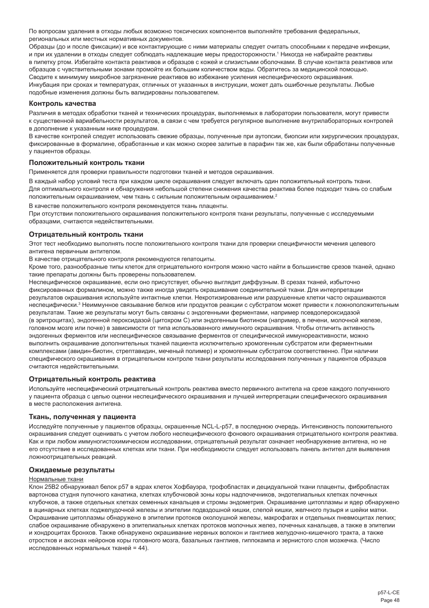По вопросам удаления в отходы любых возможно токсических компонентов выполняйте требования федеральных, региональных или местных нормативных документов.

Образцы (до и после фиксации) и все контактирующие с ними материалы следует считать способными к передаче инфекции, и при их удалении в отходы следует соблюдать надлежащие меры предосторожности.' Никогда не набирайте реактивы в пипетку ртом. Избегайте контакта реактивов и образцов с кожей и слизистыми оболочками. В случае контакта реактивов или образцов с чувствительными зонами промойте их большим количеством воды. Обратитесь за медицинской помощью. Сводите к минимуму микробное загрязнение реактивов во избежание усиления неспецифического окрашивания. Инкубация при сроках и температурах, отличных от указанных в инструкции, может дать ошибочные результаты. Любые подобные изменения должны быть валидированы пользователем.

#### **Контроль качества**

Различия в методах обработки тканей и технических процедурах, выполняемых в лаборатории пользователя, могут привести к существенной вариабельности результатов, в связи с чем требуется регулярное выполнение внутрилабораторных контролей в дополнение к указанным ниже процедурам.

В качестве контролей следует использовать свежие образцы, полученные при аутопсии, биопсии или хирургических процедурах, фиксированные в формалине, обработанные и как можно скорее залитые в парафин так же, как были обработаны полученные у пациентов образцы.

# **Положительный контроль ткани**

Применяется для проверки правильности подготовки тканей и методов окрашивания.

В каждый набор условий теста при каждом цикле окрашивания следует включать один положительный контроль ткани. Для оптимального контроля и обнаружения небольшой степени снижения качества реактива более подходит ткань со слабым положительным окрашиванием, чем ткань с сильным положительным окрашиванием.<sup>2</sup>

В качестве положительного контроля рекомендуется ткань плаценты.

При отсутствии положительного окрашивания положительного контроля ткани результаты, полученные с исследуемыми образцами, считаются недействительными.

#### **Отрицательный контроль ткани**

Этот тест необходимо выполнять после положительного контроля ткани для проверки специфичности мечения целевого антигена первичным антителом.

В качестве отрицательного контроля рекомендуются гепатоциты.

Кроме того, разнообразные типы клеток для отрицательного контроля можно часто найти в большинстве срезов тканей, однако такие препараты должны быть проверены пользователем.

Неспецифическое окрашивание, если оно присутствует, обычно выглядит диффузным. В срезах тканей, избыточно фиксированных формалином, можно также иногда увидеть окрашивание соединительной ткани. Для интерпретации результатов окрашивания используйте интактные клетки. Некротизированные или разрушенные клетки часто окрашиваются неспецифически.<sup>з</sup> Неиммунное связывание белков или продуктов реакции с субстратом может привести к ложноположительным результатам. Такие же результаты могут быть связаны с эндогенными ферментами, например псевдопероксидазой (в эритроцитах), эндогенной пероксидазой (цитохром C) или эндогенным биотином (например, в печени, молочной железе, головном мозге или почке) в зависимости от типа использованного иммунного окрашивания. Чтобы отличить активность эндогенных ферментов или неспецифическое связывание ферментов от специфической иммунореактивности, можно выполнить окрашивание дополнительных тканей пациента исключительно хромогенным субстратом или ферментными комплексами (авидин-биотин, стрептавидин, меченый полимер) и хромогенным субстратом соответственно. При наличии специфического окрашивания в отрицательном контроле ткани результаты исследования полученных у пациентов образцов считаются недействительными.

#### **Отрицательный контроль реактива**

Используйте неспецифический отрицательный контроль реактива вместо первичного антитела на срезе каждого полученного у пациента образца с целью оценки неспецифического окрашивания и лучшей интерпретации специфического окрашивания в месте расположения антигена.

#### **Ткань, полученная у пациента**

Исследуйте полученные у пациентов образцы, окрашенные NCL-L-p57, в последнюю очередь. Интенсивность положительного окрашивания следует оценивать с учетом любого неспецифического фонового окрашивания отрицательного контроля реактива. Как и при любом иммуногистохимическом исследовании, отрицательный результат означает необнаружение антигена, но не его отсутствие в исследованных клетках или ткани. При необходимости следует использовать панель антител для выявления ложноотрицательных реакций.

#### **Ожидаемые результаты**

#### Нормальные ткани

Клон 25B2 обнаруживал белок p57 в ядрах клеток Хофбауэра, трофобластах и децидуальной ткани плаценты, фибробластах вартонова студня пупочного канатика, клетках клубочковой зоны коры надпочечников, эндотелиальных клетках почечных клубочков, а также отдельных клетках семенных канальцев и стромы эндометрия. Окрашивание цитоплазмы и ядер обнаружено в ацинарных клетках поджелудочной железы и эпителии подвздошной кишки, слепой кишки, желчного пузыря и шейки матки. Окрашивание цитоплазмы обнаружено в эпителии протоков околоушной железы, макрофагах и отдельных пневмоцитах легких; слабое окрашивание обнаружено в эпителиальных клетках протоков молочных желез, почечных канальцев, а также в эпителии и хондроцитах бронхов. Также обнаружено окрашивание нервных волокон и ганглиев желудочно-кишечного тракта, а также отростков и аксонах нейронов коры головного мозга, базальных ганглиев, гиппокампа и зернистого слоя мозжечка. (Число исследованных нормальных тканей = 44).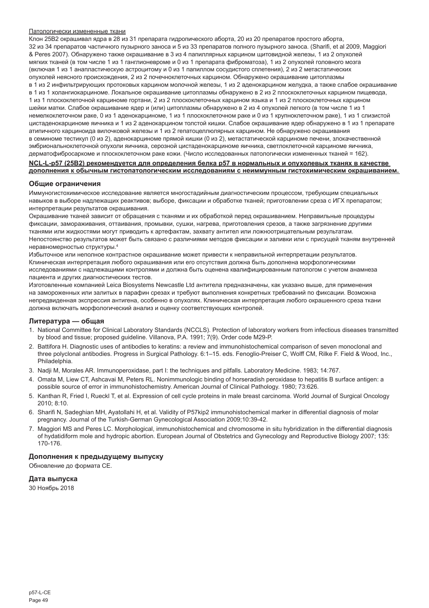#### Патологически измененные ткани

Клон 25B2 окрашивал ядра в 28 из 31 препарата гидропического аборта, 20 из 20 препаратов простого аборта, 32 из 34 препаратов частичного пузырного заноса и 5 из 33 препаратов полного пузырного заноса. (Sharifi, et al 2009, Maggiori & Peres 2007). Обнаружено также окрашивание в 3 из 4 папиллярных карцином щитовидной железы, 1 из 2 опухолей мягких тканей (в том числе 1 из 1 ганглионевроме и 0 из 1 препарата фиброматоза), 1 из 2 опухолей головного мозга (включая 1 из 1 анапластическую астроцитому и 0 из 1 папиллом сосудистого сплетения), 2 из 2 метастатических опухолей неясного происхождения, 2 из 2 почечноклеточных карцином. Обнаружено окрашивание цитоплазмы в 1 из 2 инфильтрирующих протоковых карцином молочной железы, 1 из 2 аденокарцином желудка, а также слабое окрашивание в 1 из 1 холангиокарциноме. Локальное окрашивание цитоплазмы обнаружено в 2 из 2 плоскоклеточных карцином пищевода, 1 из 1 плоскоклеточной карциноме гортани, 2 из 2 плоскоклеточных карцином языка и 1 из 2 плоскоклеточных карцином шейки матки. Слабое окрашивание ядер и (или) цитоплазмы обнаружено в 2 из 4 опухолей легкого (в том числе 1 из 1 немелкоклеточном раке, 0 из 1 аденокарциноме, 1 из 1 плоскоклеточном раке и 0 из 1 крупноклеточном раке), 1 из 1 слизистой цистаденокарциноме яичника и 1 из 2 аденокарцином толстой кишки. Слабое окрашивание ядер обнаружено в 1 из 1 препарате атипичного карциноида вилочковой железы и 1 из 2 гепатоцеллюлярных карцином. Не обнаружено окрашивания в семиноме тестикул (0 из 2), аденокарциноме прямой кишки (0 из 2), метастатической карциноме печени, злокачественной эмбриональноклеточной опухоли яичника, серозной цистаденокарциноме яичника, светлоклеточной карциноме яичника, дерматофибросаркоме и плоскоклеточном раке кожи. (Число исследованных патологически измененных тканей = 162).

# **NCL-L-p57 (25B2) рекомендуется для определения белка p57 в нормальных и опухолевых тканях в качестве дополнения к обычным гистопатологическим исследованиям с неиммунным гистохимическим окрашиванием.**

#### **Общие ограничения**

Иммуногистохимическое исследование является многостадийным диагностическим процессом, требующим специальных навыков в выборе надлежащих реактивов; выборе, фиксации и обработке тканей; приготовлении среза с ИГХ препаратом; интерпретации результатов окрашивания.

Окрашивание тканей зависит от обращения с тканями и их обработкой перед окрашиванием. Неправильные процедуры фиксации, замораживания, оттаивания, промывки, сушки, нагрева, приготовления срезов, а также загрязнение другими тканями или жидкостями могут приводить к артефактам, захвату антител или ложноотрицательным результатам. Непостоянство результатов может быть связано с различиями методов фиксации и заливки или с присущей тканям внутренней неравномерностью структуры.4

Избыточное или неполное контрастное окрашивание может привести к неправильной интерпретации результатов. Клиническая интерпретация любого окрашивания или его отсутствия должна быть дополнена морфологическими исследованиями с надлежащими контролями и должна быть оценена квалифицированным патологом с учетом анамнеза пациента и других диагностических тестов.

Изготовленные компанией Leica Biosystems Newcastle Ltd антитела предназначены, как указано выше, для применения на замороженных или залитых в парафин срезах и требуют выполнения конкретных требований по фиксации. Возможна непредвиденная экспрессия антигена, особенно в опухолях. Клиническая интерпретация любого окрашенного среза ткани должна включать морфологический анализ и оценку соответствующих контролей.

#### **Литература — общая**

- 1. National Committee for Clinical Laboratory Standards (NCCLS). Protection of laboratory workers from infectious diseases transmitted by blood and tissue; proposed guideline. Villanova, P.A. 1991; 7(9). Order code M29-P.
- 2. Battifora H. Diagnostic uses of antibodies to keratins: a review and immunohistochemical comparison of seven monoclonal and three polyclonal antibodies. Progress in Surgical Pathology. 6:1–15. eds. Fenoglio-Preiser C, Wolff CM, Rilke F. Field & Wood, Inc., Philadelphia.
- 3. Nadji M, Morales AR. Immunoperoxidase, part I: the techniques and pitfalls. Laboratory Medicine. 1983; 14:767.
- 4. Omata M, Liew CT, Ashcavai M, Peters RL. Nonimmunologic binding of horseradish peroxidase to hepatitis B surface antigen: a possible source of error in immunohistochemistry. American Journal of Clinical Pathology. 1980; 73:626.
- 5. Kanthan R, Fried I, Rueckl T, et al. Expression of cell cycle proteins in male breast carcinoma. World Journal of Surgical Oncology 2010; 8:10.
- 6. Sharifi N, Sadeghian MH, Ayatollahi H, et al. Validity of P57kip2 immunohistochemical marker in differential diagnosis of molar pregnancy. Journal of the Turkish-German Gynecological Association 2009;10:39-42.
- 7. Maggiori MS and Peres LC. Morphological, immunohistochemical and chromosome in situ hybridization in the differential diagnosis of hydatidiform mole and hydropic abortion. European Journal of Obstetrics and Gynecology and Reproductive Biology 2007; 135: 170-176.

## **Дополнения к предыдущему выпуску**

Обновление до формата CE.

# **Дата выпуска**

30 Ноябрь 2018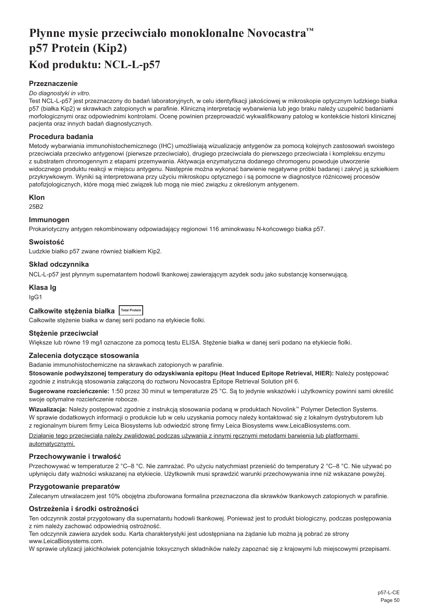# <span id="page-50-0"></span>**Płynne mysie przeciwciało monoklonalne Novocastra™ p57 Protein (Kip2) Kod produktu: NCL-L-p57**

# **Przeznaczenie**

#### *Do diagnostyki in vitro.*

Test NCL-L-p57 jest przeznaczony do badań laboratoryjnych, w celu identyfikacji jakościowej w mikroskopie optycznym ludzkiego białka p57 (białka Kip2) w skrawkach zatopionych w parafinie. Kliniczną interpretację wybarwienia lub jego braku należy uzupełnić badaniami morfologicznymi oraz odpowiednimi kontrolami. Ocenę powinien przeprowadzić wykwalifikowany patolog w kontekście historii klinicznej pacjenta oraz innych badań diagnostycznych.

#### **Procedura badania**

Metody wybarwiania immunohistochemicznego (IHC) umożliwiają wizualizację antygenów za pomocą kolejnych zastosowań swoistego przeciwciała przeciwko antygenowi (pierwsze przeciwciało), drugiego przeciwciała do pierwszego przeciwciała i kompleksu enzymu z substratem chromogennym z etapami przemywania. Aktywacja enzymatyczna dodanego chromogenu powoduje utworzenie widocznego produktu reakcji w miejscu antygenu. Następnie można wykonać barwienie negatywne próbki badanej i zakryć ją szkiełkiem przykrywkowym. Wyniki są interpretowana przy użyciu mikroskopu optycznego i są pomocne w diagnostyce różnicowej procesów patofizjologicznych, które mogą mieć związek lub mogą nie mieć związku z określonym antygenem.

# **Klon**

25B2

# **Immunogen**

Prokariotyczny antygen rekombinowany odpowiadający regionowi 116 aminokwasu N-końcowego białka p57.

#### **Swoistość**

Ludzkie białko p57 zwane również białkiem Kip2.

# **Skład odczynnika**

NCL-L-p57 jest płynnym supernatantem hodowli tkankowej zawierającym azydek sodu jako substancję konserwującą.

### **Klasa Ig**

IgG1

| Całkowite stężenia białka   Total Protein |  |  |
|-------------------------------------------|--|--|
|-------------------------------------------|--|--|

Całkowite stężenie białka w danej serii podano na etykiecie fiolki.

# **Stężenie przeciwciał**

Większe lub równe 19 mg/l oznaczone za pomocą testu ELISA. Stężenie białka w danej serii podano na etykiecie fiolki.

# **Zalecenia dotyczące stosowania**

Badanie immunohistochemiczne na skrawkach zatopionych w parafinie.

**Stosowanie podwyższonej temperatury do odzyskiwania epitopu (Heat Induced Epitope Retrieval, HIER):** Należy postępować zgodnie z instrukcją stosowania załączoną do roztworu Novocastra Epitope Retrieval Solution pH 6.

**Sugerowane rozcieńczenie:** 1:50 przez 30 minut w temperaturze 25 °C. Są to jedynie wskazówki i użytkownicy powinni sami określić swoje optymalne rozcieńczenie robocze.

**Wizualizacja:** Należy postępować zgodnie z instrukcją stosowania podaną w produktach Novolink™ Polymer Detection Systems. W sprawie dodatkowych informacji o produkcie lub w celu uzyskania pomocy należy kontaktować się z lokalnym dystrybutorem lub z regionalnym biurem firmy Leica Biosystems lub odwiedzić stronę firmy Leica Biosystems www.LeicaBiosystems.com.

Działanie tego przeciwciała należy zwalidować podczas używania z innymi ręcznymi metodami barwienia lub platformami automatycznymi.

#### **Przechowywanie i trwałość**

Przechowywać w temperaturze 2 °C–8 °C. Nie zamrażać. Po użyciu natychmiast przenieść do temperatury 2 °C–8 °C. Nie używać po upłynięciu daty ważności wskazanej na etykiecie. Użytkownik musi sprawdzić warunki przechowywania inne niż wskazane powyżej.

# **Przygotowanie preparatów**

Zalecanym utrwalaczem jest 10% obojętna zbuforowana formalina przeznaczona dla skrawków tkankowych zatopionych w parafinie.

#### **Ostrzeżenia i środki ostrożności**

Ten odczynnik został przygotowany dla supernatantu hodowli tkankowej. Ponieważ jest to produkt biologiczny, podczas postępowania z nim należy zachować odpowiednią ostrożność.

Ten odczynnik zawiera azydek sodu. Karta charakterystyki jest udostępniana na żądanie lub można ją pobrać ze strony www.LeicaBiosystems.com.

W sprawie utylizacji jakichkolwiek potencjalnie toksycznych składników należy zapoznać się z krajowymi lub miejscowymi przepisami.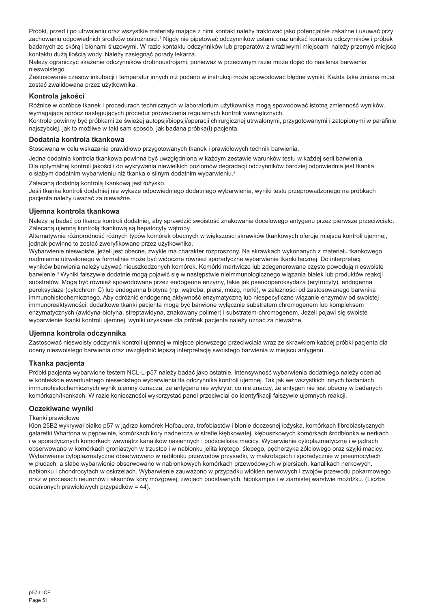Próbki, przed i po utrwaleniu oraz wszystkie materiały mające z nimi kontakt należy traktować jako potencjalnie zakaźne i usuwać przy zachowaniu odpowiednich środków ostrożności.' Nigdy nie pipetować odczynników ustami oraz unikać kontaktu odczynników i próbek badanych ze skórą i błonami śluzowymi. W razie kontaktu odczynników lub preparatów z wrażliwymi miejscami należy przemyć miejsca kontaktu dużą ilością wody. Należy zasięgnąć porady lekarza.

Należy ograniczyć skażenie odczynników drobnoustrojami, ponieważ w przeciwnym razie może dojść do nasilenia barwienia nieswoistego.

Zastosowanie czasów inkubacji i temperatur innych niż podano w instrukcji może spowodować błędne wyniki. Każda taka zmiana musi zostać zwalidowana przez użytkownika.

# **Kontrola jakości**

Różnice w obróbce tkanek i procedurach technicznych w laboratorium użytkownika mogą spowodować istotną zmienność wyników, wymagającą oprócz następujących procedur prowadzenia regularnych kontroli wewnętrznych.

Kontrole powinny być próbkami ze świeżej autopsji/biopsji/operacji chirurgicznej utrwalonymi, przygotowanymi i zatopionymi w parafinie najszybciej, jak to możliwe w taki sam sposób, jak badana próbka(i) pacjenta.

# **Dodatnia kontrola tkankowa**

Stosowana w celu wskazania prawidłowo przygotowanych tkanek i prawidłowych technik barwienia.

Jedna dodatnia kontrola tkankowa powinna być uwzględniona w każdym zestawie warunków testu w każdej serii barwienia. Dla optymalnej kontroli jakości i do wykrywania niewielkich poziomów degradacji odczynników bardziej odpowiednia jest tkanka o słabym dodatnim wybarwieniu niż tkanka o silnym dodatnim wybarwieniu.<sup>2</sup>

Zalecaną dodatnią kontrolą tkankową jest łożysko.

Jeśli tkanka kontroli dodatniej nie wykaże odpowiedniego dodatniego wybarwienia, wyniki testu przeprowadzonego na próbkach pacjenta należy uważać za nieważne.

# **Ujemna kontrola tkankowa**

Należy ją badać po tkance kontroli dodatniej, aby sprawdzić swoistość znakowania docelowego antygenu przez pierwsze przeciwciało. Zalecaną ujemną kontrolą tkankową są hepatocyty wątroby.

Alternatywnie różnorodność różnych typów komórek obecnych w większości skrawków tkankowych oferuje miejsca kontroli ujemnej, jednak powinno to zostać zweryfikowane przez użytkownika.

Wybarwienie nieswoiste, jeżeli jest obecne, zwykle ma charakter rozproszony. Na skrawkach wykonanych z materiału tkankowego nadmiernie utrwalonego w formalinie może być widoczne również sporadyczne wybarwienie tkanki łącznej. Do interpretacji wyników barwienia należy używać nieuszkodzonych komórek. Komórki martwicze lub zdegenerowane często powodują nieswoiste barwienie.<sup>3</sup> Wyniki fałszywie dodatnie mogą pojawić się w następstwie nieimmunologicznego wiązania białek lub produktów reakcji substratów. Mogą być również spowodowane przez endogenne enzymy, takie jak pseudoperoksydaza (erytrocyty), endogenna peroksydaza (cytochrom C) lub endogenna biotyna (np. wątroba, piersi, mózg, nerki), w zależności od zastosowanego barwnika immunohistochemicznego. Aby odróżnić endogenną aktywność enzymatyczną lub niespecyficzne wiązanie enzymów od swoistej immunoreaktywności, dodatkowe tkanki pacjenta mogą być barwione wyłącznie substratem chromogenem lub kompleksem enzymatycznych (awidyna-biotyna, streptawidyna, znakowany polimer) i substratem-chromogenem. Jeżeli pojawi się swoiste wybarwienie tkanki kontroli ujemnej, wyniki uzyskane dla próbek pacjenta należy uznać za nieważne.

#### **Ujemna kontrola odczynnika**

Zastosować nieswoisty odczynnik kontroli ujemnej w miejsce pierwszego przeciwciała wraz ze skrawkiem każdej próbki pacjenta dla oceny nieswoistego barwienia oraz uwzględnić lepszą interpretację swoistego barwienia w miejscu antygenu.

#### **Tkanka pacjenta**

Próbki pacjenta wybarwione testem NCL-L-p57 należy badać jako ostatnie. Intensywność wybarwienia dodatniego należy oceniać w kontekście ewentualnego nieswoistego wybarwienia tła odczynnika kontroli ujemnej. Tak jak we wszystkich innych badaniach immunohistochemicznych wynik ujemny oznacza, że antygenu nie wykryto, co nie znaczy, że antygen nie jest obecny w badanych komórkach/tkankach. W razie konieczności wykorzystać panel przeciwciał do identyfikacji fałszywie ujemnych reakcji.

#### **Oczekiwane wyniki**

#### Tkanki prawidłowe

Klon 25B2 wykrywał białko p57 w jądrze komórek Hofbauera, trofoblastów i błonie doczesnej łożyska, komórkach fibroblastycznych galaretki Whartona w pępowinie, komórkach kory nadnercza w strefie kłębkowatej, kłębuszkowych komórkach śródbłonka w nerkach i w sporadycznych komórkach wewnątrz kanalików nasiennych i podścieliska macicy. Wybarwienie cytoplazmatyczne i w jądrach obserwowano w komórkach groniastych w trzustce i w nabłonku jelita krętego, ślepego, pęcherzyka żółciowego oraz szyjki macicy. Wybarwienie cytoplazmatyczne obserwowano w nabłonku przewodów przysadki, w makrofagach i sporadycznie w pneumocytach w płucach, a słabe wybarwienie obserwowano w nabłonkowych komórkach przewodowych w piersiach, kanalikach nerkowych, nabłonku i chondrocytach w oskrzelach. Wybarwienie zauważono w przypadku włókien nerwowych i zwojów przewodu pokarmowego oraz w procesach neuronów i aksonów kory mózgowej, zwojach podstawnych, hipokampie i w ziarnistej warstwie móżdżku. (Liczba ocenionych prawidłowych przypadków = 44).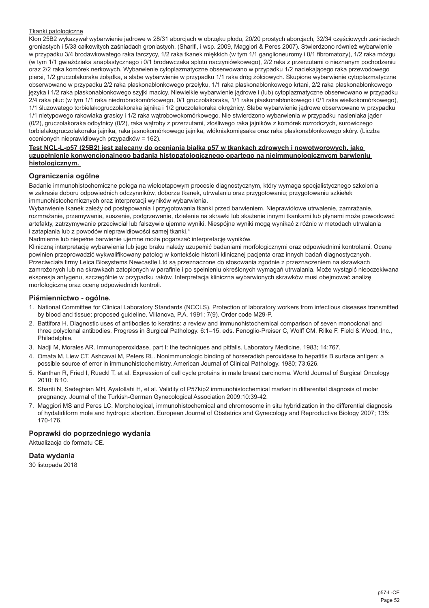#### Tkanki patologiczne

Klon 25B2 wykazywał wybarwienie jądrowe w 28/31 aborcjach w obrzęku płodu, 20/20 prostych aborcjach, 32/34 częściowych zaśniadach groniastych i 5/33 całkowitych zaśniadach groniastych. (Sharifi, i wsp. 2009, Maggiori & Peres 2007). Stwierdzono również wybarwienie w przypadku 3/4 brodawkowatego raka tarczycy, 1/2 raka tkanek miękkich (w tym 1/1 ganglioneuromy i 0/1 fibromatozy), 1/2 raka mózgu (w tym 1/1 gwiaździaka anaplastycznego i 0/1 brodawczaka splotu naczyniówkowego), 2/2 raka z przerzutami o nieznanym pochodzeniu oraz 2/2 raka komórek nerkowych. Wybarwienie cytoplazmatyczne obserwowano w przypadku 1/2 naciekającego raka przewodowego piersi, 1/2 gruczolakoraka żołądka, a słabe wybarwienie w przypadku 1/1 raka dróg żółciowych. Skupione wybarwienie cytoplazmatyczne obserwowano w przypadku 2/2 raka płaskonabłonkowego przełyku, 1/1 raka płaskonabłonkowego krtani, 2/2 raka płaskonabłonkowego języka i 1/2 raka płaskonabłonkowego szyjki macicy. Niewielkie wybarwienie jądrowe i (lub) cytoplazmatyczne obserwowano w przypadku 2/4 raka płuc (w tym 1/1 raka niedrobnokomórkowego, 0/1 gruczolakoraka, 1/1 raka płaskonabłonkowego i 0/1 raka wielkokomórkowego), 1/1 śluzowatego torbielakogruczolakoraka jajnika i 1/2 gruczolakoraka okrężnicy. Słabe wybarwienie jądrowe obserwowano w przypadku 1/1 nietypowego rakowiaka grasicy i 1/2 raka wątrobowokomórkowego. Nie stwierdzono wybarwienia w przypadku nasieniaka jąder (0/2), gruczolakoraka odbytnicy (0/2), raka wątroby z przerzutami, złośliwego raka jajników z komórek rozrodczych, surowiczego torbielakogruczolakoraka jajnika, raka jasnokomórkowego jajnika, włókniakomięsaka oraz raka płaskonabłonkowego skóry. (Liczba ocenionych nieprawidłowych przypadków = 162).

#### **Test NCL-L-p57 (25B2) jest zalecany do oceniania białka p57 w tkankach zdrowych i nowotworowych, jako uzupełnienie konwencjonalnego badania histopatologicznego opartego na nieimmunologicznycm barwieniu histologicznym.**

#### **Ograniczenia ogólne**

Badanie immunohistochemiczne polega na wieloetapowym procesie diagnostycznym, który wymaga specjalistycznego szkolenia w zakresie doboru odpowiednich odczynników, doborze tkanek, utrwalaniu oraz przygotowaniu; przygotowaniu szkiełek immunohistochemicznych oraz interpretacji wyników wybarwienia.

Wybarwienie tkanek zależy od postępowania i przygotowania tkanki przed barwieniem. Nieprawidłowe utrwalenie, zamrażanie, rozmrażanie, przemywanie, suszenie, podgrzewanie, dzielenie na skrawki lub skażenie innymi tkankami lub płynami może powodować artefakty, zatrzymywanie przeciwciał lub fałszywie ujemne wyniki. Niespójne wyniki mogą wynikać z różnic w metodach utrwalania i zatapiania lub z powodów nieprawidłowości samej tkanki.<sup>4</sup>

Nadmierne lub niepełne barwienie ujemne może pogarszać interpretację wyników.

Kliniczną interpretację wybarwienia lub jego braku należy uzupełnić badaniami morfologicznymi oraz odpowiednimi kontrolami. Ocenę powinien przeprowadzić wykwalifikowany patolog w kontekście historii klinicznej pacjenta oraz innych badań diagnostycznych. Przeciwciała firmy Leica Biosystems Newcastle Ltd są przeznaczone do stosowania zgodnie z przeznaczeniem na skrawkach zamrożonych lub na skrawkach zatopionych w parafinie i po spełnieniu określonych wymagań utrwalania. Może wystąpić nieoczekiwana ekspresja antygenu, szczególnie w przypadku raków. Interpretacja kliniczna wybarwionych skrawków musi obejmować analizę morfologiczną oraz ocenę odpowiednich kontroli.

#### **Piśmiennictwo - ogólne.**

- 1. National Committee for Clinical Laboratory Standards (NCCLS). Protection of laboratory workers from infectious diseases transmitted by blood and tissue; proposed guideline. Villanova, P.A. 1991; 7(9). Order code M29-P.
- 2. Battifora H. Diagnostic uses of antibodies to keratins: a review and immunohistochemical comparison of seven monoclonal and three polyclonal antibodies. Progress in Surgical Pathology. 6:1–15. eds. Fenoglio-Preiser C, Wolff CM, Rilke F. Field & Wood, Inc., Philadelphia.
- 3. Nadji M, Morales AR. Immunoperoxidase, part I: the techniques and pitfalls. Laboratory Medicine. 1983; 14:767.
- 4. Omata M, Liew CT, Ashcavai M, Peters RL. Nonimmunologic binding of horseradish peroxidase to hepatitis B surface antigen: a possible source of error in immunohistochemistry. American Journal of Clinical Pathology. 1980; 73:626.
- 5. Kanthan R, Fried I, Rueckl T, et al. Expression of cell cycle proteins in male breast carcinoma. World Journal of Surgical Oncology 2010; 8:10.
- 6. Sharifi N, Sadeghian MH, Ayatollahi H, et al. Validity of P57kip2 immunohistochemical marker in differential diagnosis of molar pregnancy. Journal of the Turkish-German Gynecological Association 2009;10:39-42.
- 7. Maggiori MS and Peres LC. Morphological, immunohistochemical and chromosome in situ hybridization in the differential diagnosis of hydatidiform mole and hydropic abortion. European Journal of Obstetrics and Gynecology and Reproductive Biology 2007; 135: 170-176.

# **Poprawki do poprzedniego wydania**

Aktualizacja do formatu CE.

# **Data wydania**

30 listopada 2018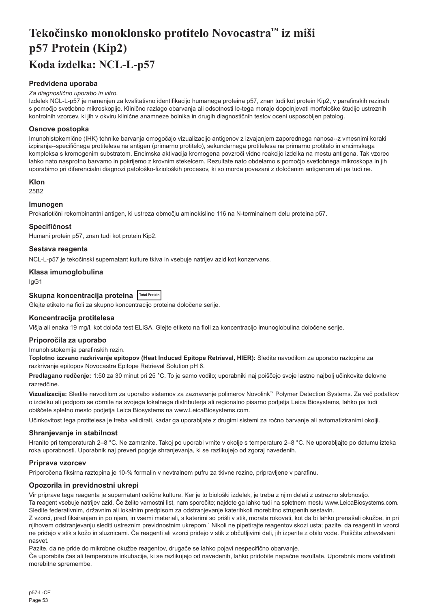# <span id="page-53-0"></span>**Tekočinsko monoklonsko protitelo Novocastra™ iz miši p57 Protein (Kip2) Koda izdelka: NCL-L-p57**

# **Predvidena uporaba**

#### *Za diagnostično uporabo in vitro.*

Izdelek NCL-L-p57 je namenjen za kvalitativno identifikacijo humanega proteina p57, znan tudi kot protein Kip2, v parafinskih rezinah s pomočjo svetlobne mikroskopije. Klinično razlago obarvanja ali odsotnosti le-tega morajo dopolnjevati morfološke študije ustreznih kontrolnih vzorcev, ki jih v okviru klinične anamneze bolnika in drugih diagnostičnih testov oceni usposobljen patolog.

# **Osnove postopka**

Imunohistokemične (IHK) tehnike barvanja omogočajo vizualizacijo antigenov z izvajanjem zaporednega nanosa--z vmesnimi koraki izpiranja--specifičnega protitelesa na antigen (primarno protitelo), sekundarnega protitelesa na primarno protitelo in encimskega kompleksa s kromogenim substratom. Encimska aktivacija kromogena povzroči vidno reakcijo izdelka na mestu antigena. Tak vzorec lahko nato nasprotno barvamo in pokrijemo z krovnim stekelcem. Rezultate nato obdelamo s pomočjo svetlobnega mikroskopa in jih uporabimo pri diferencialni diagnozi patološko-fizioloških procesov, ki so morda povezani z določenim antigenom ali pa tudi ne.

#### **Klon**

25B2

# **Imunogen**

Prokariotični rekombinantni antigen, ki ustreza območju aminokisline 116 na N-terminalnem delu proteina p57.

#### **Specifičnost**

Humani protein p57, znan tudi kot protein Kip2.

#### **Sestava reagenta**

NCL-L-p57 je tekočinski supernatant kulture tkiva in vsebuje natrijev azid kot konzervans.

#### **Klasa imunoglobulina**

IgG1

# Skupna koncentracija proteina **Total Protein**

Glejte etiketo na fioli za skupno koncentracijo proteina določene serije.

#### **Koncentracija protitelesa**

Višja ali enaka 19 mg/l, kot določa test ELISA. Glejte etiketo na fioli za koncentracijo imunoglobulina določene serije.

## **Priporočila za uporabo**

Imunohistokemija parafinskih rezin.

**Toplotno izzvano razkrivanje epitopov (Heat Induced Epitope Retrieval, HIER):** Sledite navodilom za uporabo raztopine za razkrivanje epitopov Novocastra Epitope Retrieval Solution pH 6.

**Predlagano redčenje:** 1:50 za 30 minut pri 25 °C. To je samo vodilo; uporabniki naj poiščejo svoje lastne najbolj učinkovite delovne razredčine.

**Vizualizacija:** Sledite navodilom za uporabo sistemov za zaznavanje polimerov Novolink™ Polymer Detection Systems. Za več podatkov o izdelku ali podporo se obrnite na svojega lokalnega distributerja ali regionalno pisarno podjetja Leica Biosystems, lahko pa tudi obiščete spletno mesto podjetja Leica Biosystems na www.LeicaBiosystems.com.

Učinkovitost tega protitelesa je treba validirati, kadar ga uporabljate z drugimi sistemi za ročno barvanje ali avtomatiziranimi okolji.

# **Shranjevanje in stabilnost**

Hranite pri temperaturah 2–8 °C. Ne zamrznite. Takoj po uporabi vrnite v okolje s temperaturo 2–8 °C. Ne uporabljajte po datumu izteka roka uporabnosti. Uporabnik naj preveri pogoje shranjevanja, ki se razlikujejo od zgoraj navedenih.

# **Priprava vzorcev**

Priporočena fiksirna raztopina je 10-% formalin v nevtralnem pufru za tkivne rezine, pripravljene v parafinu.

# **Opozorila in previdnostni ukrepi**

Vir priprave tega reagenta je supernatant celične kulture. Ker je to biološki izdelek, je treba z njim delati z ustrezno skrbnostjo.

Ta reagent vsebuje natrijev azid. Če želite varnostni list, nam sporočite; najdete ga lahko tudi na spletnem mestu www.LeicaBiosystems.com. Sledite federativnim, državnim ali lokalnim predpisom za odstranjevanje katerihkoli morebitno strupenih sestavin.

Z vzorci, pred fiksiranjem in po njem, in vsemi materiali, s katerimi so prišli v stik, morate rokovati, kot da bi lahko prenašali okužbe, in pri njihovem odstranjevanju slediti ustreznim previdnostnim ukrepom.<sup>1</sup> Nikoli ne pipetirajte reagentov skozi usta; pazite, da reagenti in vzorci ne pridejo v stik s kožo in sluznicami. Če reagenti ali vzorci pridejo v stik z občutljivimi deli, jih izperite z obilo vode. Poiščite zdravstveni nasvet.

Pazite, da ne pride do mikrobne okužbe reagentov, drugače se lahko pojavi nespecifično obarvanje.

Če uporabite čas ali temperature inkubacije, ki se razlikujejo od navedenih, lahko pridobite napačne rezultate. Uporabnik mora validirati morebitne spremembe.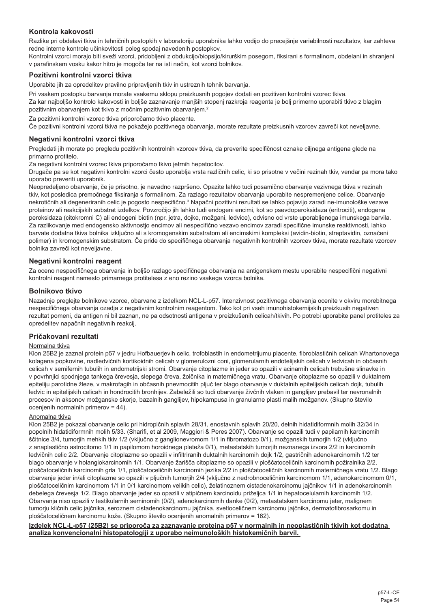# **Kontrola kakovosti**

Razlike pri obdelavi tkiva in tehničnih postopkih v laboratoriju uporabnika lahko vodijo do precejšnje variabilnosti rezultatov, kar zahteva redne interne kontrole učinkovitosti poleg spodaj navedenih postopkov.

Kontrolni vzorci morajo biti sveži vzorci, pridobljeni z obdukcijo/biopsijo/kirurškim posegom, fiksirani s formalinom, obdelani in shranjeni v parafinskem vosku kakor hitro je mogoče ter na isti način, kot vzorci bolnikov.

# **Pozitivni kontrolni vzorci tkiva**

Uporabite jih za opredelitev pravilno pripravljenih tkiv in ustreznih tehnik barvanja.

Pri vsakem postopku barvanja morate vsakemu sklopu preizkusnih pogojev dodati en pozitiven kontrolni vzorec tkiva. Za kar najboljšo kontrolo kakovosti in boljše zaznavanje manjših stopenj razkroja reagenta je bolj primerno uporabiti tkivo z blagim pozitivnim obarvanjem kot tkivo z močnim pozitivnim obarvanjem.<sup>2</sup>

Za pozitivni kontrolni vzorec tkiva priporočamo tkivo placente.

Če pozitivni kontrolni vzorci tkiva ne pokažejo pozitivnega obarvanja, morate rezultate preizkusnih vzorcev zavreči kot neveljavne.

#### **Negativni kontrolni vzorci tkiva**

Pregledati jih morate po pregledu pozitivnih kontrolnih vzorcev tkiva, da preverite specifičnost oznake ciljnega antigena glede na primarno protitelo.

Za negativni kontrolni vzorec tkiva priporočamo tkivo jetrnih hepatocitov.

Drugače pa se kot negativni kontrolni vzorci često uporablja vrsta različnih celic, ki so prisotne v večini rezinah tkiv, vendar pa mora tako uporabo preveriti uporabnik.

Neopredeljeno obarvanje, če je prisotno, je navadno razpršeno. Opazite lahko tudi posamično obarvanje vezivnega tkiva v rezinah tkiv, kot posledica premočnega fiksiranja s formalinom. Za razlago rezultatov obarvanja uporabite nespremenjene celice. Obarvanje nekrotičnih ali degeneriranih celic je pogosto nespecifično.<sup>3</sup> Napačni pozitivni rezultati se lahko pojavijo zaradi ne-imunološke vezave proteinov ali reakcijskih substrat izdelkov. Povzročijo jih lahko tudi endogeni encimi, kot so psevdoperoksidaza (eritrociti), endogena peroksidaza (citokromni C) ali endogeni biotin (npr. jetra, dojke, možgani, ledvice), odvisno od vrste uporabljenega imunskega barvila. Za razlikovanje med endogensko aktivnostio encimov ali nespecifično vezavo encimov zaradi specifične imunske reaktivnosti, lahko barvate dodatna tkiva bolnika izključno ali s kromogenskim substratom ali encimskimi kompleksi (avidin-biotin, streptavidin, označeni polimer) in kromogenskim substratom. Če pride do specifičnega obarvanja negativnih kontrolnih vzorcev tkiva, morate rezultate vzorcev bolnika zavreči kot neveljavne.

#### **Negativni kontrolni reagent**

Za oceno nespecifičnega obarvanja in boljšo razlago specifičnega obarvanja na antigenskem mestu uporabite nespecifični negativni kontrolni reagent namesto primarnega protitelesa z eno rezino vsakega vzorca bolnika.

#### **Bolnikovo tkivo**

Nazadnje preglejte bolnikove vzorce, obarvane z izdelkom NCL-L-p57. Intenzivnost pozitivnega obarvanja ocenite v okviru morebitnega nespecifičnega obarvanja ozadja z negativnim kontrolnim reagentom. Tako kot pri vseh imunohistokemijskih preizkusih negativen rezultat pomeni, da antigen ni bil zaznan, ne pa odsotnosti antigena v preizkušenih celicah/tkivih. Po potrebi uporabite panel protiteles za opredelitev napačnih negativnih reakcij.

## **Pričakovani rezultati**

#### Normalna tkiva

Klon 25B2 je zaznal protein p57 v jedru Hofbauerjevih celic, trofoblastih in endometrijumu placente, fibroblastičnih celicah Whartonovega kolagena popkovine, nadledvičnih kortikoidnih celicah v glomerulozni coni, glomerularnih endotelijskih celicah v ledvicah in občasnih celicah v semifernih tubulih in endometrijski stromi. Obarvanje citoplazme in jeder so opazili v acinarnih celicah trebušne slinavke in v povrhnjici spodnjega tankega črevesja, slepega čreva, žolčnika in materničnega vratu. Obarvanje citoplazme so opazili v duktalnem epiteliju parotidne žleze, v makrofagih in občasnih pnevmocitih pljuč ter blago obarvanje v duktalnih epitelijskih celicah dojk, tubulih ledvic in epitelijskih celicah in hondrocitih bronhijev. Zabeležili so tudi obarvanje živčnih vlaken in ganglijev prebavil ter nevronalnih procesov in aksonov možganske skorje, bazalnih ganglijev, hipokampusa in granularne plasti malih možganov. (Skupno število ocenjenih normalnih primerov = 44).

#### Anomalna tkiva

Klon 25B2 je pokazal obarvanje celic pri hidropičnih splavih 28/31, enostavnih splavih 20/20, delnih hidatidiformnih molih 32/34 in popolnih hidatidiformnih molih 5/33. (Sharifi, et al 2009, Maggiori & Peres 2007). Obarvanje so opazili tudi v papilarnih karcinomih ščitnice 3/4, tumorjih mehkih tkiv 1/2 (vključno z ganglionevromom 1/1 in fibromatozo 0/1), možganskih tumorjih 1/2 (vključno z anaplastično astrocitomo 1/1 in papilomom horoidnega pleteža 0/1), metastatskih tumorjih neznanega izvora 2/2 in karcinomih ledvičnih celic 2/2. Obarvanje citoplazme so opazili v infiltriranih duktalnih karcinomih dojk 1/2, gastričnih adenokarcinomih 1/2 ter blago obarvanje v holangiokarcinomih 1/1. Obarvanje žarišča citoplazme so opazili v ploščatoceličnih karcinomih požiralnika 2/2, ploščatoceličnih karcinomih grla 1/1, ploščatoceličnih karcinomih jezika 2/2 in ploščatoceličnih karcinomih materničnega vratu 1/2. Blago obarvanje jeder in/ali citoplazme so opazili v pljučnih tumorjih 2/4 (vključno z nedrobnoceličnim karcinomom 1/1, adenokarcinomom 0/1, ploščatoceličnim karcinomom 1/1 in 0/1 karcinomom velikih celic), želatinoznem cistadenokarcinomu jajčnikov 1/1 in adenokarcinomih debelega črevesja 1/2. Blago obarvanje jeder so opazili v atipičnem karcinoidu priželjca 1/1 in hepatocelularnih karcinomih 1/2. Obarvanja niso opazili v testikularnih seminomih (0/2), adenokarcinomih danke (0/2), metastatskem karcinomu jeter, malignem tumorju kličnih celic jajčnika, seroznem cistadenokarcinomu jajčnika, svetloceličnem karcinomu jajčnika, dermatofibrosarkomu in ploščatoceličnem karcinomu kože. (Skupno število ocenjenih anomalnih primerov = 162).

#### **Izdelek NCL-L-p57 (25B2) se priporoča za zaznavanje proteina p57 v normalnih in neoplastičnih tkivih kot dodatna analiza konvencionalni histopatologiji z uporabo neimunoloških histokemičnih barvil.**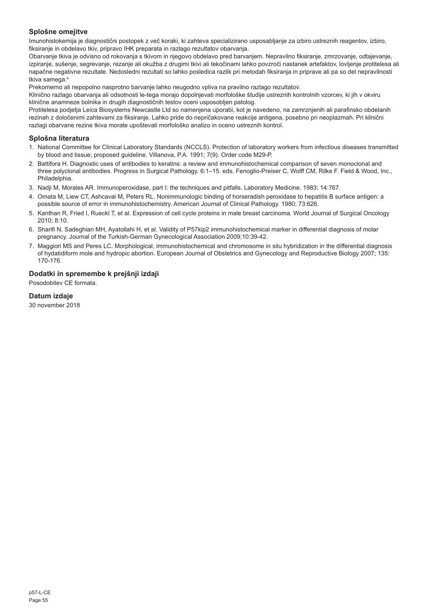# **Splošne omejitve**

Imunohistokemija je diagnostični postopek z več koraki, ki zahteva specializirano usposabljanje za izbiro ustreznih reagentov, izbiro, fiksiranje in obdelavo tkiv, pripravo IHK preparata in razlago rezultatov obarvanja.

Obarvanje tkiva je odvisno od rokovanja s tkivom in njegovo obdelavo pred barvanjem. Nepravilno fiksiranje, zmrzovanje, odtajevanje, izpiranje, sušenje, segrevanje, rezanje ali okužba z drugimi tkivi ali tekočinami lahko povzroči nastanek artefaktov, lovljenje protitelesa ali napačne negativne rezultate. Nedosledni rezultati so lahko posledica razlik pri metodah fiksiranja in priprave ali pa so del nepravilnosti tkiva samega.4

Prekomerno ali nepopolno nasprotno barvanje lahko neugodno vpliva na pravilno razlago rezultatov.

Klinično razlago obarvanja ali odsotnosti le-tega morajo dopolnjevati morfološke študije ustreznih kontrolnih vzorcev, ki jih v okviru klinične anamneze bolnika in drugih diagnostičnih testov oceni usposobljen patolog.

Protitelesa podjetja Leica Biosystems Newcastle Ltd so namenjena uporabi, kot je navedeno, na zamrznjenih ali parafinsko obdelanih rezinah z določenimi zahtevami za fiksiranje. Lahko pride do nepričakovane reakcije antigena, posebno pri neoplazmah. Pri klinični razlagi obarvane rezine tkiva morate upoštevati morfološko analizo in oceno ustreznih kontrol.

# **Splošna literatura**

- 1. National Committee for Clinical Laboratory Standards (NCCLS). Protection of laboratory workers from infectious diseases transmitted by blood and tissue; proposed guideline. Villanova, P.A. 1991; 7(9). Order code M29-P.
- 2. Battifora H. Diagnostic uses of antibodies to keratins: a review and immunohistochemical comparison of seven monoclonal and three polyclonal antibodies. Progress in Surgical Pathology. 6:1–15. eds. Fenoglio-Preiser C, Wolff CM, Rilke F. Field & Wood, Inc., Philadelphia.
- 3. Nadji M, Morales AR. Immunoperoxidase, part I: the techniques and pitfalls. Laboratory Medicine. 1983; 14:767.
- 4. Omata M, Liew CT, Ashcavai M, Peters RL. Nonimmunologic binding of horseradish peroxidase to hepatitis B surface antigen: a possible source of error in immunohistochemistry. American Journal of Clinical Pathology. 1980; 73:626.
- 5. Kanthan R, Fried I, Rueckl T, et al. Expression of cell cycle proteins in male breast carcinoma. World Journal of Surgical Oncology 2010; 8:10.
- 6. Sharifi N, Sadeghian MH, Ayatollahi H, et al. Validity of P57kip2 immunohistochemical marker in differential diagnosis of molar pregnancy. Journal of the Turkish-German Gynecological Association 2009;10:39-42.
- 7. Maggiori MS and Peres LC. Morphological, immunohistochemical and chromosome in situ hybridization in the differential diagnosis of hydatidiform mole and hydropic abortion. European Journal of Obstetrics and Gynecology and Reproductive Biology 2007; 135: 170-176.

# **Dodatki in spremembe k prejšnji izdaji**

Posodobitev CE formata.

# **Datum izdaje**

30 november 2018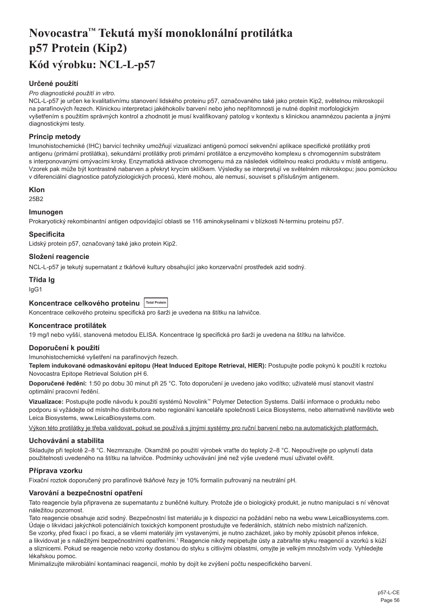# <span id="page-56-0"></span>**Novocastra™ Tekutá myší monoklonální protilátka p57 Protein (Kip2) Kód výrobku: NCL-L-p57**

# **Určené použití**

#### *Pro diagnostické použití in vitro.*

NCL-L-p57 je určen ke kvalitativnímu stanovení lidského proteinu p57, označovaného také jako protein Kip2, světelnou mikroskopií na parafínových řezech. Klinickou interpretaci jakéhokoliv barvení nebo jeho nepřítomnosti je nutné doplnit morfologickým vyšetřením s použitím správných kontrol a zhodnotit je musí kvalifikovaný patolog v kontextu s klinickou anamnézou pacienta a jinými diagnostickými testy.

# **Princip metody**

Imunohistochemické (IHC) barvicí techniky umožňují vizualizaci antigenů pomocí sekvenční aplikace specifické protilátky proti antigenu (primární protilátka), sekundární protilátky proti primární protilátce a enzymového komplexu s chromogenním substrátem s interponovanými omývacími kroky. Enzymatická aktivace chromogenu má za následek viditelnou reakci produktu v místě antigenu. Vzorek pak může být kontrastně nabarven a překryt krycím sklíčkem. Výsledky se interpretují ve světelném mikroskopu; jsou pomůckou v diferenciální diagnostice patofyziologických procesů, které mohou, ale nemusí, souviset s příslušným antigenem.

# **Klon**

25B2

# **Imunogen**

Prokaryotický rekombinantní antigen odpovídající oblasti se 116 aminokyselinami v blízkosti N-terminu proteinu p57.

# **Specificita**

Lidský protein p57, označovaný také jako protein Kip2.

# **Složení reagencie**

NCL-L-p57 je tekutý supernatant z tkáňové kultury obsahující jako konzervační prostředek azid sodný.

# **Třída Ig**

IgG1

# Koncentrace celkového proteinu Total Protein

Koncentrace celkového proteinu specifická pro šarži je uvedena na štítku na lahvičce.

# **Koncentrace protilátek**

19 mg/l nebo vyšší, stanovená metodou ELISA. Koncentrace Ig specifická pro šarži je uvedena na štítku na lahvičce.

# **Doporučení k použití**

Imunohistochemické vyšetření na parafínových řezech.

**Teplem indukované odmaskování epitopu (Heat Induced Epitope Retrieval, HIER):** Postupujte podle pokynů k použití k roztoku Novocastra Epitope Retrieval Solution pH 6.

**Doporučené ředění:** 1:50 po dobu 30 minut při 25 °C. Toto doporučení je uvedeno jako vodítko; uživatelé musí stanovit vlastní optimální pracovní ředění.

**Vizualizace:** Postupujte podle návodu k použití systémů Novolink™ Polymer Detection Systems. Další informace o produktu nebo podporu si vyžádejte od místního distributora nebo regionální kanceláře společnosti Leica Biosystems, nebo alternativně navštivte web Leica Biosystems, www.LeicaBiosystems.com.

Výkon této protilátky je třeba validovat, pokud se používá s jinými systémy pro ruční barvení nebo na automatických platformách.

# **Uchovávání a stabilita**

Skladujte při teplotě 2–8 °C. Nezmrazujte. Okamžitě po použití výrobek vraťte do teploty 2–8 °C. Nepoužívejte po uplynutí data použitelnosti uvedeného na štítku na lahvičce. Podmínky uchovávání jiné než výše uvedené musí uživatel ověřit.

# **Příprava vzorku**

Fixační roztok doporučený pro parafínové tkáňové řezy je 10% formalín pufrovaný na neutrální pH.

# **Varování a bezpečnostní opatření**

Tato reagencie byla připravena ze supernatantu z buněčné kultury. Protože jde o biologický produkt, je nutno manipulaci s ní věnovat náležitou pozornost.

Tato reagencie obsahuje azid sodný. Bezpečnostní list materiálu je k dispozici na požádání nebo na webu www.LeicaBiosystems.com. Údaje o likvidaci jakýchkoli potenciálních toxických komponent prostudujte ve federálních, státních nebo místních nařízeních. Se vzorky, před fixací i po fixaci, a se všemi materiály jim vystavenými, je nutno zacházet, jako by mohly způsobit přenos infekce, a likvidovat je s náležitými bezpečnostními opatřeními.1 Reagencie nikdy nepipetujte ústy a zabraňte styku reagencií a vzorků s kůží a sliznicemi. Pokud se reagencie nebo vzorky dostanou do styku s citlivými oblastmi, omyjte je velkým množstvím vody. Vyhledejte lékařskou pomoc.

Minimalizujte mikrobiální kontaminaci reagencií, mohlo by dojít ke zvýšení počtu nespecifického barvení.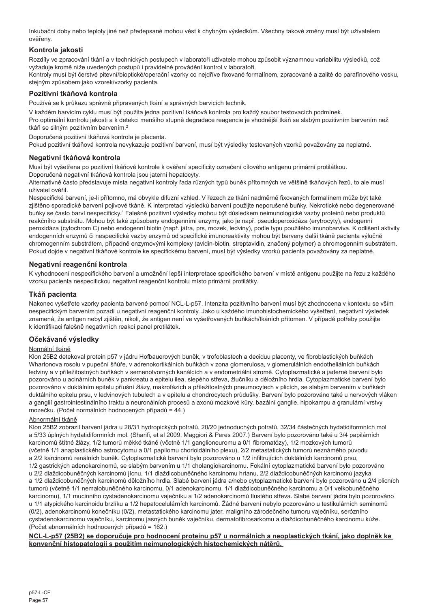Inkubační doby nebo teploty jiné než předepsané mohou vést k chybným výsledkům. Všechny takové změny musí být uživatelem ověřeny.

# **Kontrola jakosti**

Rozdíly ve zpracování tkání a v technických postupech v laboratoři uživatele mohou způsobit významnou variabilitu výsledků, což vyžaduje kromě níže uvedených postupů i pravidelné provádění kontrol v laboratoři.

Kontroly musí být čerstvé pitevní/bioptické/operační vzorky co nejdříve fixované formalínem, zpracované a zalité do parafínového vosku, stejným způsobem jako vzorek/vzorky pacienta.

# **Pozitivní tkáňová kontrola**

Používá se k průkazu správně připravených tkání a správných barvicích technik.

V každém barvicím cyklu musí být použita jedna pozitivní tkáňová kontrola pro každý soubor testovacích podmínek. Pro optimální kontrolu jakosti a k detekci menšího stupně degradace reagencie je vhodnější tkáň se slabým pozitivním barvením než tkáň se silným pozitivním barvením.<sup>2</sup>

Doporučená pozitivní tkáňová kontrola je placenta.

Pokud pozitivní tkáňová kontrola nevykazuje pozitivní barvení, musí být výsledky testovaných vzorků považovány za neplatné.

# **Negativní tkáňová kontrola**

Musí být vyšetřena po pozitivní tkáňové kontrole k ověření specificity označení cílového antigenu primární protilátkou. Doporučená negativní tkáňová kontrola jsou jaterní hepatocyty.

Alternativně často představuje místa negativní kontroly řada různých typů buněk přítomných ve většině tkáňových řezů, to ale musí uživatel ověřit.

Nespecifické barvení, je-li přítomno, má obvykle difuzní vzhled. V řezech ze tkání nadměrně fixovaných formalínem může být také zjištěno sporadické barvení pojivové tkáně. K interpretaci výsledků barvení použijte neporušené buňky. Nekrotické nebo degenerované buňky se často barví nespecificky.<sup>3</sup> Falešně pozitivní výsledky mohou být důsledkem neimunologické vazby proteinů nebo produktů reakčního substrátu. Mohou být také způsobeny endogenními enzymy, jako je např. pseudoperoxidáza (erytrocyty), endogenní peroxidáza (cytochrom C) nebo endogenní biotin (např. játra, prs, mozek, ledviny), podle typu použitého imunobarviva. K odlišení aktivity endogenních enzymů či nespecifické vazby enzymů od specifické imunoreaktivity mohou být barveny další tkáně pacienta výlučně chromogenním substrátem, případně enzymovými komplexy (avidin-biotin, streptavidin, značený polymer) a chromogenním substrátem. Pokud dojde v negativní tkáňové kontrole ke specifickému barvení, musí být výsledky vzorků pacienta považovány za neplatné.

# **Negativní reagenční kontrola**

K vyhodnocení nespecifického barvení a umožnění lepší interpretace specifického barvení v místě antigenu použijte na řezu z každého vzorku pacienta nespecifickou negativní reagenční kontrolu místo primární protilátky.

# **Tkáň pacienta**

Nakonec vyšetřete vzorky pacienta barvené pomocí NCL-L-p57. Intenzita pozitivního barvení musí být zhodnocena v kontextu se vším nespecifickým barvením pozadí u negativní reagenční kontroly. Jako u každého imunohistochemického vyšetření, negativní výsledek znamená, že antigen nebyl zjištěn, nikoli, že antigen není ve vyšetřovaných buňkách/tkáních přítomen. V případě potřeby použijte k identifikaci falešně negativních reakcí panel protilátek.

# **Očekávané výsledky**

# Normální tkáně

Klon 25B2 detekoval protein p57 v jádru Hofbauerových buněk, v trofoblastech a deciduu placenty, ve fibroblastických buňkách Whartonova rosolu v pupeční šňůře, v adrenokortikálních buňkách v zona glomerulosa, v glomerulálních endotheliálních buňkách ledviny a v příležitostných buňkách v semenotvorných kanálcích a v endometriální stromě. Cytoplazmatické a jaderné barvení bylo pozorováno u acinárních buněk v pankreatu a epitelu ilea, slepého střeva, žlučníku a děložního hrdla. Cytoplazmatické barvení bylo pozorováno v duktálním epitelu příušní žlázy, makrofázích a příležitostných pneumocytech v plicích, se slabým barvením v buňkách duktálního epitelu prsu, v ledvinových tubulech a v epitelu a chondrocytech průdušky. Barvení bylo pozorováno také u nervových vláken a ganglií gastrointestinálního traktu a neuronálních procesů a axonů mozkové kůry, bazální ganglie, hipokampu a granulární vrstvy mozečku. (Počet normálních hodnocených případů = 44.)

#### Abnormální tkáně

Klon 25B2 zobrazil barvení jádra u 28/31 hydropických potratů, 20/20 jednoduchých potratů, 32/34 částečných hydatidiformních mol a 5/33 úplných hydatidiformních mol. (Sharifi, et al 2009, Maggiori & Peres 2007.) Barvení bylo pozorováno také u 3/4 papilárních karcinomů štítné žlázy, 1/2 tumorů měkké tkáně (včetně 1/1 ganglioneuromu a 0/1 fibromatózy), 1/2 mozkových tumorů (včetně 1/1 anaplastického astrocytomu a 0/1 papilomu chorioidálního plexu), 2/2 metastatických tumorů neznámého původu a 2/2 karcinomů renálních buněk. Cytoplazmatické barvení bylo pozorováno u 1/2 infiltrujících duktálních karcinomů prsu, 1/2 gastrických adenokarcinomů, se slabým barvením u 1/1 cholangiokarcinomu. Fokální cytoplazmatické barvení bylo pozorováno u 2/2 dlaždicobuněčných karcinomů jícnu, 1/1 dlaždicobuněčného karcinomu hrtanu, 2/2 dlaždicobuněčných karcinomů jazyka a 1/2 dlaždicobuněčných karcinomů děložního hrdla. Slabé barvení jádra a/nebo cytoplazmatické barvení bylo pozorováno u 2/4 plicních tumorů (včetně 1/1 nemalobuněčného karcinomu, 0/1 adenokarcinomu, 1/1 dlaždicobuněčného karcinomu a 0/1 velkobuněčného karcinomu), 1/1 mucinního cystadenokarcinomu vaječníku a 1/2 adenokarcinomů tlustého střeva. Slabé barvení jádra bylo pozorováno u 1/1 atypického karcinoidu brzlíku a 1/2 hepatocelulárních karcinomů. Žádné barvení nebylo pozorováno u testikulárních seminomů (0/2), adenokarcinomů konečníku (0/2), metastatického karcinomu jater, maligního zárodečného tumoru vaječníku, serózního cystadenokarcinomu vaječníku, karcinomu jasných buněk vaječníku, dermatofibrosarkomu a dlaždicobuněčného karcinomu kůže. (Počet abnormálních hodnocených případů = 162.)

# **NCL-L-p57 (25B2) se doporučuje pro hodnocení proteinu p57 u normálních a neoplastických tkání, jako doplněk ke konvenční histopatologii s použitím neimunologických histochemických nátěrů.**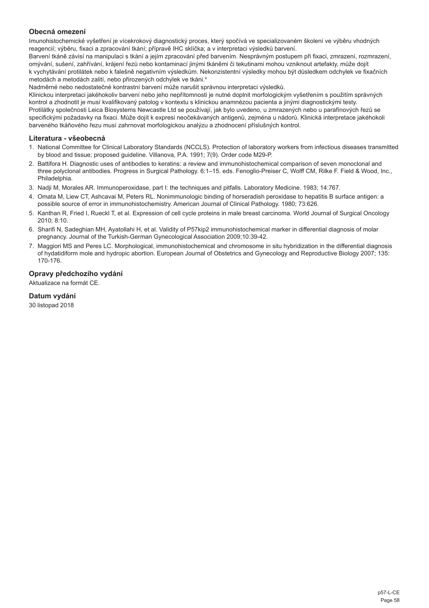# **Obecná omezení**

Imunohistochemické vyšetření je vícekrokový diagnostický proces, který spočívá ve specializovaném školení ve výběru vhodných reagencií; výběru, fixaci a zpracování tkání; přípravě IHC sklíčka; a v interpretaci výsledků barvení.

Barvení tkáně závisí na manipulaci s tkání a jejím zpracování před barvením. Nesprávným postupem při fixaci, zmrazení, rozmrazení, omývání, sušení, zahřívání, krájení řezů nebo kontaminací jinými tkáněmi či tekutinami mohou vzniknout artefakty, může dojít k vychytávání protilátek nebo k falešně negativním výsledkům. Nekonzistentní výsledky mohou být důsledkem odchylek ve fixačních metodách a metodách zalití, nebo přirozených odchylek ve tkáni.4

Nadměrné nebo nedostatečné kontrastní barvení může narušit správnou interpretaci výsledků.

Klinickou interpretaci jakéhokoliv barvení nebo jeho nepřítomnosti je nutné doplnit morfologickým vyšetřením s použitím správných kontrol a zhodnotit je musí kvalifikovaný patolog v kontextu s klinickou anamnézou pacienta a jinými diagnostickými testy. Protilátky společnosti Leica Biosystems Newcastle Ltd se používají, jak bylo uvedeno, u zmrazených nebo u parafínových řezů se specifickými požadavky na fixaci. Může dojít k expresi neočekávaných antigenů, zejména u nádorů. Klinická interpretace jakéhokoli barveného tkáňového řezu musí zahrnovat morfologickou analýzu a zhodnocení příslušných kontrol.

#### **Literatura - všeobecná**

- 1. National Committee for Clinical Laboratory Standards (NCCLS). Protection of laboratory workers from infectious diseases transmitted by blood and tissue; proposed guideline. Villanova, P.A. 1991; 7(9). Order code M29-P.
- 2. Battifora H. Diagnostic uses of antibodies to keratins: a review and immunohistochemical comparison of seven monoclonal and three polyclonal antibodies. Progress in Surgical Pathology. 6:1–15. eds. Fenoglio-Preiser C, Wolff CM, Rilke F. Field & Wood, Inc., Philadelphia.
- 3. Nadji M, Morales AR. Immunoperoxidase, part I: the techniques and pitfalls. Laboratory Medicine. 1983; 14:767.
- 4. Omata M, Liew CT, Ashcavai M, Peters RL. Nonimmunologic binding of horseradish peroxidase to hepatitis B surface antigen: a possible source of error in immunohistochemistry. American Journal of Clinical Pathology. 1980; 73:626.
- 5. Kanthan R, Fried I, Rueckl T, et al. Expression of cell cycle proteins in male breast carcinoma. World Journal of Surgical Oncology 2010; 8:10.
- 6. Sharifi N, Sadeghian MH, Ayatollahi H, et al. Validity of P57kip2 immunohistochemical marker in differential diagnosis of molar pregnancy. Journal of the Turkish-German Gynecological Association 2009;10:39-42.
- 7. Maggiori MS and Peres LC. Morphological, immunohistochemical and chromosome in situ hybridization in the differential diagnosis of hydatidiform mole and hydropic abortion. European Journal of Obstetrics and Gynecology and Reproductive Biology 2007; 135: 170-176.

# **Opravy předchozího vydání**

Aktualizace na formát CE.

# **Datum vydání**

30 listopad 2018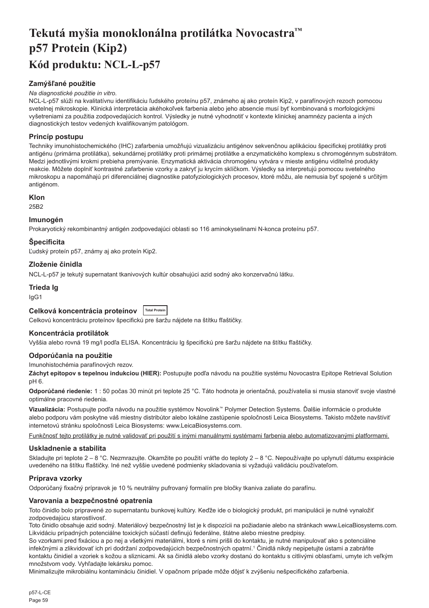# <span id="page-59-0"></span>**Tekutá myšia monoklonálna protilátka Novocastra™ p57 Protein (Kip2) Kód produktu: NCL-L-p57**

# **Zamýšľané použitie**

## *Na diagnostické použitie in vitro.*

NCL-L-p57 slúži na kvalitatívnu identifikáciu ľudského proteínu p57, známeho aj ako proteín Kip2, v parafínových rezoch pomocou svetelnej mikroskopie. Klinická interpretácia akéhokoľvek farbenia alebo jeho absencie musí byť kombinovaná s morfologickými vyšetreniami za použitia zodpovedajúcich kontrol. Výsledky je nutné vyhodnotiť v kontexte klinickej anamnézy pacienta a iných diagnostických testov vedených kvalifikovaným patológom.

# **Princíp postupu**

Techniky imunohistochemického (IHC) zafarbenia umožňujú vizualizáciu antigénov sekvenčnou aplikáciou špecifickej protilátky proti antigénu (primárna protilátka), sekundárnej protilátky proti primárnej protilátke a enzymatického komplexu s chromogénnym substrátom. Medzi jednotlivými krokmi prebieha premývanie. Enzymatická aktivácia chromogénu vytvára v mieste antigénu viditeľné produkty reakcie. Môžete doplniť kontrastné zafarbenie vzorky a zakryť ju krycím sklíčkom. Výsledky sa interpretujú pomocou svetelného mikroskopu a napomáhajú pri diferenciálnej diagnostike patofyziologických procesov, ktoré môžu, ale nemusia byť spojené s určitým antigénom.

# **Klon**

25B2

## **Imunogén**

Prokaryotický rekombinantný antigén zodpovedajúci oblasti so 116 aminokyselinami N-konca proteínu p57.

# **Špecificita**

Ľudský proteín p57, známy aj ako proteín Kip2.

# **Zloženie činidla**

NCL-L-p57 je tekutý supernatant tkanivových kultúr obsahujúci azid sodný ako konzervačnú látku.

#### **Trieda Ig**

IgG1

# Celková koncentrácia proteínov **Total Protei**

Celkovú koncentráciu proteínov špecifickú pre šaržu nájdete na štítku fľaštičky.

# **Koncentrácia protilátok**

Vyššia alebo rovná 19 mg/l podľa ELISA. Koncentráciu Ig špecifickú pre šaržu nájdete na štítku fľaštičky.

# **Odporúčania na použitie**

#### Imunohistochémia parafínových rezov.

**Záchyt epitopov s tepelnou indukciou (HIER):** Postupujte podľa návodu na použitie systému Novocastra Epitope Retrieval Solution pH 6.

**Odporúčané riedenie:** 1 : 50 počas 30 minút pri teplote 25 °C. Táto hodnota je orientačná, používatelia si musia stanoviť svoje vlastné optimálne pracovné riedenia.

**Vizualizácia:** Postupujte podľa návodu na použitie systémov Novolink™ Polymer Detection Systems. Ďalšie informácie o produkte alebo podporu vám poskytne váš miestny distribútor alebo lokálne zastúpenie spoločnosti Leica Biosystems. Takisto môžete navštíviť internetovú stránku spoločnosti Leica Biosystems: www.LeicaBiosystems.com.

Funkčnosť tejto protilátky je nutné validovať pri použití s inými manuálnymi systémami farbenia alebo automatizovanými platformami.

# **Uskladnenie a stabilita**

Skladujte pri teplote 2 – 8 °C. Nezmrazujte. Okamžite po použití vráťte do teploty 2 – 8 °C. Nepoužívajte po uplynutí dátumu exspirácie uvedeného na štítku fľaštičky. Iné než vyššie uvedené podmienky skladovania si vyžadujú validáciu používateľom.

# **Príprava vzorky**

Odporúčaný fixačný prípravok je 10 % neutrálny pufrovaný formalín pre bločky tkaniva zaliate do parafínu.

# **Varovania a bezpečnostné opatrenia**

Toto činidlo bolo pripravené zo supernatantu bunkovej kultúry. Keďže ide o biologický produkt, pri manipulácii je nutné vynaložiť zodpovedajúcu starostlivosť.

Toto činidlo obsahuje azid sodný. Materiálový bezpečnostný list je k dispozícii na požiadanie alebo na stránkach www.LeicaBiosystems.com. Likvidáciu prípadných potenciálne toxických súčastí definujú federálne, štátne alebo miestne predpisy.

So vzorkami pred fixáciou a po nej a všetkými materiálmi, ktoré s nimi prišli do kontaktu, je nutné manipulovať ako s potenciálne infekčnými a zlikvidovať ich pri dodržaní zodpovedajúcich bezpečnostných opatrní.<sup>1</sup> Činidlá nikdy nepipetujte ústami a zabráňte kontaktu činidiel a vzoriek s kožou a sliznicami. Ak sa činidlá alebo vzorky dostanú do kontaktu s citlivými oblasťami, umyte ich veľkým množstvom vody. Vyhľadajte lekársku pomoc.

Minimalizujte mikrobiálnu kontamináciu činidiel. V opačnom prípade môže dôjsť k zvýšeniu nešpecifického zafarbenia.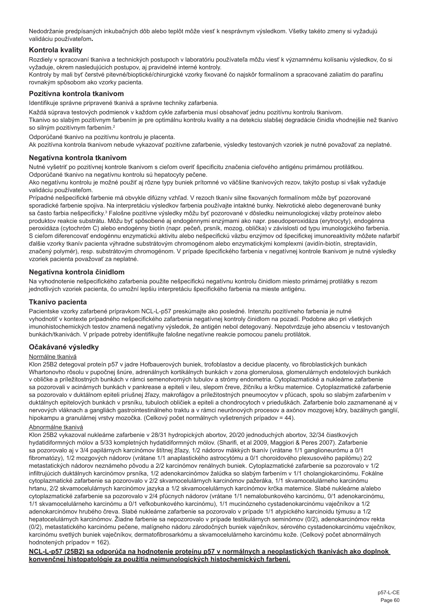Nedodržanie predpísaných inkubačných dôb alebo teplôt môže viesť k nesprávnym výsledkom. Všetky takéto zmeny si vyžadujú validáciu používateľom**.**

# **Kontrola kvality**

Rozdiely v spracovaní tkaniva a technických postupoch v laboratóriu používateľa môžu viesť k významnému kolísaniu výsledkov, čo si vyžaduje, okrem nasledujúcich postupov, aj pravidelné interné kontroly.

Kontroly by mali byť čerstvé pitevné/bioptické/chirurgické vzorky fixované čo najskôr formalínom a spracované zaliatím do parafínu rovnakým spôsobom ako vzorky pacienta.

# **Pozitívna kontrola tkanivom**

Identifikuje správne pripravené tkanivá a správne techniky zafarbenia.

Každá súprava testových podmienok v každom cykle zafarbenia musí obsahovať jednu pozitívnu kontrolu tkanivom. Tkanivo so slabým pozitívnym farbením je pre optimálnu kontrolu kvality a na detekciu slabšej degradácie činidla vhodnejšie než tkanivo so silným pozitívnym farbením.<sup>2</sup>

Odporúčané tkanivo na pozitívnu kontrolu je placenta.

Ak pozitívna kontrola tkanivom nebude vykazovať pozitívne zafarbenie, výsledky testovaných vzoriek je nutné považovať za neplatné.

# **Negatívna kontrola tkanivom**

Nutné vyšetriť po pozitívnej kontrole tkanivom s cieľom overiť špecificitu značenia cieľového antigénu primárnou protilátkou. Odporúčané tkanivo na negatívnu kontrolu sú hepatocyty pečene.

Ako negatívnu kontrolu je možné použiť aj rôzne typy buniek prítomné vo väčšine tkanivových rezov, takýto postup si však vyžaduje validáciu používateľom.

Prípadné nešpecifické farbenie má obvykle difúzny vzhľad. V rezoch tkanív silne fixovaných formalínom môže byť pozorované sporadické farbenie spojiva. Na interpretáciu výsledkov farbenia používajte intaktné bunky. Nekrotické alebo degenerované bunky sa často farbia nešpecificky.<sup>3</sup> Falošne pozitívne výsledky môžu byť pozorované v dôsledku neimunologickej väzby proteínov alebo produktov reakcie substrátu. Môžu byť spôsobené aj endogénnymi enzýmami ako napr. pseudoperoxidáza (erytrocyty), endogénna peroxidáza (cytochróm C) alebo endogénny biotín (napr. pečeň, prsník, mozog, oblička) v závislosti od typu imunologického farbenia. S cieľom diferencovať endogénnu enzymatickú aktivitu alebo nešpecifickú väzbu enzýmov od špecifickej imunoreaktivity môžete nafarbiť ďalšie vzorky tkanív pacienta výhradne substrátovým chromogénom alebo enzymatickými komplexmi (avidín-biotín, streptavidín, značený polymér), resp. substrátovým chromogénom. V prípade špecifického farbenia v negatívnej kontrole tkanivom je nutné výsledky vzoriek pacienta považovať za neplatné.

# **Negatívna kontrola činidlom**

Na vyhodnotenie nešpecifického zafarbenia použite nešpecifickú negatívnu kontrolu činidlom miesto primárnej protilátky s rezom jednotlivých vzoriek pacienta, čo umožní lepšiu interpretáciu špecifického farbenia na mieste antigénu.

## **Tkanivo pacienta**

Pacientske vzorky zafarbené prípravkom NCL-L-p57 preskúmajte ako posledné. Intenzitu pozitívneho farbenia je nutné vyhodnotiť v kontexte prípadného nešpecifického zafarbenia negatívnej kontroly činidlom na pozadí. Podobne ako pri všetkých imunohistochemických testov znamená negatívny výsledok, že antigén nebol detegovaný. Nepotvrdzuje jeho absenciu v testovaných bunkách/tkanivách. V prípade potreby identifikujte falošne negatívne reakcie pomocou panelu protilátok.

# **Očakávané výsledky**

#### Normálne tkanivá

Klon 25B2 detegoval proteín p57 v jadre Hofbauerových buniek, trofoblastov a decidue placenty, vo fibroblastických bunkách Whartonovho rôsolu v pupočnej šnúre, adrenálnych kortikálnych bunkách v zona glomerulosa, glomerulárnych endotelových bunkách v obličke a príležitostných bunkách v rámci semenotvorných tubulov a strómy endometria. Cytoplazmatické a nukleárne zafarbenie sa pozorovali v acinárnych bunkách v pankrease a epiteli v ileu, slepom čreve, žlčníku a krčku maternice. Cytoplazmatické zafarbenie sa pozorovalo v duktálnom epiteli príušnej žľazy, makrofágov a príležitostných pneumocytov v pľúcach, spolu so slabým zafarbením v duktálnych epitelových bunkách v prsníku, tubuloch obličiek a epiteli a chondrocytoch v prieduškách. Zafarbenie bolo zaznamenané aj v nervových vláknach a gangliách gastrointestinálneho traktu a v rámci neurónových procesov a axónov mozgovej kôry, bazálnych ganglií, hipokampu a granulárnej vrstvy mozočka. (Celkový počet normálnych vyšetrených prípadov = 44).

## Abnormálne tkanivá

Klon 25B2 vykazoval nukleárne zafarbenie v 28/31 hydropických abortov, 20/20 jednoduchých abortov, 32/34 čiastkových hydatidiformných mólov a 5/33 kompletných hydatidiformných mólov. (Sharifi, et al 2009, Maggiori & Peres 2007). Zafarbenie sa pozorovalo aj v 3/4 papilárnych karcinómov štítnej žľazy, 1/2 nádorov mäkkých tkanív (vrátane 1/1 ganglioneurómu a 0/1 fibromatózy), 1/2 mozgových nádorov (vrátane 1/1 anaplastického astrocytómu a 0/1 choroidového plexusového papilómu) 2/2 metastatických nádorov neznámeho pôvodu a 2/2 karcinómov renálnych buniek. Cytoplazmatické zafarbenie sa pozorovalo v 1/2 infiltrujúcich duktálnych karcinómov prsníka, 1/2 adenokarcinómov žalúdka so slabým farbením v 1/1 cholangiokarcinómu. Fokálne cytoplazmatické zafarbenie sa pozorovalo v 2/2 skvamocelulárnych karcinómov pažeráka, 1/1 skvamocelulárneho karcinómu hrtanu, 2/2 skvamocelulárnych karcinómov jazyka a 1/2 skvamocelulárnych karcinómov krčka maternice. Slabé nukleárne a/alebo cytoplazmatické zafarbenie sa pozorovalo v 2/4 pľúcnych nádorov (vrátane 1/1 nemalobunkového karcinómu, 0/1 adenokarcinómu, 1/1 skvamocelulárneho karcinómu a 0/1 veľkobunkového karcinómu), 1/1 mucinózneho cystadenokarcinómu vaječníkov a 1/2 adenokarcinómov hrubého čreva. Slabé nukleárne zafarbenie sa pozorovalo v prípade 1/1 atypického karcinoidu týmusu a 1/2 hepatocelulárnych karcinómov. Žiadne farbenie sa nepozorovalo v prípade testikulárnych seminómov (0/2), adenokarcinómov rekta (0/2), metastatického karcinómu pečene, malígneho nádoru zárodočných buniek vaječníkov, sérového cystadenokarcinómu vaječníkov, karcinómu svetlých buniek vaječníkov, dermatofibrosarkómu a skvamocelulárneho karcinómu kože. (Celkový počet abnormálnych hodnotených prípadov = 162).

**NCL-L-p57 (25B2) sa odporúča na hodnotenie proteínu p57 v normálnych a neoplastických tkanivách ako doplnok konvenčnej histopatológie za použitia neimunologických histochemických farbení.**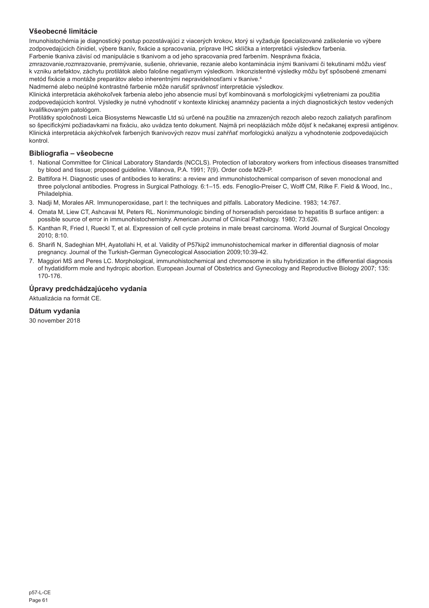# **Všeobecné limitácie**

Imunohistochémia je diagnostický postup pozostávajúci z viacerých krokov, ktorý si vyžaduje špecializované zaškolenie vo výbere zodpovedajúcich činidiel, výbere tkanív, fixácie a spracovania, príprave IHC sklíčka a interpretácii výsledkov farbenia. Farbenie tkaniva závisí od manipulácie s tkanivom a od jeho spracovania pred farbením. Nesprávna fixácia,

zmrazovanie,rozmrazovanie, premývanie, sušenie, ohrievanie, rezanie alebo kontaminácia inými tkanivami či tekutinami môžu viesť k vzniku artefaktov, záchytu protilátok alebo falošne negatívnym výsledkom. Inkonzistentné výsledky môžu byť spôsobené zmenami metód fixácie a montáže preparátov alebo inherentnými nepravidelnosťami v tkanive.4

Nadmerné alebo neúplné kontrastné farbenie môže narušiť správnosť interpretácie výsledkov.

Klinická interpretácia akéhokoľvek farbenia alebo jeho absencie musí byť kombinovaná s morfologickými vyšetreniami za použitia zodpovedajúcich kontrol. Výsledky je nutné vyhodnotiť v kontexte klinickej anamnézy pacienta a iných diagnostických testov vedených kvalifikovaným patológom.

Protilátky spoločnosti Leica Biosystems Newcastle Ltd sú určené na použitie na zmrazených rezoch alebo rezoch zaliatych parafínom so špecifickými požiadavkami na fixáciu, ako uvádza tento dokument. Najmä pri neopláziách môže dôjsť k nečakanej expresii antigénov. Klinická interpretácia akýchkoľvek farbených tkanivových rezov musí zahŕňať morfologickú analýzu a vyhodnotenie zodpovedajúcich kontrol.

# **Bibliografia – všeobecne**

- 1. National Committee for Clinical Laboratory Standards (NCCLS). Protection of laboratory workers from infectious diseases transmitted by blood and tissue; proposed guideline. Villanova, P.A. 1991; 7(9). Order code M29-P.
- 2. Battifora H. Diagnostic uses of antibodies to keratins: a review and immunohistochemical comparison of seven monoclonal and three polyclonal antibodies. Progress in Surgical Pathology. 6:1–15. eds. Fenoglio-Preiser C, Wolff CM, Rilke F. Field & Wood, Inc., Philadelphia.
- 3. Nadji M, Morales AR. Immunoperoxidase, part I: the techniques and pitfalls. Laboratory Medicine. 1983; 14:767.
- 4. Omata M, Liew CT, Ashcavai M, Peters RL. Nonimmunologic binding of horseradish peroxidase to hepatitis B surface antigen: a possible source of error in immunohistochemistry. American Journal of Clinical Pathology. 1980; 73:626.
- 5. Kanthan R, Fried I, Rueckl T, et al. Expression of cell cycle proteins in male breast carcinoma. World Journal of Surgical Oncology 2010; 8:10.
- 6. Sharifi N, Sadeghian MH, Ayatollahi H, et al. Validity of P57kip2 immunohistochemical marker in differential diagnosis of molar pregnancy. Journal of the Turkish-German Gynecological Association 2009;10:39-42.
- 7. Maggiori MS and Peres LC. Morphological, immunohistochemical and chromosome in situ hybridization in the differential diagnosis of hydatidiform mole and hydropic abortion. European Journal of Obstetrics and Gynecology and Reproductive Biology 2007; 135: 170-176.

# **Úpravy predchádzajúceho vydania**

Aktualizácia na formát CE.

# **Dátum vydania**

30 november 2018